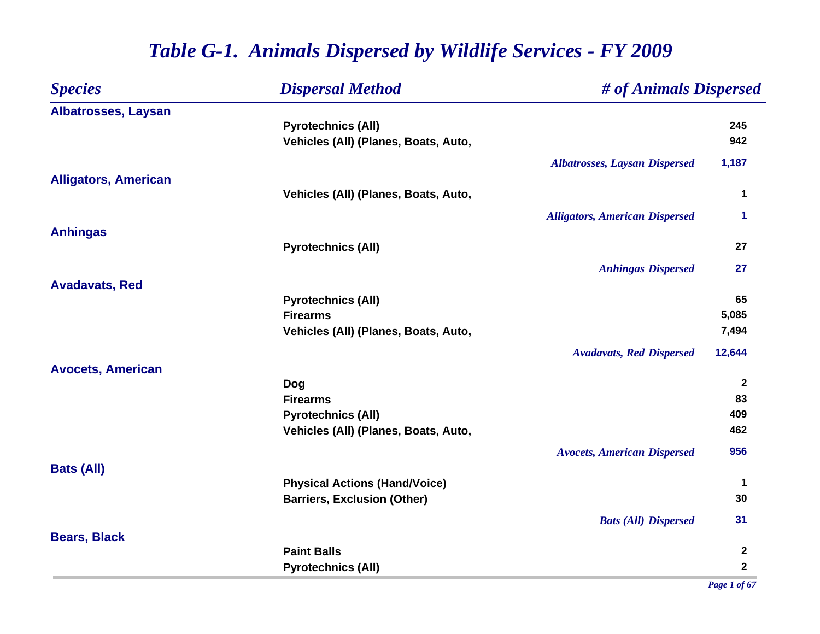| <b>Species</b>              | <b>Dispersal Method</b>              | # of Animals Dispersed                |                |
|-----------------------------|--------------------------------------|---------------------------------------|----------------|
| <b>Albatrosses, Laysan</b>  |                                      |                                       |                |
|                             | <b>Pyrotechnics (All)</b>            |                                       | 245            |
|                             | Vehicles (All) (Planes, Boats, Auto, |                                       | 942            |
|                             |                                      | <b>Albatrosses, Laysan Dispersed</b>  | 1,187          |
| <b>Alligators, American</b> |                                      |                                       |                |
|                             | Vehicles (All) (Planes, Boats, Auto, |                                       | 1              |
|                             |                                      | <b>Alligators, American Dispersed</b> | 1              |
| <b>Anhingas</b>             |                                      |                                       |                |
|                             | <b>Pyrotechnics (All)</b>            |                                       | 27             |
|                             |                                      | <b>Anhingas Dispersed</b>             | 27             |
| <b>Avadavats, Red</b>       |                                      |                                       |                |
|                             | <b>Pyrotechnics (All)</b>            |                                       | 65             |
|                             | <b>Firearms</b>                      |                                       | 5,085          |
|                             | Vehicles (All) (Planes, Boats, Auto, |                                       | 7,494          |
|                             |                                      | <b>Avadavats, Red Dispersed</b>       | 12,644         |
| <b>Avocets, American</b>    |                                      |                                       |                |
|                             | Dog                                  |                                       | $\overline{2}$ |
|                             | <b>Firearms</b>                      |                                       | 83             |
|                             | <b>Pyrotechnics (All)</b>            |                                       | 409            |
|                             | Vehicles (All) (Planes, Boats, Auto, |                                       | 462            |
|                             |                                      | <b>Avocets, American Dispersed</b>    | 956            |
| <b>Bats (All)</b>           |                                      |                                       |                |
|                             | <b>Physical Actions (Hand/Voice)</b> |                                       | $\mathbf 1$    |
|                             | <b>Barriers, Exclusion (Other)</b>   |                                       | 30             |
|                             |                                      | <b>Bats (All) Dispersed</b>           | 31             |
| <b>Bears, Black</b>         |                                      |                                       |                |
|                             | <b>Paint Balls</b>                   |                                       | $\mathbf{2}$   |
|                             | <b>Pyrotechnics (All)</b>            |                                       | $\mathbf 2$    |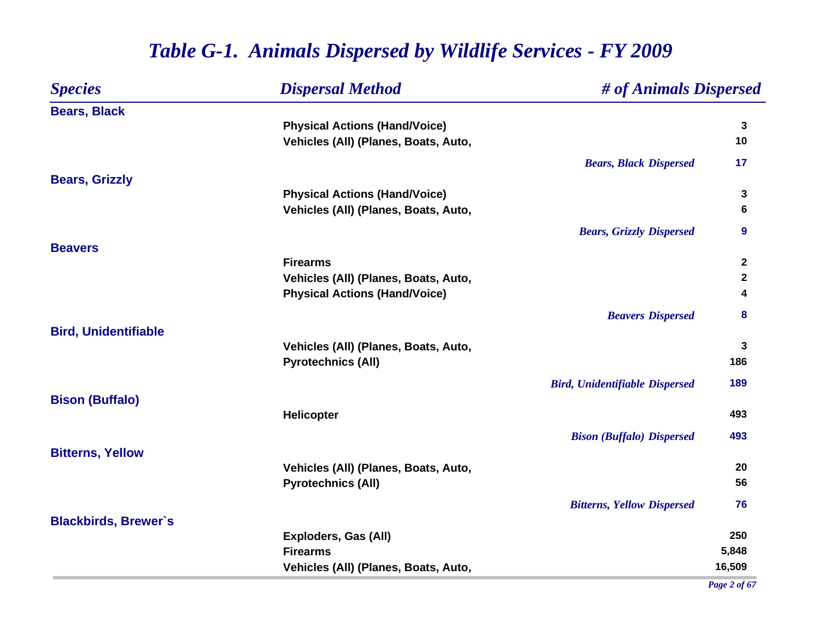| <b>Species</b>              | <b>Dispersal Method</b>              | # of Animals Dispersed                |                  |
|-----------------------------|--------------------------------------|---------------------------------------|------------------|
| <b>Bears, Black</b>         |                                      |                                       |                  |
|                             | <b>Physical Actions (Hand/Voice)</b> |                                       | $\mathbf{3}$     |
|                             | Vehicles (All) (Planes, Boats, Auto, |                                       | 10               |
|                             |                                      | <b>Bears, Black Dispersed</b>         | 17               |
| <b>Bears, Grizzly</b>       |                                      |                                       |                  |
|                             | <b>Physical Actions (Hand/Voice)</b> |                                       | 3                |
|                             | Vehicles (All) (Planes, Boats, Auto, |                                       | 6                |
|                             |                                      | <b>Bears, Grizzly Dispersed</b>       | $\boldsymbol{9}$ |
| <b>Beavers</b>              |                                      |                                       |                  |
|                             | <b>Firearms</b>                      |                                       | $\boldsymbol{2}$ |
|                             | Vehicles (All) (Planes, Boats, Auto, |                                       | $\mathbf 2$      |
|                             | <b>Physical Actions (Hand/Voice)</b> |                                       | 4                |
|                             |                                      | <b>Beavers Dispersed</b>              | 8                |
| <b>Bird, Unidentifiable</b> |                                      |                                       |                  |
|                             | Vehicles (All) (Planes, Boats, Auto, |                                       | $\mathbf{3}$     |
|                             | <b>Pyrotechnics (All)</b>            |                                       | 186              |
|                             |                                      | <b>Bird, Unidentifiable Dispersed</b> | 189              |
| <b>Bison (Buffalo)</b>      |                                      |                                       |                  |
|                             | Helicopter                           |                                       | 493              |
|                             |                                      | <b>Bison (Buffalo) Dispersed</b>      | 493              |
| <b>Bitterns, Yellow</b>     |                                      |                                       |                  |
|                             | Vehicles (All) (Planes, Boats, Auto, |                                       | 20               |
|                             | <b>Pyrotechnics (All)</b>            |                                       | 56               |
|                             |                                      | <b>Bitterns, Yellow Dispersed</b>     | 76               |
| <b>Blackbirds, Brewer's</b> |                                      |                                       |                  |
|                             | <b>Exploders, Gas (All)</b>          |                                       | 250              |
|                             | <b>Firearms</b>                      |                                       | 5,848            |
|                             | Vehicles (All) (Planes, Boats, Auto, |                                       | 16,509           |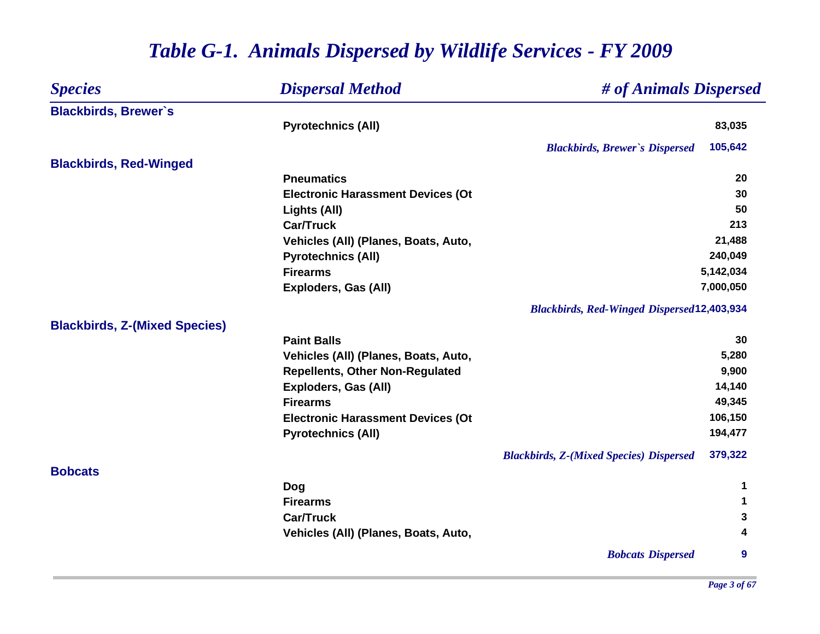| <b>Species</b>                       | <b>Dispersal Method</b>                  | # of Animals Dispersed                                    |        |
|--------------------------------------|------------------------------------------|-----------------------------------------------------------|--------|
| <b>Blackbirds, Brewer's</b>          |                                          |                                                           |        |
|                                      | <b>Pyrotechnics (All)</b>                |                                                           | 83,035 |
|                                      |                                          | 105,642<br><b>Blackbirds, Brewer's Dispersed</b>          |        |
| <b>Blackbirds, Red-Winged</b>        |                                          |                                                           |        |
|                                      | <b>Pneumatics</b>                        |                                                           | 20     |
|                                      | <b>Electronic Harassment Devices (Ot</b> |                                                           | 30     |
|                                      | Lights (All)                             |                                                           | 50     |
|                                      | <b>Car/Truck</b>                         |                                                           | 213    |
|                                      | Vehicles (All) (Planes, Boats, Auto,     |                                                           | 21,488 |
|                                      | <b>Pyrotechnics (All)</b>                | 240,049                                                   |        |
|                                      | <b>Firearms</b>                          | 5,142,034                                                 |        |
|                                      | <b>Exploders, Gas (All)</b>              | 7,000,050                                                 |        |
|                                      |                                          | <b>Blackbirds, Red-Winged Dispersed12,403,934</b>         |        |
| <b>Blackbirds, Z-(Mixed Species)</b> |                                          |                                                           |        |
|                                      | <b>Paint Balls</b>                       |                                                           | 30     |
|                                      | Vehicles (All) (Planes, Boats, Auto,     |                                                           | 5,280  |
|                                      | <b>Repellents, Other Non-Regulated</b>   |                                                           | 9,900  |
|                                      | <b>Exploders, Gas (All)</b>              |                                                           | 14,140 |
|                                      | <b>Firearms</b>                          |                                                           | 49,345 |
|                                      | <b>Electronic Harassment Devices (Ot</b> | 106,150                                                   |        |
|                                      | <b>Pyrotechnics (All)</b>                | 194,477                                                   |        |
|                                      |                                          | 379,322<br><b>Blackbirds, Z-(Mixed Species) Dispersed</b> |        |
| <b>Bobcats</b>                       |                                          |                                                           |        |
|                                      | Dog                                      |                                                           | 1      |
|                                      | <b>Firearms</b>                          |                                                           | 1      |
|                                      | <b>Car/Truck</b>                         |                                                           | 3      |
|                                      | Vehicles (All) (Planes, Boats, Auto,     |                                                           | 4      |
|                                      |                                          | <b>Bobcats Dispersed</b>                                  | 9      |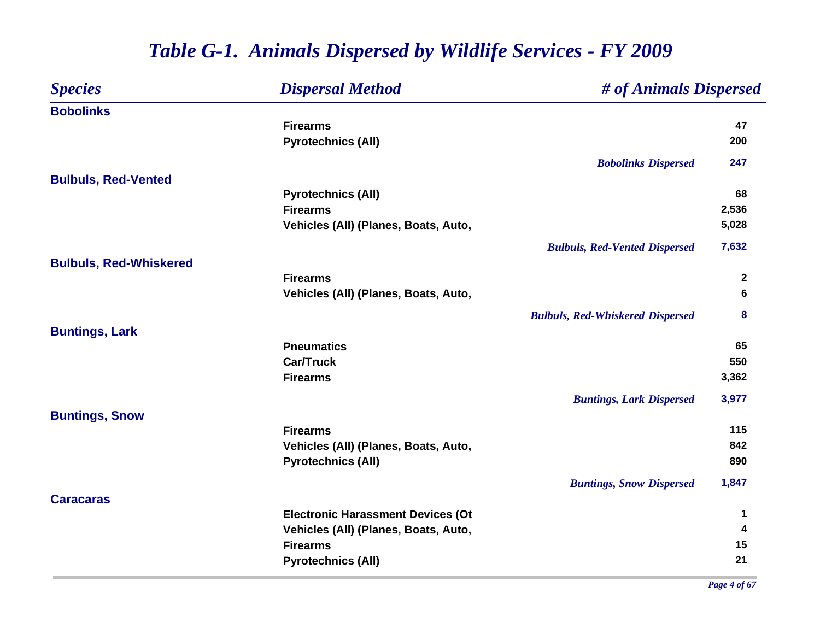| <b>Species</b>                | <b>Dispersal Method</b>                  | # of Animals Dispersed                  |              |
|-------------------------------|------------------------------------------|-----------------------------------------|--------------|
| <b>Bobolinks</b>              |                                          |                                         |              |
|                               | <b>Firearms</b>                          |                                         | 47           |
|                               | <b>Pyrotechnics (All)</b>                |                                         | 200          |
|                               |                                          | <b>Bobolinks Dispersed</b>              | 247          |
| <b>Bulbuls, Red-Vented</b>    |                                          |                                         |              |
|                               | <b>Pyrotechnics (All)</b>                |                                         | 68           |
|                               | <b>Firearms</b>                          |                                         | 2,536        |
|                               | Vehicles (All) (Planes, Boats, Auto,     |                                         | 5,028        |
|                               |                                          | <b>Bulbuls, Red-Vented Dispersed</b>    | 7,632        |
| <b>Bulbuls, Red-Whiskered</b> |                                          |                                         |              |
|                               | <b>Firearms</b>                          |                                         | $\mathbf{2}$ |
|                               | Vehicles (All) (Planes, Boats, Auto,     |                                         | 6            |
|                               |                                          | <b>Bulbuls, Red-Whiskered Dispersed</b> | 8            |
| <b>Buntings, Lark</b>         |                                          |                                         |              |
|                               | <b>Pneumatics</b>                        |                                         | 65           |
|                               | <b>Car/Truck</b>                         |                                         | 550          |
|                               | <b>Firearms</b>                          |                                         | 3,362        |
|                               |                                          | <b>Buntings, Lark Dispersed</b>         | 3,977        |
| <b>Buntings, Snow</b>         |                                          |                                         |              |
|                               | <b>Firearms</b>                          |                                         | 115          |
|                               | Vehicles (All) (Planes, Boats, Auto,     |                                         | 842          |
|                               | <b>Pyrotechnics (All)</b>                |                                         | 890          |
|                               |                                          | <b>Buntings, Snow Dispersed</b>         | 1,847        |
| <b>Caracaras</b>              |                                          |                                         |              |
|                               | <b>Electronic Harassment Devices (Ot</b> |                                         | 1            |
|                               | Vehicles (All) (Planes, Boats, Auto,     |                                         | 4            |
|                               | <b>Firearms</b>                          |                                         | 15           |
|                               | <b>Pyrotechnics (All)</b>                |                                         | 21           |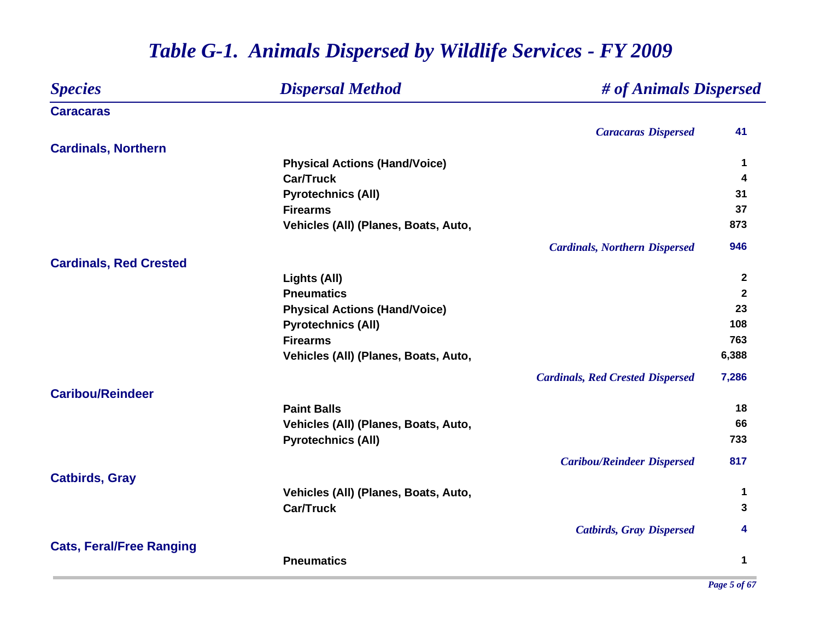| <b>Species</b>                  | <b>Dispersal Method</b>              | # of Animals Dispersed                  |              |
|---------------------------------|--------------------------------------|-----------------------------------------|--------------|
| <b>Caracaras</b>                |                                      |                                         |              |
|                                 |                                      | <b>Caracaras Dispersed</b>              | 41           |
| <b>Cardinals, Northern</b>      |                                      |                                         |              |
|                                 | <b>Physical Actions (Hand/Voice)</b> |                                         | 1            |
|                                 | <b>Car/Truck</b>                     |                                         | 4            |
|                                 | <b>Pyrotechnics (All)</b>            |                                         | 31           |
|                                 | <b>Firearms</b>                      |                                         | 37           |
|                                 | Vehicles (All) (Planes, Boats, Auto, |                                         | 873          |
|                                 |                                      | <b>Cardinals, Northern Dispersed</b>    | 946          |
| <b>Cardinals, Red Crested</b>   |                                      |                                         |              |
|                                 | Lights (All)                         |                                         | $\mathbf{2}$ |
|                                 | <b>Pneumatics</b>                    |                                         | $\mathbf{2}$ |
|                                 | <b>Physical Actions (Hand/Voice)</b> |                                         | 23           |
|                                 | <b>Pyrotechnics (All)</b>            |                                         | 108          |
|                                 | <b>Firearms</b>                      |                                         | 763          |
|                                 | Vehicles (All) (Planes, Boats, Auto, |                                         | 6,388        |
|                                 |                                      | <b>Cardinals, Red Crested Dispersed</b> | 7,286        |
| <b>Caribou/Reindeer</b>         |                                      |                                         |              |
|                                 | <b>Paint Balls</b>                   |                                         | 18           |
|                                 | Vehicles (All) (Planes, Boats, Auto, |                                         | 66           |
|                                 | <b>Pyrotechnics (All)</b>            |                                         | 733          |
|                                 |                                      | <b>Caribou/Reindeer Dispersed</b>       | 817          |
| <b>Catbirds, Gray</b>           |                                      |                                         |              |
|                                 | Vehicles (All) (Planes, Boats, Auto, |                                         | 1            |
|                                 | <b>Car/Truck</b>                     |                                         | 3            |
|                                 |                                      | <b>Catbirds, Gray Dispersed</b>         | 4            |
| <b>Cats, Feral/Free Ranging</b> |                                      |                                         |              |
|                                 | <b>Pneumatics</b>                    |                                         | 1            |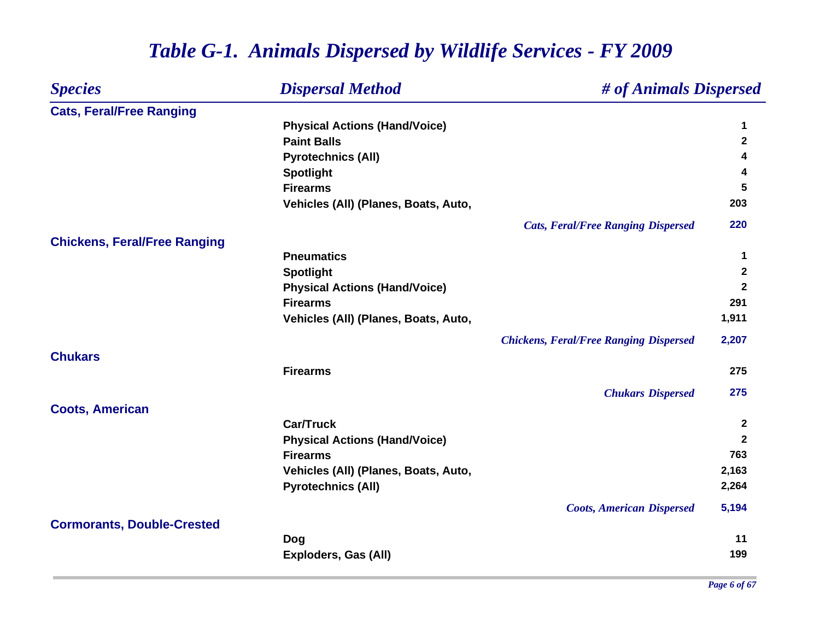| <b>Species</b>                      | <b>Dispersal Method</b>              | # of Animals Dispersed                        |              |
|-------------------------------------|--------------------------------------|-----------------------------------------------|--------------|
| <b>Cats, Feral/Free Ranging</b>     |                                      |                                               |              |
|                                     | <b>Physical Actions (Hand/Voice)</b> |                                               | 1            |
|                                     | <b>Paint Balls</b>                   |                                               | $\mathbf{2}$ |
|                                     | <b>Pyrotechnics (All)</b>            |                                               | 4            |
|                                     | <b>Spotlight</b>                     |                                               | 4            |
|                                     | <b>Firearms</b>                      |                                               | 5            |
|                                     | Vehicles (All) (Planes, Boats, Auto, |                                               | 203          |
|                                     |                                      | <b>Cats, Feral/Free Ranging Dispersed</b>     | 220          |
| <b>Chickens, Feral/Free Ranging</b> |                                      |                                               |              |
|                                     | <b>Pneumatics</b>                    |                                               | 1            |
|                                     | <b>Spotlight</b>                     |                                               | $\mathbf{2}$ |
|                                     | <b>Physical Actions (Hand/Voice)</b> |                                               | $\mathbf{2}$ |
|                                     | <b>Firearms</b>                      |                                               | 291          |
|                                     | Vehicles (All) (Planes, Boats, Auto, |                                               | 1,911        |
|                                     |                                      | <b>Chickens, Feral/Free Ranging Dispersed</b> | 2,207        |
| <b>Chukars</b>                      |                                      |                                               |              |
|                                     | <b>Firearms</b>                      |                                               | 275          |
|                                     |                                      | <b>Chukars Dispersed</b>                      | 275          |
| <b>Coots, American</b>              |                                      |                                               |              |
|                                     | <b>Car/Truck</b>                     |                                               | $\mathbf{2}$ |
|                                     | <b>Physical Actions (Hand/Voice)</b> |                                               | $\mathbf{2}$ |
|                                     | <b>Firearms</b>                      |                                               | 763          |
|                                     | Vehicles (All) (Planes, Boats, Auto, |                                               | 2,163        |
|                                     | <b>Pyrotechnics (All)</b>            |                                               | 2,264        |
|                                     |                                      | <b>Coots, American Dispersed</b>              | 5,194        |
| <b>Cormorants, Double-Crested</b>   |                                      |                                               |              |
|                                     | <b>Dog</b>                           |                                               | 11           |
|                                     | Exploders, Gas (All)                 |                                               | 199          |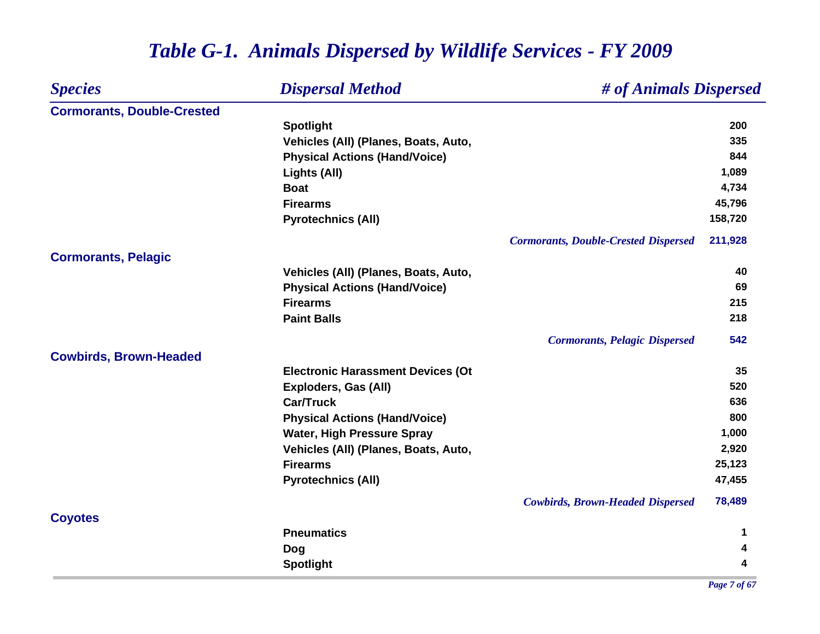#### *Species Dispersal Method # of Animals Dispersed* **Cormorants, Double-Crested Spotlight <sup>200</sup> Vehicles (All) (Planes, Boats, Auto, 335 Physical Actions (Hand/Voice) <sup>844</sup> Lights (All) 1,089 Boat 4,734 Firearms 45,796 Pyrotechnics (All) 158,720** *Cormorants, Double-Crested Dispersed* **211,928 Cormorants, Pelagic Vehicles (All) (Planes, Boats, Auto, 40 Physical Actions (Hand/Voice) <sup>69</sup> Firearms 215 Paint Balls 218** *Cormorants, Pelagic Dispersed* **542 Cowbirds, Brown-Headed Electronic Harassment Devices (Ot 35 Exploders, Gas (All) 520 Car/Truck 636 Physical Actions (Hand/Voice) <sup>800</sup> Water, High Pressure Spray 1,000 Vehicles (All) (Planes, Boats, Auto, 2,920 Firearms 25,123 Pyrotechnics (All) 47,455** *Cowbirds, Brown-Headed Dispersed* **78,489 Coyotes Pneumatics 1 Dog <sup>4</sup> Spotlight <sup>4</sup>**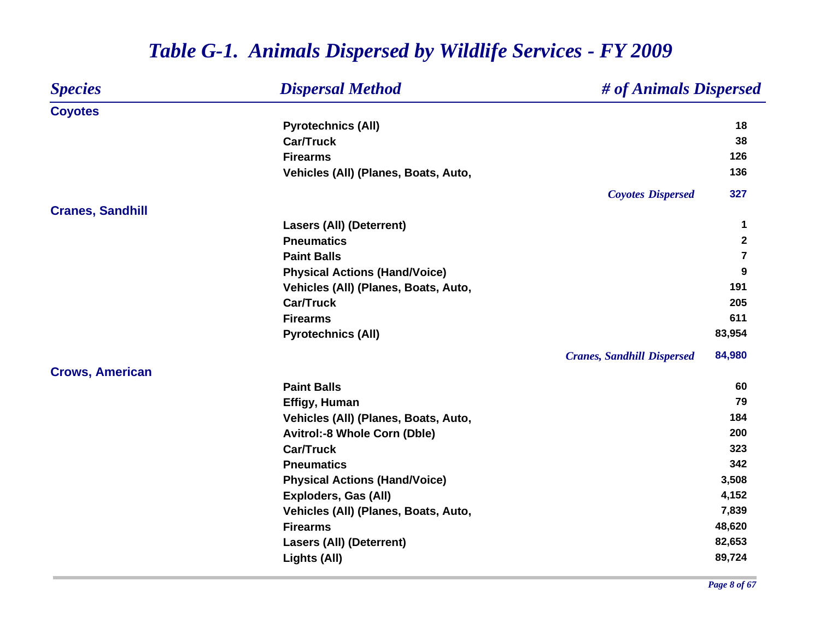#### *Species Dispersal Method # of Animals Dispersed* **Coyotes Pyrotechnics (All) <sup>18</sup> Car/Truck 38 Firearms 126 Vehicles (All) (Planes, Boats, Auto, 136** *Coyotes Dispersed* **327 Cranes, Sandhill Lasers (All) (Deterrent) <sup>1</sup> Pneumatics 2 Paint Balls 7 Physical Actions (Hand/Voice) <sup>9</sup>** Vehicles (All) (Planes, Boats, Auto, 191 **Car/Truck 205 Firearms 611 Pyrotechnics (All) 83,954** *Cranes, Sandhill Dispersed* **84,980 Crows, American Paint Balls 60 Effigy, Human <sup>79</sup>** Vehicles (All) (Planes, Boats, Auto, 184 **Avitrol:-8 Whole Corn (Dble) 200 Car/Truck 323 Pneumatics 342 Physical Actions (Hand/Voice) 3,508 Exploders, Gas (All) 4,152** Vehicles (All) (Planes, Boats, Auto, 7,839 **Firearms 48,620 Lasers (All) (Deterrent) 82,653 Lights (All) 89,724**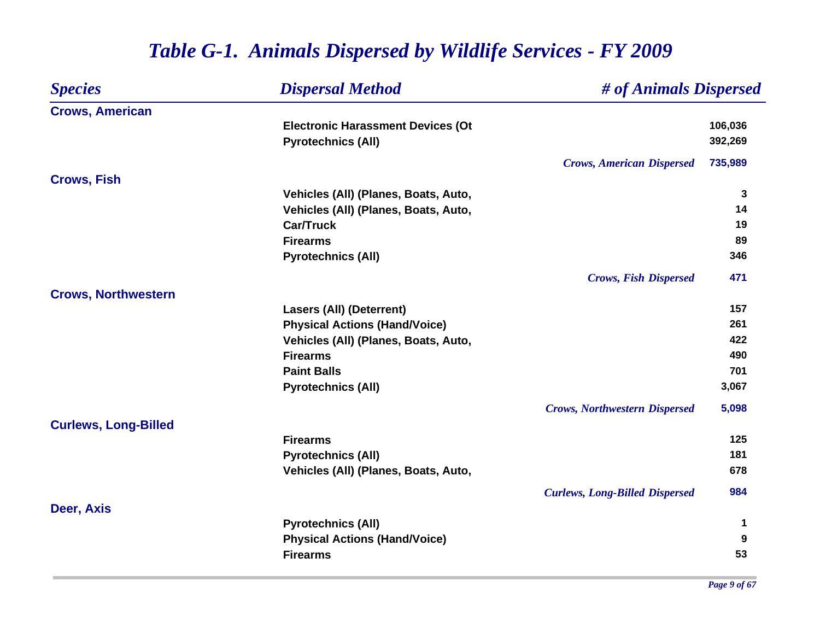| <b>Species</b>              | <b>Dispersal Method</b>                  | # of Animals Dispersed                |         |
|-----------------------------|------------------------------------------|---------------------------------------|---------|
| <b>Crows, American</b>      |                                          |                                       |         |
|                             | <b>Electronic Harassment Devices (Ot</b> |                                       | 106,036 |
|                             | <b>Pyrotechnics (All)</b>                |                                       | 392,269 |
|                             |                                          | <b>Crows, American Dispersed</b>      | 735,989 |
| <b>Crows, Fish</b>          |                                          |                                       |         |
|                             | Vehicles (All) (Planes, Boats, Auto,     |                                       | 3       |
|                             | Vehicles (All) (Planes, Boats, Auto,     |                                       | 14      |
|                             | <b>Car/Truck</b>                         |                                       | 19      |
|                             | <b>Firearms</b>                          |                                       | 89      |
|                             | <b>Pyrotechnics (All)</b>                |                                       | 346     |
|                             |                                          | <b>Crows, Fish Dispersed</b>          | 471     |
| <b>Crows, Northwestern</b>  |                                          |                                       |         |
|                             | <b>Lasers (All) (Deterrent)</b>          |                                       | 157     |
|                             | <b>Physical Actions (Hand/Voice)</b>     |                                       | 261     |
|                             | Vehicles (All) (Planes, Boats, Auto,     |                                       | 422     |
|                             | <b>Firearms</b>                          |                                       | 490     |
|                             | <b>Paint Balls</b>                       |                                       | 701     |
|                             | <b>Pyrotechnics (All)</b>                |                                       | 3,067   |
|                             |                                          | <b>Crows, Northwestern Dispersed</b>  | 5,098   |
| <b>Curlews, Long-Billed</b> |                                          |                                       |         |
|                             | <b>Firearms</b>                          |                                       | 125     |
|                             | <b>Pyrotechnics (All)</b>                |                                       | 181     |
|                             | Vehicles (All) (Planes, Boats, Auto,     |                                       | 678     |
|                             |                                          | <b>Curlews, Long-Billed Dispersed</b> | 984     |
| Deer, Axis                  |                                          |                                       |         |
|                             | <b>Pyrotechnics (All)</b>                |                                       | 1       |
|                             | <b>Physical Actions (Hand/Voice)</b>     |                                       | 9       |
|                             | <b>Firearms</b>                          |                                       | 53      |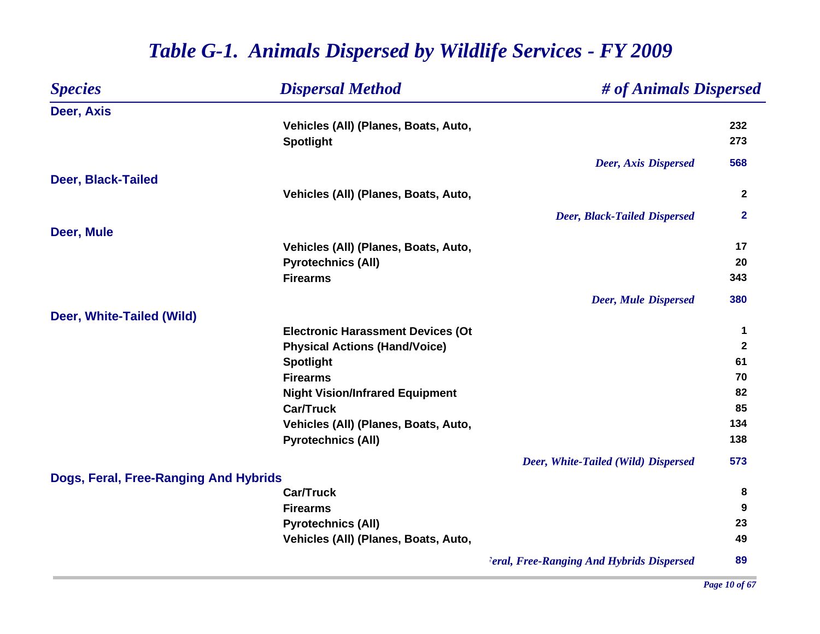| <b>Species</b>                        | <b>Dispersal Method</b>                  | # of Animals Dispersed                           |                |
|---------------------------------------|------------------------------------------|--------------------------------------------------|----------------|
| Deer, Axis                            |                                          |                                                  |                |
|                                       | Vehicles (All) (Planes, Boats, Auto,     |                                                  | 232            |
|                                       | <b>Spotlight</b>                         |                                                  | 273            |
|                                       |                                          | <b>Deer, Axis Dispersed</b>                      | 568            |
| <b>Deer, Black-Tailed</b>             |                                          |                                                  |                |
|                                       | Vehicles (All) (Planes, Boats, Auto,     |                                                  | $\overline{2}$ |
|                                       |                                          | <b>Deer, Black-Tailed Dispersed</b>              | $\mathbf{2}$   |
| Deer, Mule                            |                                          |                                                  |                |
|                                       | Vehicles (All) (Planes, Boats, Auto,     |                                                  | 17             |
|                                       | <b>Pyrotechnics (All)</b>                |                                                  | 20             |
|                                       | <b>Firearms</b>                          |                                                  | 343            |
|                                       |                                          | <b>Deer, Mule Dispersed</b>                      | 380            |
| Deer, White-Tailed (Wild)             |                                          |                                                  |                |
|                                       | <b>Electronic Harassment Devices (Ot</b> |                                                  | 1              |
|                                       | <b>Physical Actions (Hand/Voice)</b>     |                                                  | $\mathbf{2}$   |
|                                       | <b>Spotlight</b>                         |                                                  | 61             |
|                                       | <b>Firearms</b>                          |                                                  | 70             |
|                                       | <b>Night Vision/Infrared Equipment</b>   |                                                  | 82             |
|                                       | <b>Car/Truck</b>                         |                                                  | 85             |
|                                       | Vehicles (All) (Planes, Boats, Auto,     |                                                  | 134            |
|                                       | <b>Pyrotechnics (All)</b>                |                                                  | 138            |
|                                       |                                          | Deer, White-Tailed (Wild) Dispersed              | 573            |
| Dogs, Feral, Free-Ranging And Hybrids |                                          |                                                  |                |
|                                       | <b>Car/Truck</b>                         |                                                  | 8              |
|                                       | <b>Firearms</b>                          |                                                  | 9              |
|                                       | <b>Pyrotechnics (All)</b>                |                                                  | 23             |
|                                       | Vehicles (All) (Planes, Boats, Auto,     |                                                  | 49             |
|                                       |                                          | <b>Peral, Free-Ranging And Hybrids Dispersed</b> | 89             |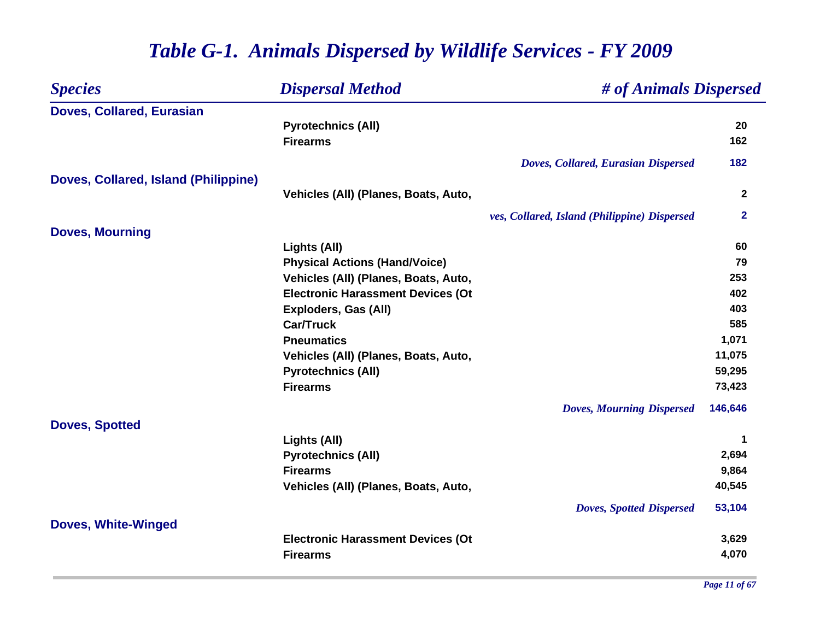| <b>Species</b>                       | <b>Dispersal Method</b>                  | # of Animals Dispersed                       |              |
|--------------------------------------|------------------------------------------|----------------------------------------------|--------------|
| <b>Doves, Collared, Eurasian</b>     |                                          |                                              |              |
|                                      | <b>Pyrotechnics (All)</b>                |                                              | 20           |
|                                      | <b>Firearms</b>                          |                                              | 162          |
|                                      |                                          | Doves, Collared, Eurasian Dispersed          | 182          |
| Doves, Collared, Island (Philippine) |                                          |                                              |              |
|                                      | Vehicles (All) (Planes, Boats, Auto,     |                                              | $\mathbf{2}$ |
|                                      |                                          | ves, Collared, Island (Philippine) Dispersed | $\mathbf{2}$ |
| <b>Doves, Mourning</b>               |                                          |                                              |              |
|                                      | Lights (All)                             |                                              | 60           |
|                                      | <b>Physical Actions (Hand/Voice)</b>     |                                              | 79           |
|                                      | Vehicles (All) (Planes, Boats, Auto,     |                                              | 253          |
|                                      | <b>Electronic Harassment Devices (Ot</b> |                                              | 402          |
|                                      | Exploders, Gas (All)                     |                                              | 403          |
|                                      | <b>Car/Truck</b>                         |                                              | 585          |
|                                      | <b>Pneumatics</b>                        |                                              | 1,071        |
|                                      | Vehicles (All) (Planes, Boats, Auto,     |                                              | 11,075       |
|                                      | <b>Pyrotechnics (All)</b>                |                                              | 59,295       |
|                                      | <b>Firearms</b>                          |                                              | 73,423       |
|                                      |                                          | <b>Doves, Mourning Dispersed</b>             | 146,646      |
| <b>Doves, Spotted</b>                |                                          |                                              |              |
|                                      | Lights (All)                             |                                              | 1            |
|                                      | <b>Pyrotechnics (All)</b>                |                                              | 2,694        |
|                                      | <b>Firearms</b>                          |                                              | 9,864        |
|                                      | Vehicles (All) (Planes, Boats, Auto,     |                                              | 40,545       |
|                                      |                                          | <b>Doves, Spotted Dispersed</b>              | 53,104       |
| <b>Doves, White-Winged</b>           |                                          |                                              |              |
|                                      | <b>Electronic Harassment Devices (Ot</b> |                                              | 3,629        |
|                                      | <b>Firearms</b>                          |                                              | 4,070        |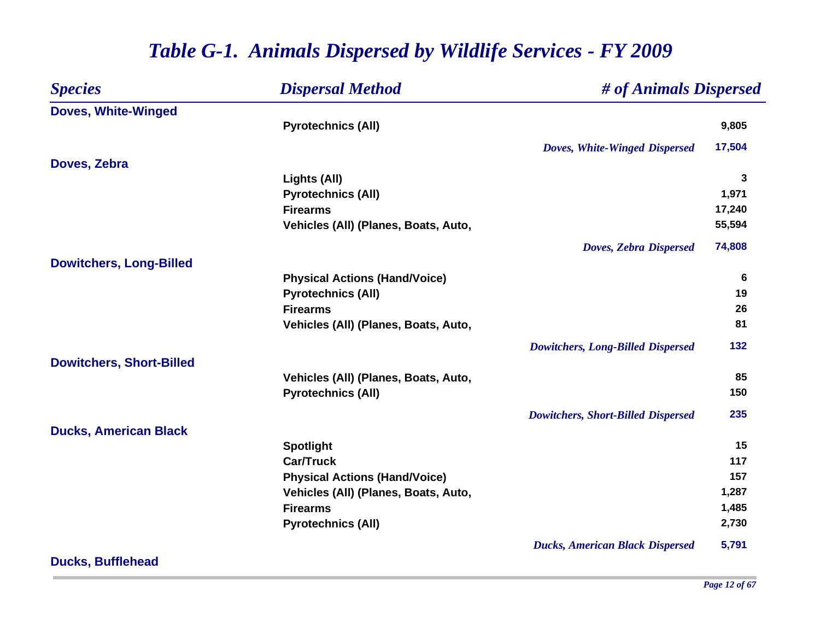| <b>Species</b>                  | <b>Dispersal Method</b>              | # of Animals Dispersed                    |              |
|---------------------------------|--------------------------------------|-------------------------------------------|--------------|
| <b>Doves, White-Winged</b>      |                                      |                                           |              |
|                                 | <b>Pyrotechnics (All)</b>            |                                           | 9,805        |
|                                 |                                      | Doves, White-Winged Dispersed             | 17,504       |
| Doves, Zebra                    |                                      |                                           |              |
|                                 | Lights (All)                         |                                           | $\mathbf{3}$ |
|                                 | <b>Pyrotechnics (All)</b>            |                                           | 1,971        |
|                                 | <b>Firearms</b>                      |                                           | 17,240       |
|                                 | Vehicles (All) (Planes, Boats, Auto, |                                           | 55,594       |
|                                 |                                      | <b>Doves, Zebra Dispersed</b>             | 74,808       |
| <b>Dowitchers, Long-Billed</b>  |                                      |                                           |              |
|                                 | <b>Physical Actions (Hand/Voice)</b> |                                           | 6            |
|                                 | <b>Pyrotechnics (All)</b>            |                                           | 19           |
|                                 | <b>Firearms</b>                      |                                           | 26           |
|                                 | Vehicles (All) (Planes, Boats, Auto, |                                           | 81           |
|                                 |                                      | <b>Dowitchers, Long-Billed Dispersed</b>  | 132          |
| <b>Dowitchers, Short-Billed</b> |                                      |                                           |              |
|                                 | Vehicles (All) (Planes, Boats, Auto, |                                           | 85           |
|                                 | <b>Pyrotechnics (All)</b>            |                                           | 150          |
|                                 |                                      | <b>Dowitchers, Short-Billed Dispersed</b> | 235          |
| <b>Ducks, American Black</b>    |                                      |                                           |              |
|                                 | <b>Spotlight</b>                     |                                           | 15           |
|                                 | <b>Car/Truck</b>                     |                                           | 117          |
|                                 | <b>Physical Actions (Hand/Voice)</b> |                                           | 157          |
|                                 | Vehicles (All) (Planes, Boats, Auto, |                                           | 1,287        |
|                                 | <b>Firearms</b>                      |                                           | 1,485        |
|                                 | <b>Pyrotechnics (All)</b>            |                                           | 2,730        |
|                                 |                                      | <b>Ducks, American Black Dispersed</b>    | 5,791        |

**Ducks, Bufflehead**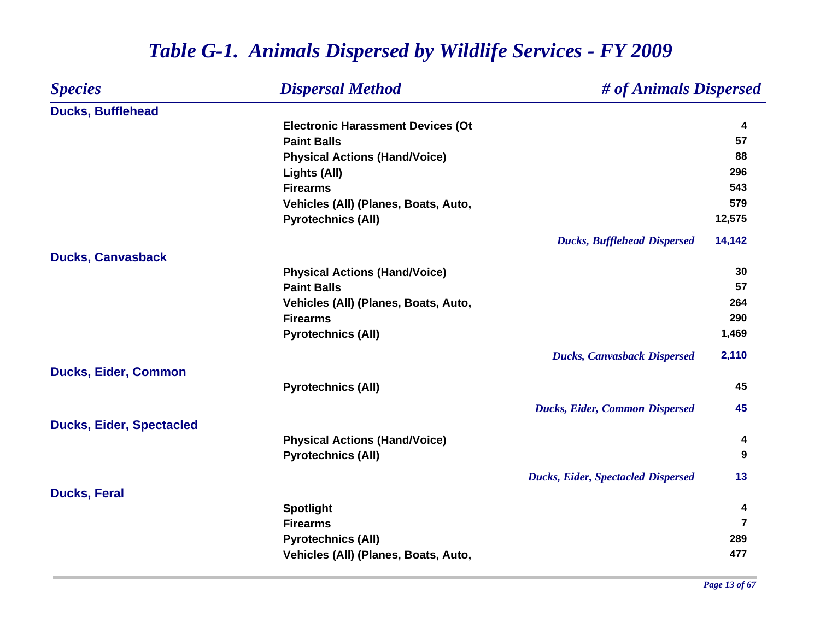| <b>Species</b>                  | <b>Dispersal Method</b>                  | # of Animals Dispersed                    |                |
|---------------------------------|------------------------------------------|-------------------------------------------|----------------|
| <b>Ducks, Bufflehead</b>        |                                          |                                           |                |
|                                 | <b>Electronic Harassment Devices (Ot</b> |                                           | 4              |
|                                 | <b>Paint Balls</b>                       |                                           | 57             |
|                                 | <b>Physical Actions (Hand/Voice)</b>     |                                           | 88             |
|                                 | Lights (All)                             |                                           | 296            |
|                                 | <b>Firearms</b>                          |                                           | 543            |
|                                 | Vehicles (All) (Planes, Boats, Auto,     |                                           | 579            |
|                                 | <b>Pyrotechnics (All)</b>                |                                           | 12,575         |
|                                 |                                          | <b>Ducks, Bufflehead Dispersed</b>        | 14,142         |
| <b>Ducks, Canvasback</b>        |                                          |                                           |                |
|                                 | <b>Physical Actions (Hand/Voice)</b>     |                                           | 30             |
|                                 | <b>Paint Balls</b>                       |                                           | 57             |
|                                 | Vehicles (All) (Planes, Boats, Auto,     |                                           | 264            |
|                                 | <b>Firearms</b>                          |                                           | 290            |
|                                 | <b>Pyrotechnics (All)</b>                |                                           | 1,469          |
|                                 |                                          | <b>Ducks, Canvasback Dispersed</b>        | 2,110          |
| <b>Ducks, Eider, Common</b>     |                                          |                                           |                |
|                                 | <b>Pyrotechnics (All)</b>                |                                           | 45             |
|                                 |                                          | <b>Ducks, Eider, Common Dispersed</b>     | 45             |
| <b>Ducks, Eider, Spectacled</b> |                                          |                                           |                |
|                                 | <b>Physical Actions (Hand/Voice)</b>     |                                           | 4              |
|                                 | <b>Pyrotechnics (All)</b>                |                                           | 9              |
|                                 |                                          | <b>Ducks, Eider, Spectacled Dispersed</b> | 13             |
| <b>Ducks, Feral</b>             |                                          |                                           |                |
|                                 | <b>Spotlight</b>                         |                                           | 4              |
|                                 | <b>Firearms</b>                          |                                           | $\overline{7}$ |
|                                 | <b>Pyrotechnics (All)</b>                |                                           | 289            |
|                                 | Vehicles (All) (Planes, Boats, Auto,     |                                           | 477            |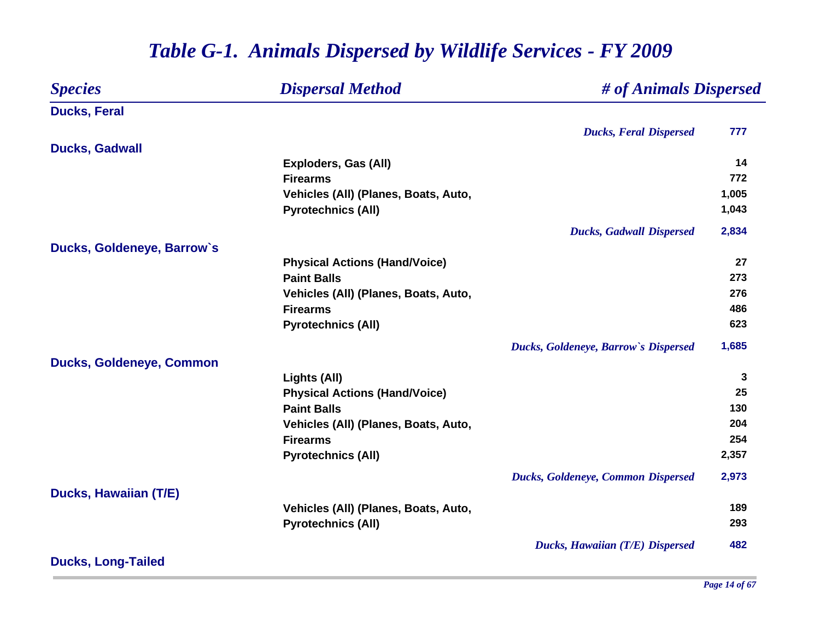#### *Species Dispersal Method # of Animals Dispersed* **Ducks, Feral** *Ducks, Feral Dispersed* **777 Ducks, Gadwall Exploders, Gas (All) <sup>14</sup> Firearms 772** Vehicles (All) (Planes, Boats, Auto, 1,005 **Pyrotechnics (All) 1,043** *Ducks, Gadwall Dispersed* **2,834 Ducks, Goldeneye, Barrow`s Physical Actions (Hand/Voice) <sup>27</sup> Paint Balls 273 Vehicles (All) (Planes, Boats, Auto, 276 Firearms 486 Pyrotechnics (All) <sup>623</sup>** *Ducks, Goldeneye, Barrow`s Dispersed* **1,685 Ducks, Goldeneye, Common Lights (All) <sup>3</sup> Physical Actions (Hand/Voice) 25 Paint Balls130 Vehicles (All) (Planes, Boats, Auto, 204 Firearms 254 Pyrotechnics (All) 2,357** *Ducks, Goldeneye, Common Dispersed* **2,973 Ducks, Hawaiian (T/E) Vehicles (All) (Planes, Boats, Auto, 189 Pyrotechnics (All) <sup>293</sup>** *Ducks, Hawaiian (T/E) Dispersed* **482 Ducks, Long-Tailed**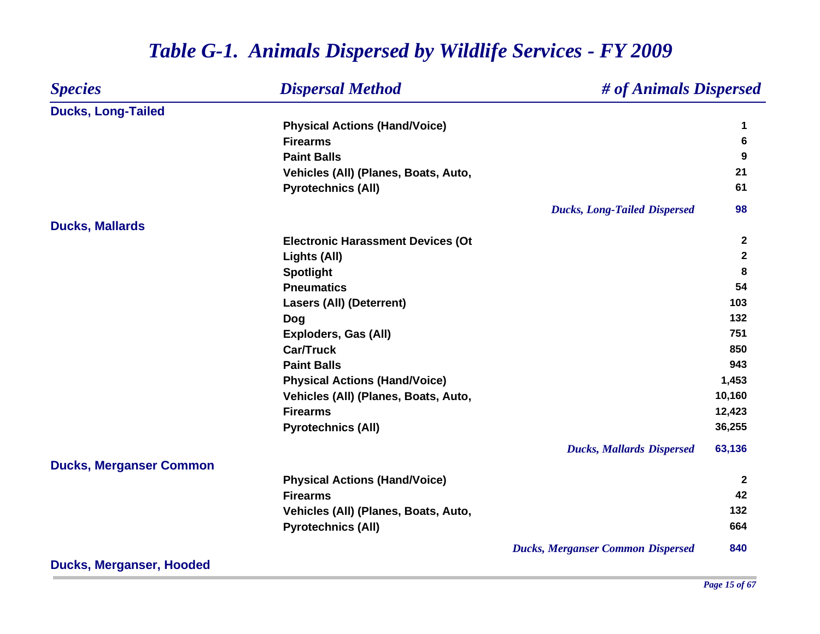#### *Species Dispersal Method # of Animals Dispersed* **Ducks, Long-Tailed Physical Actions (Hand/Voice) <sup>1</sup> Firearms 6 Paint Balls 9 Vehicles (All) (Planes, Boats, Auto, 21 Pyrotechnics (All) <sup>61</sup>** *Ducks, Long-Tailed Dispersed* **98 Ducks, Mallards Electronic Harassment Devices (Ot <sup>2</sup> Lights (All) <sup>2</sup> Spotlight <sup>8</sup> Pneumatics 54 Lasers (All) (Deterrent) 103 Dog <sup>132</sup> Exploders, Gas (All) 751 Car/Truck 850 Paint Balls 943 Physical Actions (Hand/Voice) 1,453** Vehicles (All) (Planes, Boats, Auto, 10,160 **Firearms 12,423 Pyrotechnics (All) 36,255** *Ducks, Mallards Dispersed* **63,136 Ducks, Merganser Common Physical Actions (Hand/Voice) <sup>2</sup> Firearms 42** Vehicles (All) (Planes, Boats, Auto, 132 **Pyrotechnics (All) <sup>664</sup>** *Ducks, Merganser Common Dispersed* **840**

#### *Table G-1. Animals Dispersed by Wildlife Services - FY 2009*

**Ducks, Merganser, Hooded**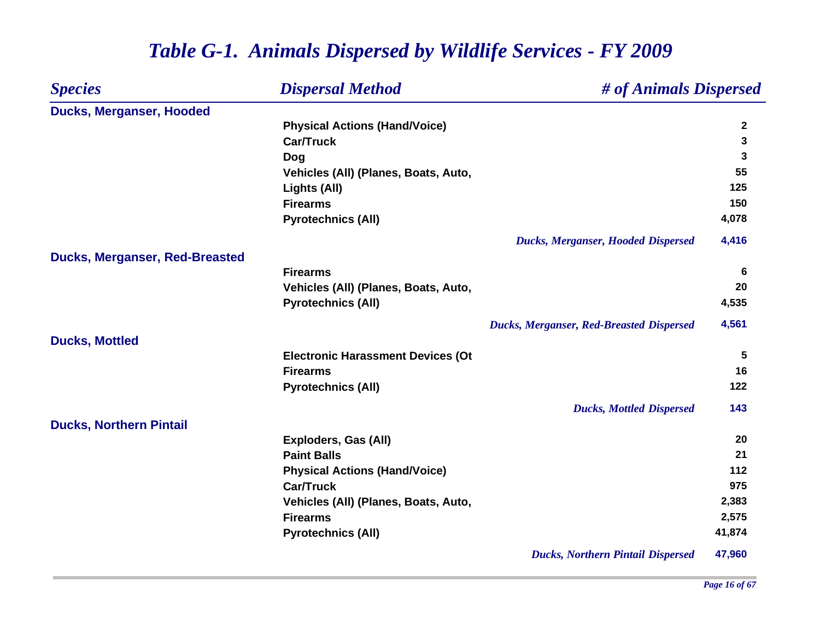#### *Species Dispersal Method # of Animals Dispersed* **Ducks, Merganser, Hooded Physical Actions (Hand/Voice) <sup>2</sup> Car/Truck 3 Dog <sup>3</sup> Vehicles (All) (Planes, Boats, Auto, 55 Lights (All) <sup>125</sup> Firearms150 150 Pyrotechnics (All) 4,078** *Ducks, Merganser, Hooded Dispersed* **4,416 Ducks, Merganser, Red-Breasted Firearms 6 Vehicles (All) (Planes, Boats, Auto, 20 Pyrotechnics (All) 4,535** *Ducks, Merganser, Red-Breasted Dispersed* **4,561 Ducks, Mottled Electronic Harassment Devices (Ot 5 Firearms 16 Pyrotechnics (All) <sup>122</sup>** *Ducks, Mottled Dispersed* **143 Ducks, Northern Pintail Exploders, Gas (All) 20 Paint Balls21 21 Physical Actions (Hand/Voice) <sup>112</sup> Car/Truck 975 Vehicles (All) (Planes, Boats, Auto, 2,383 Firearms 2,575 Pyrotechnics (All) 41,874** *Ducks, Northern Pintail Dispersed* **47,960**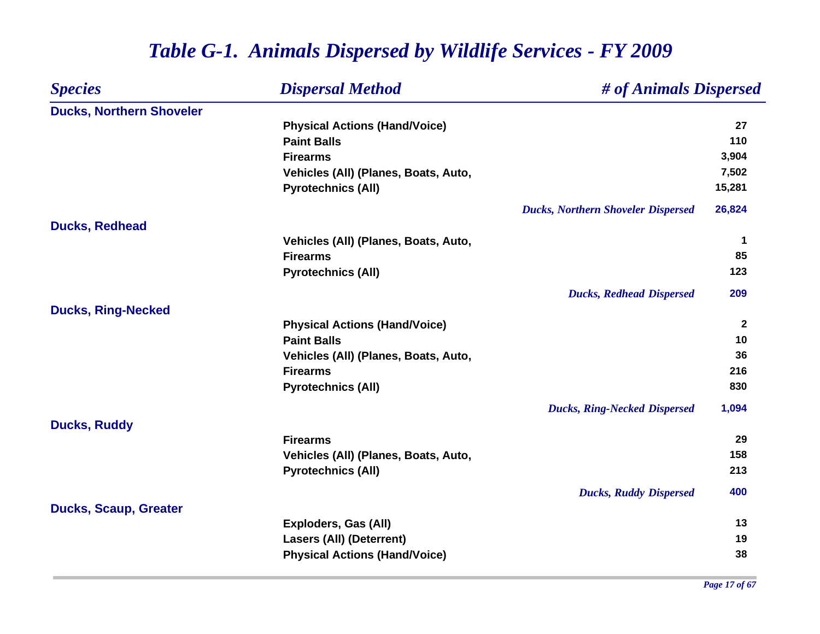| <b>Species</b>                  | <b>Dispersal Method</b>              | # of Animals Dispersed                    |              |
|---------------------------------|--------------------------------------|-------------------------------------------|--------------|
| <b>Ducks, Northern Shoveler</b> |                                      |                                           |              |
|                                 | <b>Physical Actions (Hand/Voice)</b> |                                           | 27           |
|                                 | <b>Paint Balls</b>                   |                                           | 110          |
|                                 | <b>Firearms</b>                      |                                           | 3,904        |
|                                 | Vehicles (All) (Planes, Boats, Auto, |                                           | 7,502        |
|                                 | <b>Pyrotechnics (All)</b>            |                                           | 15,281       |
|                                 |                                      | <b>Ducks, Northern Shoveler Dispersed</b> | 26,824       |
| <b>Ducks, Redhead</b>           |                                      |                                           |              |
|                                 | Vehicles (All) (Planes, Boats, Auto, |                                           | $\mathbf 1$  |
|                                 | <b>Firearms</b>                      |                                           | 85           |
|                                 | <b>Pyrotechnics (All)</b>            |                                           | 123          |
|                                 |                                      | <b>Ducks, Redhead Dispersed</b>           | 209          |
| <b>Ducks, Ring-Necked</b>       |                                      |                                           |              |
|                                 | <b>Physical Actions (Hand/Voice)</b> |                                           | $\mathbf{2}$ |
|                                 | <b>Paint Balls</b>                   |                                           | 10           |
|                                 | Vehicles (All) (Planes, Boats, Auto, |                                           | 36           |
|                                 | <b>Firearms</b>                      |                                           | 216          |
|                                 | <b>Pyrotechnics (All)</b>            |                                           | 830          |
|                                 |                                      | <b>Ducks, Ring-Necked Dispersed</b>       | 1,094        |
| <b>Ducks, Ruddy</b>             |                                      |                                           |              |
|                                 | <b>Firearms</b>                      |                                           | 29           |
|                                 | Vehicles (All) (Planes, Boats, Auto, |                                           | 158          |
|                                 | <b>Pyrotechnics (All)</b>            |                                           | 213          |
|                                 |                                      | <b>Ducks, Ruddy Dispersed</b>             | 400          |
| <b>Ducks, Scaup, Greater</b>    |                                      |                                           |              |
|                                 | Exploders, Gas (All)                 |                                           | 13           |
|                                 | <b>Lasers (All) (Deterrent)</b>      |                                           | 19           |
|                                 | <b>Physical Actions (Hand/Voice)</b> |                                           | 38           |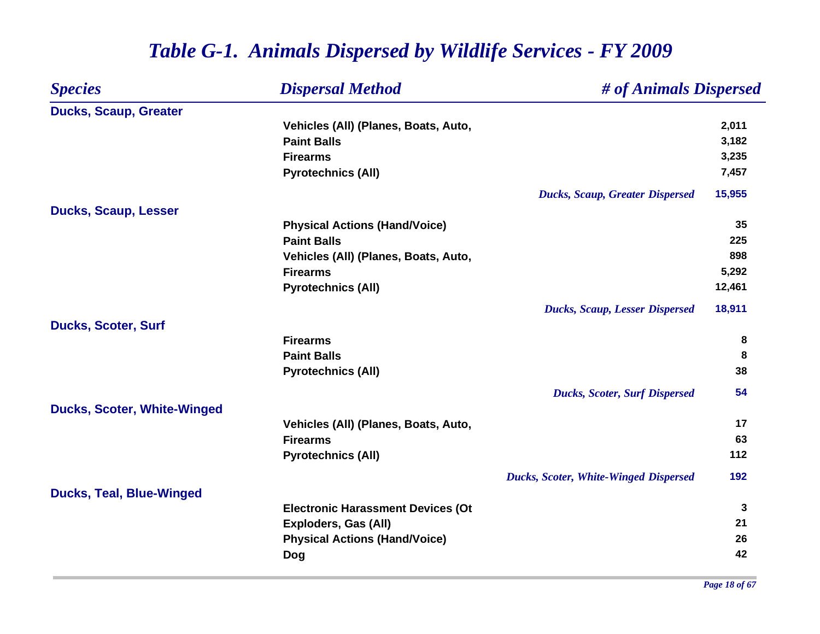| <b>Species</b>                     | <b>Dispersal Method</b>                  | # of Animals Dispersed                       |              |
|------------------------------------|------------------------------------------|----------------------------------------------|--------------|
| <b>Ducks, Scaup, Greater</b>       |                                          |                                              |              |
|                                    | Vehicles (All) (Planes, Boats, Auto,     |                                              | 2,011        |
|                                    | <b>Paint Balls</b>                       |                                              | 3,182        |
|                                    | <b>Firearms</b>                          |                                              | 3,235        |
|                                    | <b>Pyrotechnics (All)</b>                |                                              | 7,457        |
|                                    |                                          | <b>Ducks, Scaup, Greater Dispersed</b>       | 15,955       |
| <b>Ducks, Scaup, Lesser</b>        |                                          |                                              |              |
|                                    | <b>Physical Actions (Hand/Voice)</b>     |                                              | 35           |
|                                    | <b>Paint Balls</b>                       |                                              | 225          |
|                                    | Vehicles (All) (Planes, Boats, Auto,     |                                              | 898          |
|                                    | <b>Firearms</b>                          |                                              | 5,292        |
|                                    | <b>Pyrotechnics (All)</b>                |                                              | 12,461       |
|                                    |                                          | <b>Ducks, Scaup, Lesser Dispersed</b>        | 18,911       |
| <b>Ducks, Scoter, Surf</b>         |                                          |                                              |              |
|                                    | <b>Firearms</b>                          |                                              | 8            |
|                                    | <b>Paint Balls</b>                       |                                              | 8            |
|                                    | <b>Pyrotechnics (All)</b>                |                                              | 38           |
|                                    |                                          | <b>Ducks, Scoter, Surf Dispersed</b>         | 54           |
| <b>Ducks, Scoter, White-Winged</b> |                                          |                                              |              |
|                                    | Vehicles (All) (Planes, Boats, Auto,     |                                              | 17           |
|                                    | <b>Firearms</b>                          |                                              | 63           |
|                                    | <b>Pyrotechnics (All)</b>                |                                              | 112          |
|                                    |                                          | <b>Ducks, Scoter, White-Winged Dispersed</b> | 192          |
| <b>Ducks, Teal, Blue-Winged</b>    |                                          |                                              |              |
|                                    | <b>Electronic Harassment Devices (Ot</b> |                                              | $\mathbf{3}$ |
|                                    | <b>Exploders, Gas (All)</b>              |                                              | 21           |
|                                    | <b>Physical Actions (Hand/Voice)</b>     |                                              | 26           |
|                                    | Dog                                      |                                              | 42           |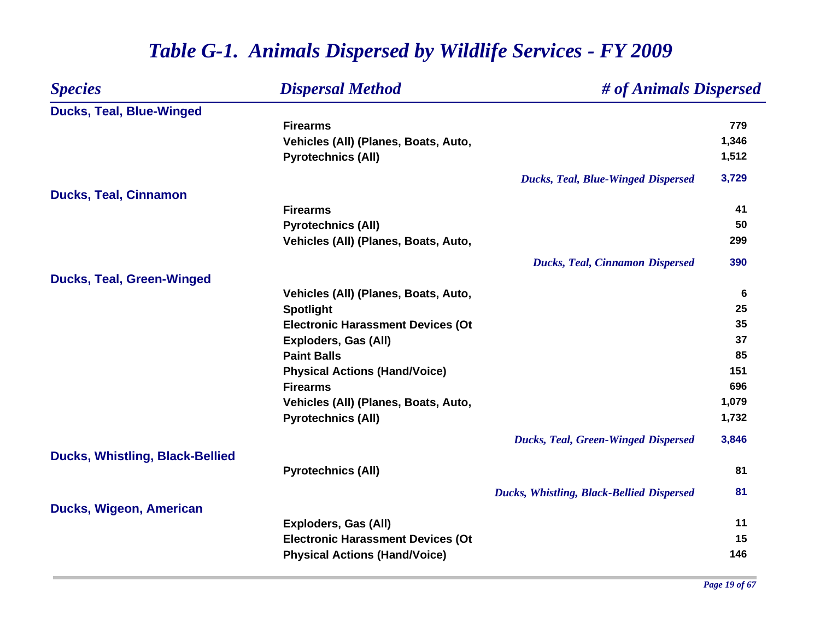| <b>Species</b>                         | <b>Dispersal Method</b>                  | # of Animals Dispersed                           |       |
|----------------------------------------|------------------------------------------|--------------------------------------------------|-------|
| <b>Ducks, Teal, Blue-Winged</b>        |                                          |                                                  |       |
|                                        | <b>Firearms</b>                          |                                                  | 779   |
|                                        | Vehicles (All) (Planes, Boats, Auto,     |                                                  | 1,346 |
|                                        | <b>Pyrotechnics (All)</b>                |                                                  | 1,512 |
|                                        |                                          | <b>Ducks, Teal, Blue-Winged Dispersed</b>        | 3,729 |
| <b>Ducks, Teal, Cinnamon</b>           |                                          |                                                  |       |
|                                        | <b>Firearms</b>                          |                                                  | 41    |
|                                        | <b>Pyrotechnics (All)</b>                |                                                  | 50    |
|                                        | Vehicles (All) (Planes, Boats, Auto,     |                                                  | 299   |
|                                        |                                          | <b>Ducks, Teal, Cinnamon Dispersed</b>           | 390   |
| <b>Ducks, Teal, Green-Winged</b>       |                                          |                                                  |       |
|                                        | Vehicles (All) (Planes, Boats, Auto,     |                                                  | 6     |
|                                        | <b>Spotlight</b>                         |                                                  | 25    |
|                                        | <b>Electronic Harassment Devices (Ot</b> |                                                  | 35    |
|                                        | <b>Exploders, Gas (All)</b>              |                                                  | 37    |
|                                        | <b>Paint Balls</b>                       |                                                  | 85    |
|                                        | <b>Physical Actions (Hand/Voice)</b>     |                                                  | 151   |
|                                        | <b>Firearms</b>                          |                                                  | 696   |
|                                        | Vehicles (All) (Planes, Boats, Auto,     |                                                  | 1,079 |
|                                        | <b>Pyrotechnics (All)</b>                |                                                  | 1,732 |
|                                        |                                          | <b>Ducks, Teal, Green-Winged Dispersed</b>       | 3,846 |
| <b>Ducks, Whistling, Black-Bellied</b> | <b>Pyrotechnics (All)</b>                |                                                  | 81    |
|                                        |                                          |                                                  |       |
|                                        |                                          | <b>Ducks, Whistling, Black-Bellied Dispersed</b> | 81    |
| Ducks, Wigeon, American                |                                          |                                                  | 11    |
|                                        | Exploders, Gas (All)                     |                                                  |       |
|                                        | <b>Electronic Harassment Devices (Ot</b> |                                                  | 15    |
|                                        | <b>Physical Actions (Hand/Voice)</b>     |                                                  | 146   |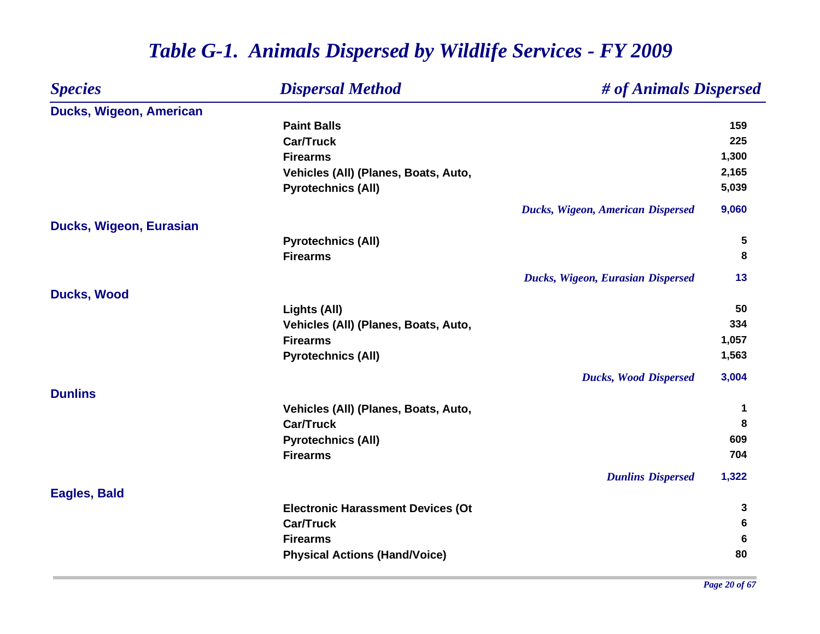| <b>Species</b>          | <b>Dispersal Method</b>                  | # of Animals Dispersed            |       |
|-------------------------|------------------------------------------|-----------------------------------|-------|
| Ducks, Wigeon, American |                                          |                                   |       |
|                         | <b>Paint Balls</b>                       |                                   | 159   |
|                         | <b>Car/Truck</b>                         |                                   | 225   |
|                         | <b>Firearms</b>                          |                                   | 1,300 |
|                         | Vehicles (All) (Planes, Boats, Auto,     |                                   | 2,165 |
|                         | <b>Pyrotechnics (All)</b>                |                                   | 5,039 |
|                         |                                          | Ducks, Wigeon, American Dispersed | 9,060 |
| Ducks, Wigeon, Eurasian |                                          |                                   |       |
|                         | <b>Pyrotechnics (All)</b>                |                                   | 5     |
|                         | <b>Firearms</b>                          |                                   | 8     |
|                         |                                          | Ducks, Wigeon, Eurasian Dispersed | 13    |
| <b>Ducks, Wood</b>      |                                          |                                   |       |
|                         | Lights (All)                             |                                   | 50    |
|                         | Vehicles (All) (Planes, Boats, Auto,     |                                   | 334   |
|                         | <b>Firearms</b>                          |                                   | 1,057 |
|                         | <b>Pyrotechnics (All)</b>                |                                   | 1,563 |
|                         |                                          | <b>Ducks, Wood Dispersed</b>      | 3,004 |
| <b>Dunlins</b>          |                                          |                                   |       |
|                         | Vehicles (All) (Planes, Boats, Auto,     |                                   | 1     |
|                         | <b>Car/Truck</b>                         |                                   | 8     |
|                         | <b>Pyrotechnics (All)</b>                |                                   | 609   |
|                         | <b>Firearms</b>                          |                                   | 704   |
|                         |                                          | <b>Dunlins Dispersed</b>          | 1,322 |
| <b>Eagles, Bald</b>     |                                          |                                   |       |
|                         | <b>Electronic Harassment Devices (Ot</b> |                                   | 3     |
|                         | <b>Car/Truck</b>                         |                                   | 6     |
|                         | <b>Firearms</b>                          |                                   | 6     |
|                         | <b>Physical Actions (Hand/Voice)</b>     |                                   | 80    |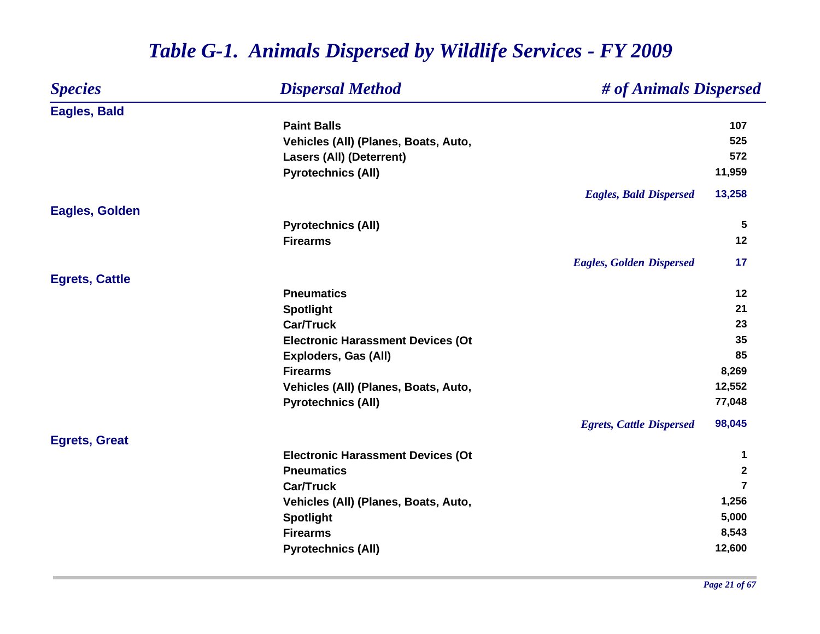| <b>Species</b>        | <b>Dispersal Method</b>                  | # of Animals Dispersed          |                |
|-----------------------|------------------------------------------|---------------------------------|----------------|
| <b>Eagles, Bald</b>   |                                          |                                 |                |
|                       | <b>Paint Balls</b>                       |                                 | 107            |
|                       | Vehicles (All) (Planes, Boats, Auto,     |                                 | 525            |
|                       | <b>Lasers (All) (Deterrent)</b>          |                                 | 572            |
|                       | <b>Pyrotechnics (All)</b>                |                                 | 11,959         |
|                       |                                          | <b>Eagles, Bald Dispersed</b>   | 13,258         |
| <b>Eagles, Golden</b> |                                          |                                 |                |
|                       | <b>Pyrotechnics (All)</b>                |                                 | 5              |
|                       | <b>Firearms</b>                          |                                 | 12             |
|                       |                                          | <b>Eagles, Golden Dispersed</b> | 17             |
| <b>Egrets, Cattle</b> |                                          |                                 |                |
|                       | <b>Pneumatics</b>                        |                                 | 12             |
|                       | <b>Spotlight</b>                         |                                 | 21             |
|                       | <b>Car/Truck</b>                         |                                 | 23             |
|                       | <b>Electronic Harassment Devices (Ot</b> |                                 | 35             |
|                       | Exploders, Gas (All)                     |                                 | 85             |
|                       | <b>Firearms</b>                          |                                 | 8,269          |
|                       | Vehicles (All) (Planes, Boats, Auto,     |                                 | 12,552         |
|                       | <b>Pyrotechnics (All)</b>                |                                 | 77,048         |
|                       |                                          | <b>Egrets, Cattle Dispersed</b> | 98,045         |
| <b>Egrets, Great</b>  |                                          |                                 |                |
|                       | <b>Electronic Harassment Devices (Ot</b> |                                 | 1              |
|                       | <b>Pneumatics</b>                        |                                 | $\mathbf{2}$   |
|                       | <b>Car/Truck</b>                         |                                 | $\overline{7}$ |
|                       | Vehicles (All) (Planes, Boats, Auto,     |                                 | 1,256          |
|                       | <b>Spotlight</b>                         |                                 | 5,000          |
|                       | <b>Firearms</b>                          |                                 | 8,543          |
|                       | <b>Pyrotechnics (All)</b>                |                                 | 12,600         |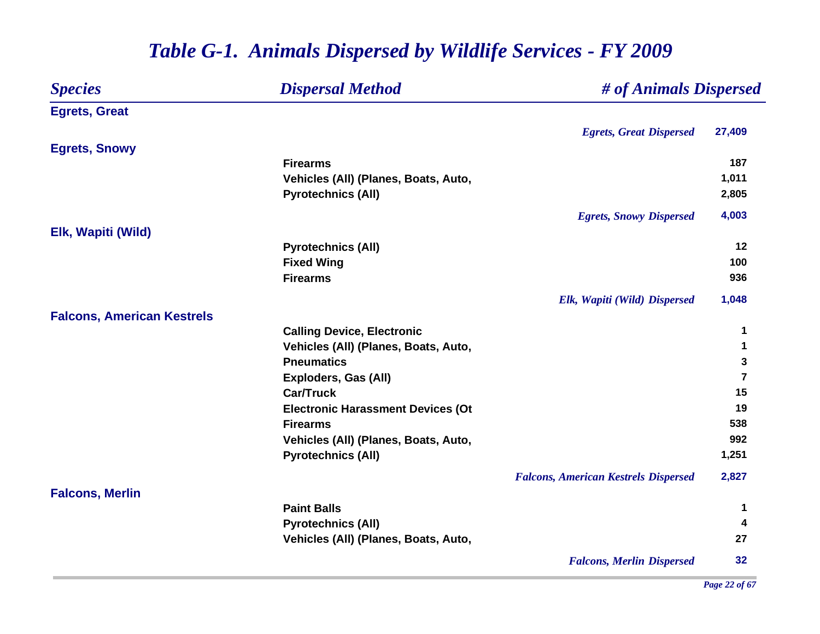| <b>Species</b>                    | <b>Dispersal Method</b>                  | # of Animals Dispersed                      |                |
|-----------------------------------|------------------------------------------|---------------------------------------------|----------------|
| <b>Egrets, Great</b>              |                                          |                                             |                |
|                                   |                                          | <b>Egrets, Great Dispersed</b>              | 27,409         |
| <b>Egrets, Snowy</b>              |                                          |                                             |                |
|                                   | <b>Firearms</b>                          |                                             | 187            |
|                                   | Vehicles (All) (Planes, Boats, Auto,     |                                             | 1,011          |
|                                   | <b>Pyrotechnics (All)</b>                |                                             | 2,805          |
|                                   |                                          | <b>Egrets, Snowy Dispersed</b>              | 4,003          |
| Elk, Wapiti (Wild)                |                                          |                                             |                |
|                                   | <b>Pyrotechnics (All)</b>                |                                             | 12             |
|                                   | <b>Fixed Wing</b>                        |                                             | 100            |
|                                   | <b>Firearms</b>                          |                                             | 936            |
|                                   |                                          | Elk, Wapiti (Wild) Dispersed                | 1,048          |
| <b>Falcons, American Kestrels</b> |                                          |                                             |                |
|                                   | <b>Calling Device, Electronic</b>        |                                             | 1              |
|                                   | Vehicles (All) (Planes, Boats, Auto,     |                                             | 1              |
|                                   | <b>Pneumatics</b>                        |                                             | 3              |
|                                   | <b>Exploders, Gas (All)</b>              |                                             | $\overline{7}$ |
|                                   | <b>Car/Truck</b>                         |                                             | 15             |
|                                   | <b>Electronic Harassment Devices (Ot</b> |                                             | 19             |
|                                   | <b>Firearms</b>                          |                                             | 538            |
|                                   | Vehicles (All) (Planes, Boats, Auto,     |                                             | 992            |
|                                   | <b>Pyrotechnics (All)</b>                |                                             | 1,251          |
|                                   |                                          | <b>Falcons, American Kestrels Dispersed</b> | 2,827          |
| <b>Falcons, Merlin</b>            |                                          |                                             |                |
|                                   | <b>Paint Balls</b>                       |                                             | 1              |
|                                   | <b>Pyrotechnics (All)</b>                |                                             | 4              |
|                                   | Vehicles (All) (Planes, Boats, Auto,     |                                             | 27             |
|                                   |                                          | <b>Falcons, Merlin Dispersed</b>            | 32             |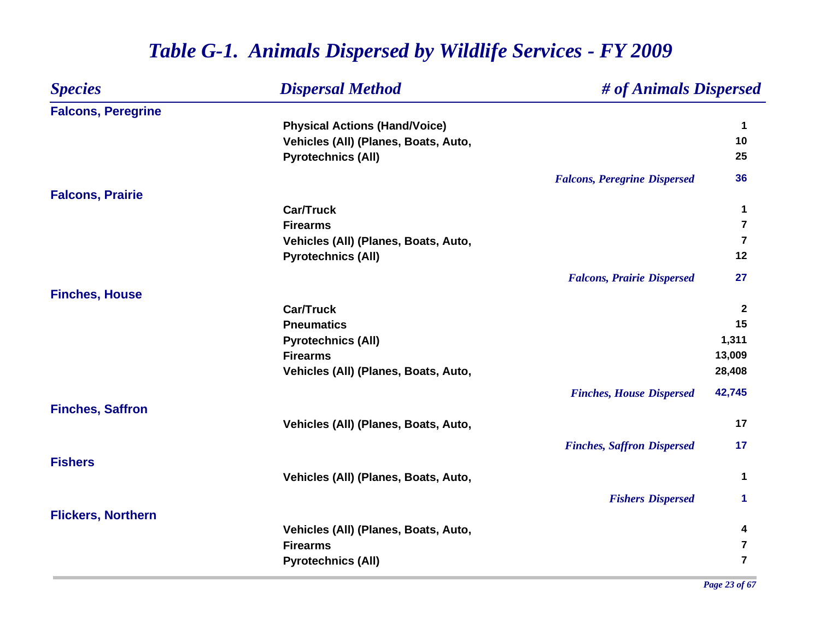| <b>Species</b>            | <b>Dispersal Method</b>              | # of Animals Dispersed              |                         |
|---------------------------|--------------------------------------|-------------------------------------|-------------------------|
| <b>Falcons, Peregrine</b> |                                      |                                     |                         |
|                           | <b>Physical Actions (Hand/Voice)</b> |                                     | $\mathbf 1$             |
|                           | Vehicles (All) (Planes, Boats, Auto, |                                     | 10                      |
|                           | <b>Pyrotechnics (All)</b>            |                                     | 25                      |
|                           |                                      | <b>Falcons, Peregrine Dispersed</b> | 36                      |
| <b>Falcons, Prairie</b>   |                                      |                                     |                         |
|                           | <b>Car/Truck</b>                     |                                     | 1                       |
|                           | <b>Firearms</b>                      |                                     | $\overline{7}$          |
|                           | Vehicles (All) (Planes, Boats, Auto, |                                     | $\overline{\mathbf{z}}$ |
|                           | <b>Pyrotechnics (All)</b>            |                                     | 12                      |
|                           |                                      | <b>Falcons, Prairie Dispersed</b>   | 27                      |
| <b>Finches, House</b>     |                                      |                                     |                         |
|                           | <b>Car/Truck</b>                     |                                     | $\overline{2}$          |
|                           | <b>Pneumatics</b>                    |                                     | 15                      |
|                           | <b>Pyrotechnics (All)</b>            |                                     | 1,311                   |
|                           | <b>Firearms</b>                      |                                     | 13,009                  |
|                           | Vehicles (All) (Planes, Boats, Auto, |                                     | 28,408                  |
|                           |                                      | <b>Finches, House Dispersed</b>     | 42,745                  |
| <b>Finches, Saffron</b>   |                                      |                                     |                         |
|                           | Vehicles (All) (Planes, Boats, Auto, |                                     | 17                      |
|                           |                                      | <b>Finches, Saffron Dispersed</b>   | 17                      |
| <b>Fishers</b>            |                                      |                                     |                         |
|                           | Vehicles (All) (Planes, Boats, Auto, |                                     | $\mathbf 1$             |
|                           |                                      | <b>Fishers Dispersed</b>            | 1                       |
| <b>Flickers, Northern</b> |                                      |                                     |                         |
|                           | Vehicles (All) (Planes, Boats, Auto, |                                     | 4<br>$\overline{7}$     |
|                           | <b>Firearms</b>                      |                                     |                         |
|                           | <b>Pyrotechnics (All)</b>            |                                     | $\overline{7}$          |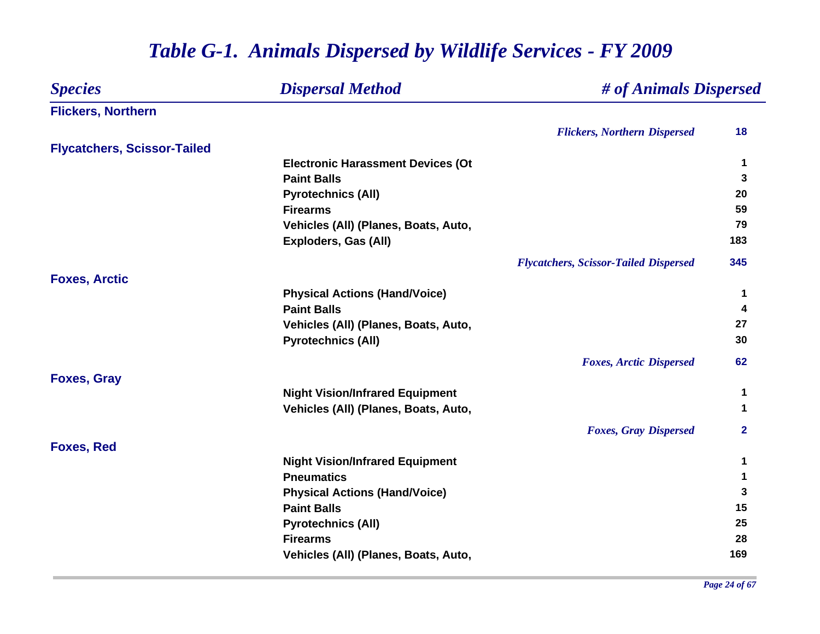| <b>Species</b><br><b>Dispersal Method</b> |                                          | # of Animals Dispersed                       |              |
|-------------------------------------------|------------------------------------------|----------------------------------------------|--------------|
| <b>Flickers, Northern</b>                 |                                          |                                              |              |
|                                           |                                          | <b>Flickers, Northern Dispersed</b>          | 18           |
| <b>Flycatchers, Scissor-Tailed</b>        |                                          |                                              |              |
|                                           | <b>Electronic Harassment Devices (Ot</b> |                                              | 1            |
|                                           | <b>Paint Balls</b>                       |                                              | 3            |
|                                           | <b>Pyrotechnics (All)</b>                |                                              | 20           |
|                                           | <b>Firearms</b>                          |                                              | 59           |
|                                           | Vehicles (All) (Planes, Boats, Auto,     |                                              | 79           |
|                                           | <b>Exploders, Gas (All)</b>              |                                              | 183          |
|                                           |                                          | <b>Flycatchers, Scissor-Tailed Dispersed</b> | 345          |
| <b>Foxes, Arctic</b>                      |                                          |                                              |              |
|                                           | <b>Physical Actions (Hand/Voice)</b>     |                                              | 1            |
|                                           | <b>Paint Balls</b>                       |                                              | 4            |
|                                           | Vehicles (All) (Planes, Boats, Auto,     |                                              | 27           |
|                                           | <b>Pyrotechnics (All)</b>                |                                              | 30           |
|                                           |                                          | <b>Foxes, Arctic Dispersed</b>               | 62           |
| <b>Foxes, Gray</b>                        |                                          |                                              |              |
|                                           | <b>Night Vision/Infrared Equipment</b>   |                                              | 1            |
|                                           | Vehicles (All) (Planes, Boats, Auto,     |                                              | 1            |
|                                           |                                          | <b>Foxes, Gray Dispersed</b>                 | $\mathbf{2}$ |
| <b>Foxes, Red</b>                         |                                          |                                              |              |
|                                           | <b>Night Vision/Infrared Equipment</b>   |                                              | $\mathbf 1$  |
|                                           | <b>Pneumatics</b>                        |                                              | 1            |
|                                           | <b>Physical Actions (Hand/Voice)</b>     |                                              | 3            |
|                                           | <b>Paint Balls</b>                       |                                              | 15           |
|                                           | <b>Pyrotechnics (All)</b>                |                                              | 25           |
|                                           | <b>Firearms</b>                          |                                              | 28           |
|                                           | Vehicles (All) (Planes, Boats, Auto,     |                                              | 169          |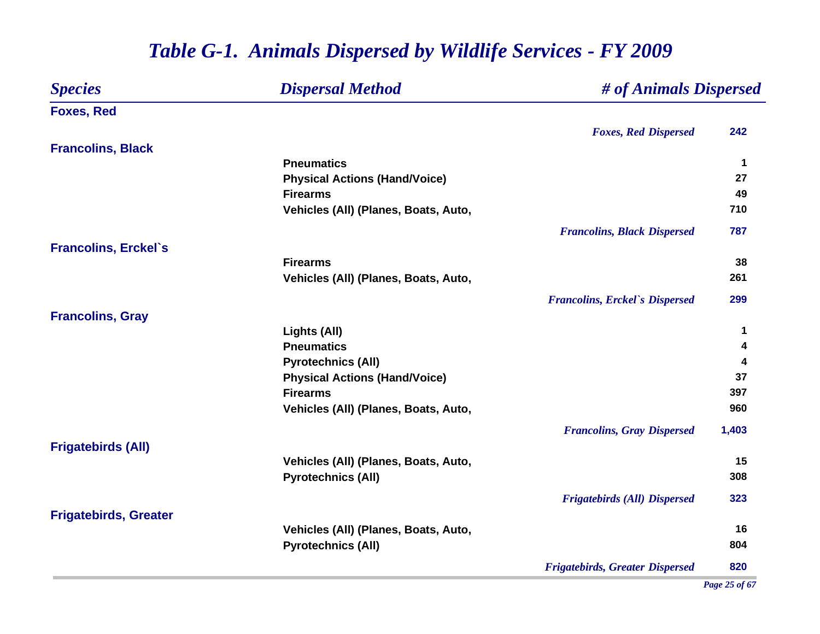#### *Species Dispersal Method # of Animals Dispersed* **Foxes, Red** *Foxes, Red Dispersed* **242 Francolins, Black Pneumatics 1 Physical Actions (Hand/Voice) <sup>27</sup> Firearms 49** Vehicles (All) (Planes, Boats, Auto, 710 *Francolins, Black Dispersed* **787 Francolins, Erckel`s Firearms 38 Vehicles (All) (Planes, Boats, Auto, 261** *Francolins, Erckel`s Dispersed* **299 Francolins, Gray Lights (All) <sup>1</sup> Pneumatics 4 Pyrotechnics (All) <sup>4</sup> Physical Actions (Hand/Voice) <sup>37</sup> FirearmsS** 397 **Vehicles (All) (Planes, Boats, Auto, 960** *Francolins, Gray Dispersed* **1,403 Frigatebirds (All)** Vehicles (All) (Planes, Boats, Auto, 15 **Pyrotechnics (All) <sup>308</sup>** *Frigatebirds (All) Dispersed* **323 Frigatebirds, Greater** Vehicles (All) (Planes, Boats, Auto, 16<sup>2</sup> **Pyrotechnics (All) <sup>804</sup>** *Frigatebirds, Greater Dispersed* **820**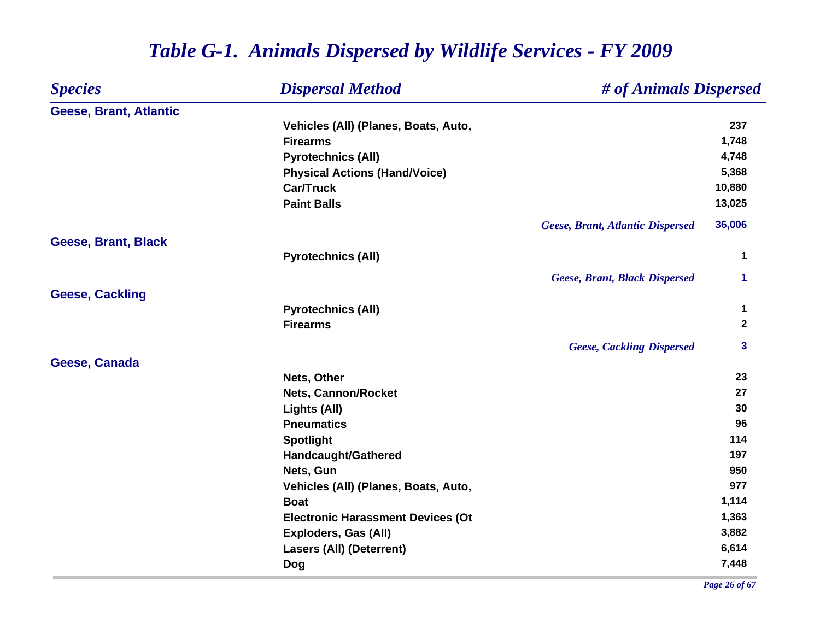#### *Species Dispersal Method # of Animals Dispersed* **Geese, Brant, Atlantic Vehicles (All) (Planes, Boats, Auto, 237 Firearms 1,748 Pyrotechnics (All) 4,748 Physical Actions (Hand/Voice) 5,368 Car/Truck 10,880 Paint Balls 13,025** *Geese, Brant, Atlantic Dispersed* **36,006 Geese, Brant, Black Pyrotechnics (All) <sup>1</sup>** *Geese, Brant, Black Dispersed* **1 Geese, Cackling Pyrotechnics (All) <sup>1</sup> Firearms 2** *Geese, Cackling Dispersed* **3 Geese, Canada Nets, Other 23 Nets, Cannon/Rocket 27 Lights (All) <sup>30</sup> Pneumatics 96 Spotlight <sup>114</sup> Handcaught/Gathered <sup>197</sup> Nets, Gun 950** Vehicles (All) (Planes, Boats, Auto, 977 **Boat 1,114 Electronic Harassment Devices (Ot 1,363 Exploders, Gas (All) 3,882 Lasers (All) (Deterrent) 6,614 Dog 7,448**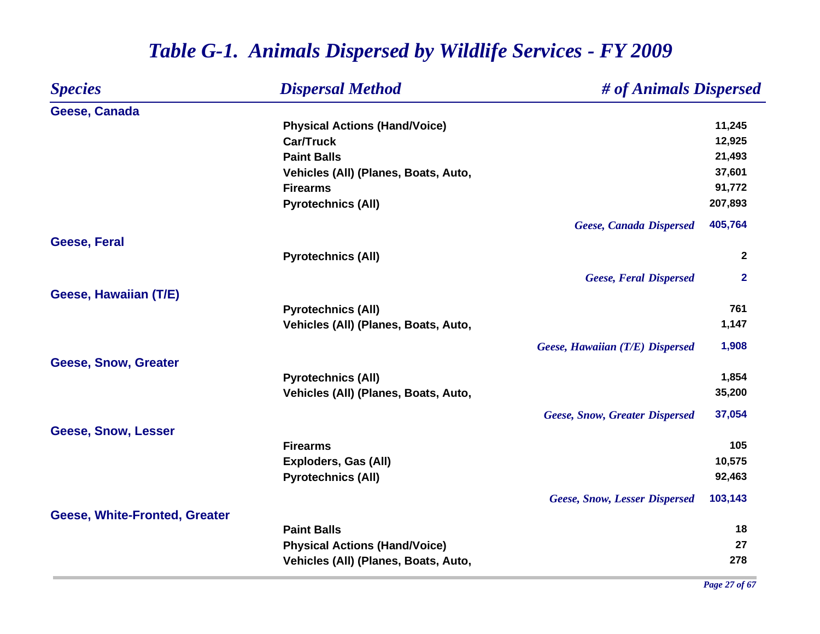#### *Species Dispersal Method # of Animals Dispersed* **Geese, Canada Physical Actions (Hand/Voice) 11,245 Car/Truck 12,925 Paint Balls 21,493 Vehicles (All) (Planes, Boats, Auto, 37,601 Firearms 91,772 Pyrotechnics (All) 207,893** *Geese, Canada Dispersed* **405,764 Geese, Feral Pyrotechnics (All) <sup>2</sup>** *Geese, Feral Dispersed* **2 Geese, Hawaiian (T/E) Pyrotechnics (All) <sup>761</sup> Vehicles (All) (Planes, Boats, Auto, 1,147** and 1,147 *Geese, Hawaiian (T/E) Dispersed* **1,908 Geese, Snow, Greater Pyrotechnics (All) 1,854 Vehicles (All) (Planes, Boats, Auto, 35,200** *Geese, Snow, Greater Dispersed* **37,054 Geese, Snow, Lesser Firearms105 105 Exploders, Gas (All) 10,575 Pyrotechnics (All) 92,463** *Geese, Snow, Lesser Dispersed* **103,143 Geese, White-Fronted, Greater Paint Balls 18 Physical Actions (Hand/Voice) <sup>27</sup> Vehicles (All) (Planes, Boats, Auto, 278**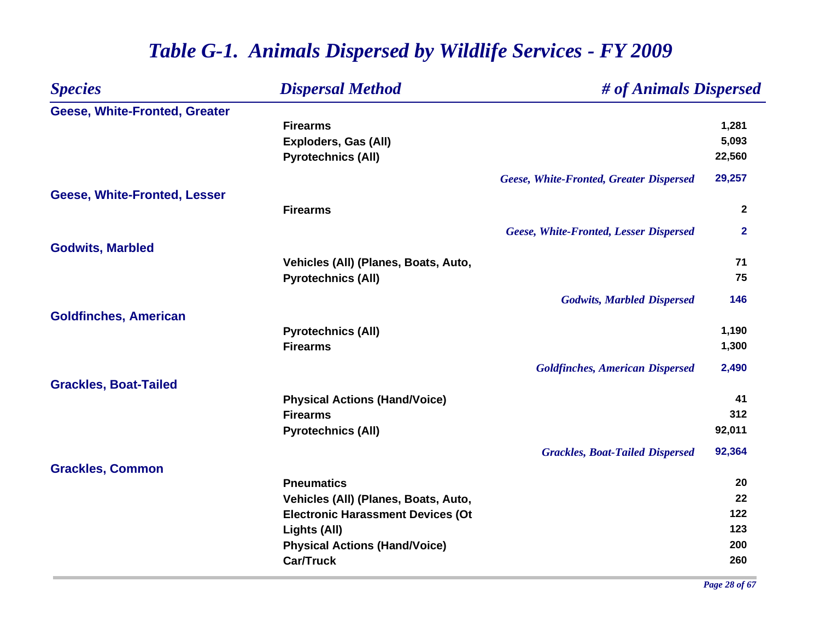| <b>Species</b>                | <b>Dispersal Method</b>                  | # of Animals Dispersed                  |                |
|-------------------------------|------------------------------------------|-----------------------------------------|----------------|
| Geese, White-Fronted, Greater |                                          |                                         |                |
|                               | <b>Firearms</b>                          |                                         | 1,281          |
|                               | Exploders, Gas (All)                     |                                         | 5,093          |
|                               | <b>Pyrotechnics (All)</b>                |                                         | 22,560         |
|                               |                                          | Geese, White-Fronted, Greater Dispersed | 29,257         |
| Geese, White-Fronted, Lesser  |                                          |                                         |                |
|                               | <b>Firearms</b>                          |                                         | $\mathbf{2}$   |
|                               |                                          | Geese, White-Fronted, Lesser Dispersed  | $\overline{2}$ |
| <b>Godwits, Marbled</b>       |                                          |                                         |                |
|                               | Vehicles (All) (Planes, Boats, Auto,     |                                         | 71             |
|                               | <b>Pyrotechnics (All)</b>                |                                         | 75             |
|                               |                                          | <b>Godwits, Marbled Dispersed</b>       | 146            |
| <b>Goldfinches, American</b>  |                                          |                                         |                |
|                               | <b>Pyrotechnics (All)</b>                |                                         | 1,190          |
|                               | <b>Firearms</b>                          |                                         | 1,300          |
|                               |                                          | <b>Goldfinches, American Dispersed</b>  | 2,490          |
| <b>Grackles, Boat-Tailed</b>  |                                          |                                         |                |
|                               | <b>Physical Actions (Hand/Voice)</b>     |                                         | 41             |
|                               | <b>Firearms</b>                          |                                         | 312            |
|                               | <b>Pyrotechnics (All)</b>                |                                         | 92,011         |
|                               |                                          | <b>Grackles, Boat-Tailed Dispersed</b>  | 92,364         |
| <b>Grackles, Common</b>       |                                          |                                         |                |
|                               | <b>Pneumatics</b>                        |                                         | 20             |
|                               | Vehicles (All) (Planes, Boats, Auto,     |                                         | 22             |
|                               | <b>Electronic Harassment Devices (Ot</b> |                                         | 122            |
|                               | Lights (All)                             |                                         | 123            |
|                               | <b>Physical Actions (Hand/Voice)</b>     |                                         | 200            |
|                               | <b>Car/Truck</b>                         |                                         | 260            |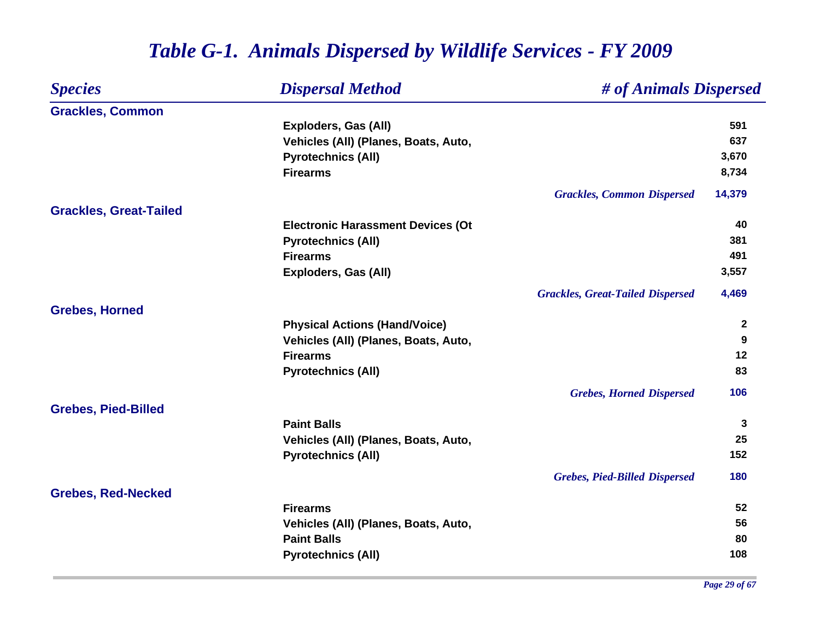| <b>Species</b>                | <b>Dispersal Method</b>                  | # of Animals Dispersed                  |              |
|-------------------------------|------------------------------------------|-----------------------------------------|--------------|
| <b>Grackles, Common</b>       |                                          |                                         |              |
|                               | <b>Exploders, Gas (All)</b>              |                                         | 591          |
|                               | Vehicles (All) (Planes, Boats, Auto,     |                                         | 637          |
|                               | <b>Pyrotechnics (All)</b>                |                                         | 3,670        |
|                               | <b>Firearms</b>                          |                                         | 8,734        |
|                               |                                          | <b>Grackles, Common Dispersed</b>       | 14,379       |
| <b>Grackles, Great-Tailed</b> |                                          |                                         |              |
|                               | <b>Electronic Harassment Devices (Ot</b> |                                         | 40           |
|                               | <b>Pyrotechnics (All)</b>                |                                         | 381          |
|                               | <b>Firearms</b>                          |                                         | 491          |
|                               | Exploders, Gas (All)                     |                                         | 3,557        |
|                               |                                          | <b>Grackles, Great-Tailed Dispersed</b> | 4,469        |
| <b>Grebes, Horned</b>         |                                          |                                         |              |
|                               | <b>Physical Actions (Hand/Voice)</b>     |                                         | $\mathbf{2}$ |
|                               | Vehicles (All) (Planes, Boats, Auto,     |                                         | 9            |
|                               | <b>Firearms</b>                          |                                         | 12           |
|                               | <b>Pyrotechnics (All)</b>                |                                         | 83           |
|                               |                                          | <b>Grebes, Horned Dispersed</b>         | 106          |
| <b>Grebes, Pied-Billed</b>    |                                          |                                         |              |
|                               | <b>Paint Balls</b>                       |                                         | 3            |
|                               | Vehicles (All) (Planes, Boats, Auto,     |                                         | 25           |
|                               | <b>Pyrotechnics (All)</b>                |                                         | 152          |
|                               |                                          | <b>Grebes, Pied-Billed Dispersed</b>    | 180          |
| <b>Grebes, Red-Necked</b>     |                                          |                                         |              |
|                               | <b>Firearms</b>                          |                                         | 52           |
|                               | Vehicles (All) (Planes, Boats, Auto,     |                                         | 56           |
|                               | <b>Paint Balls</b>                       |                                         | 80           |
|                               | <b>Pyrotechnics (All)</b>                |                                         | 108          |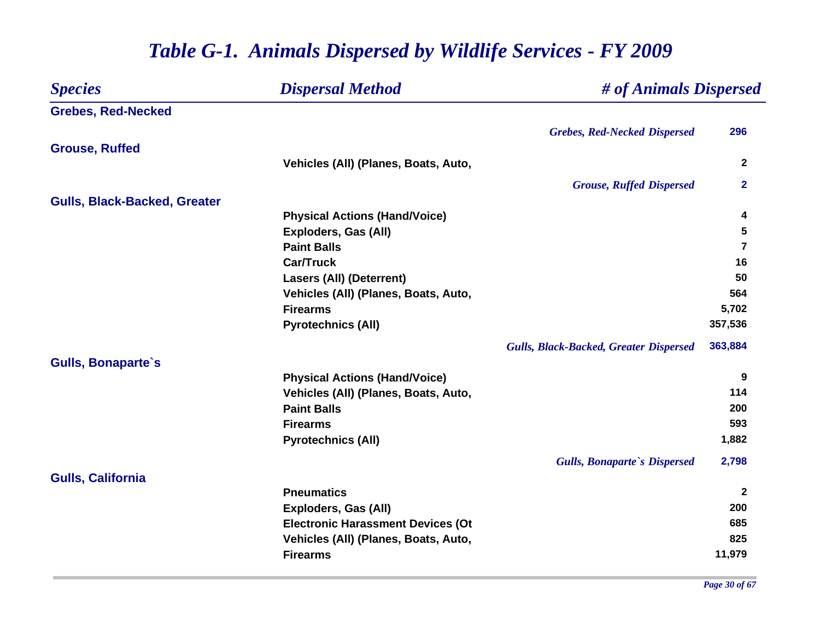| <b>Species</b>                      | <b>Dispersal Method</b>                       | # of Animals Dispersed |
|-------------------------------------|-----------------------------------------------|------------------------|
| <b>Grebes, Red-Necked</b>           |                                               |                        |
|                                     | <b>Grebes, Red-Necked Dispersed</b>           | 296                    |
| <b>Grouse, Ruffed</b>               |                                               |                        |
|                                     | Vehicles (All) (Planes, Boats, Auto,          | $\mathbf{2}$           |
|                                     | <b>Grouse, Ruffed Dispersed</b>               | $\mathbf{2}$           |
| <b>Gulls, Black-Backed, Greater</b> |                                               |                        |
|                                     | <b>Physical Actions (Hand/Voice)</b>          | 4                      |
|                                     | Exploders, Gas (All)                          | 5                      |
|                                     | <b>Paint Balls</b>                            | 7                      |
|                                     | <b>Car/Truck</b>                              | 16                     |
|                                     | <b>Lasers (All) (Deterrent)</b>               | 50                     |
|                                     | Vehicles (All) (Planes, Boats, Auto,          | 564                    |
|                                     | <b>Firearms</b>                               | 5,702                  |
|                                     | <b>Pyrotechnics (All)</b>                     | 357,536                |
|                                     | <b>Gulls, Black-Backed, Greater Dispersed</b> | 363,884                |
| <b>Gulls, Bonaparte's</b>           |                                               |                        |
|                                     | <b>Physical Actions (Hand/Voice)</b>          | 9                      |
|                                     | Vehicles (All) (Planes, Boats, Auto,          | 114                    |
|                                     | <b>Paint Balls</b>                            | 200                    |
|                                     | <b>Firearms</b>                               | 593                    |
|                                     | <b>Pyrotechnics (All)</b>                     | 1,882                  |
|                                     | <b>Gulls, Bonaparte's Dispersed</b>           | 2,798                  |
| <b>Gulls, California</b>            |                                               |                        |
|                                     | <b>Pneumatics</b>                             | $\mathbf{2}$           |
|                                     | <b>Exploders, Gas (All)</b>                   | 200                    |
|                                     | <b>Electronic Harassment Devices (Ot</b>      | 685                    |
|                                     | Vehicles (All) (Planes, Boats, Auto,          | 825                    |
|                                     | <b>Firearms</b>                               | 11,979                 |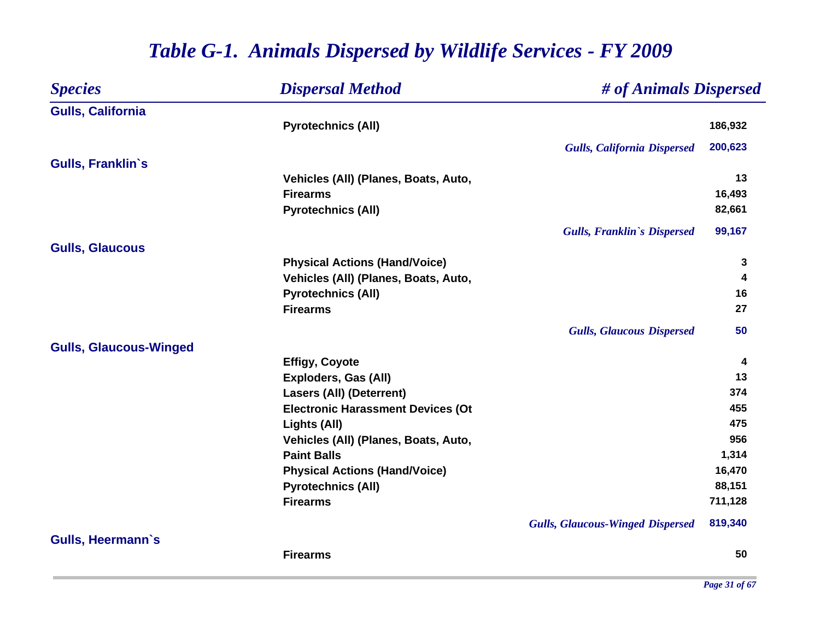| <b>Species</b>                | <b>Dispersal Method</b>                  | # of Animals Dispersed                  |         |
|-------------------------------|------------------------------------------|-----------------------------------------|---------|
| <b>Gulls, California</b>      |                                          |                                         |         |
|                               | <b>Pyrotechnics (All)</b>                |                                         | 186,932 |
|                               |                                          | <b>Gulls, California Dispersed</b>      | 200,623 |
| <b>Gulls, Franklin's</b>      |                                          |                                         |         |
|                               | Vehicles (All) (Planes, Boats, Auto,     |                                         | 13      |
|                               | <b>Firearms</b>                          |                                         | 16,493  |
|                               | <b>Pyrotechnics (All)</b>                |                                         | 82,661  |
|                               |                                          | <b>Gulls, Franklin's Dispersed</b>      | 99,167  |
| <b>Gulls, Glaucous</b>        |                                          |                                         |         |
|                               | <b>Physical Actions (Hand/Voice)</b>     |                                         | 3       |
|                               | Vehicles (All) (Planes, Boats, Auto,     |                                         | 4       |
|                               | <b>Pyrotechnics (All)</b>                |                                         | 16      |
|                               | <b>Firearms</b>                          |                                         | 27      |
|                               |                                          | <b>Gulls, Glaucous Dispersed</b>        | 50      |
| <b>Gulls, Glaucous-Winged</b> |                                          |                                         |         |
|                               | <b>Effigy, Coyote</b>                    |                                         | 4       |
|                               | <b>Exploders, Gas (All)</b>              |                                         | 13      |
|                               | <b>Lasers (All) (Deterrent)</b>          |                                         | 374     |
|                               | <b>Electronic Harassment Devices (Ot</b> |                                         | 455     |
|                               | Lights (All)                             |                                         | 475     |
|                               | Vehicles (All) (Planes, Boats, Auto,     |                                         | 956     |
|                               | <b>Paint Balls</b>                       |                                         | 1,314   |
|                               | <b>Physical Actions (Hand/Voice)</b>     |                                         | 16,470  |
|                               | <b>Pyrotechnics (All)</b>                |                                         | 88,151  |
|                               | <b>Firearms</b>                          |                                         | 711,128 |
|                               |                                          | <b>Gulls, Glaucous-Winged Dispersed</b> | 819,340 |
| <b>Gulls, Heermann's</b>      |                                          |                                         |         |
|                               | <b>Firearms</b>                          |                                         | 50      |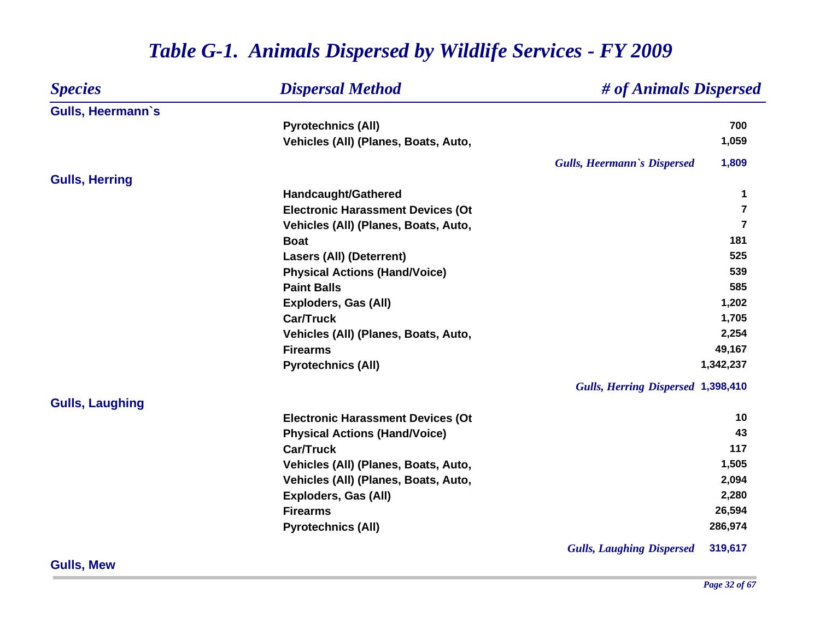| <b>Species</b>           | <b>Dispersal Method</b>                  | # of Animals Dispersed                      |
|--------------------------|------------------------------------------|---------------------------------------------|
| <b>Gulls, Heermann's</b> |                                          |                                             |
|                          | <b>Pyrotechnics (All)</b>                | 700                                         |
|                          | Vehicles (All) (Planes, Boats, Auto,     | 1,059                                       |
|                          |                                          | 1,809<br><b>Gulls, Heermann's Dispersed</b> |
| <b>Gulls, Herring</b>    |                                          |                                             |
|                          | Handcaught/Gathered                      | 1                                           |
|                          | <b>Electronic Harassment Devices (Ot</b> | $\overline{7}$                              |
|                          | Vehicles (All) (Planes, Boats, Auto,     | $\overline{7}$                              |
|                          | <b>Boat</b>                              | 181                                         |
|                          | <b>Lasers (All) (Deterrent)</b>          | 525                                         |
|                          | <b>Physical Actions (Hand/Voice)</b>     | 539                                         |
|                          | <b>Paint Balls</b>                       | 585                                         |
|                          | <b>Exploders, Gas (All)</b>              | 1,202                                       |
|                          | <b>Car/Truck</b>                         | 1,705                                       |
|                          | Vehicles (All) (Planes, Boats, Auto,     | 2,254                                       |
|                          | <b>Firearms</b>                          | 49,167                                      |
|                          | <b>Pyrotechnics (All)</b>                | 1,342,237                                   |
|                          |                                          | Gulls, Herring Dispersed 1,398,410          |
| <b>Gulls, Laughing</b>   |                                          |                                             |
|                          | <b>Electronic Harassment Devices (Ot</b> | 10                                          |
|                          | <b>Physical Actions (Hand/Voice)</b>     | 43                                          |
|                          | <b>Car/Truck</b>                         | 117                                         |
|                          | Vehicles (All) (Planes, Boats, Auto,     | 1,505                                       |
|                          | Vehicles (All) (Planes, Boats, Auto,     | 2,094                                       |
|                          | Exploders, Gas (All)                     | 2,280                                       |
|                          | <b>Firearms</b>                          | 26,594                                      |
|                          | <b>Pyrotechnics (All)</b>                | 286,974                                     |
|                          |                                          | 319,617<br><b>Gulls, Laughing Dispersed</b> |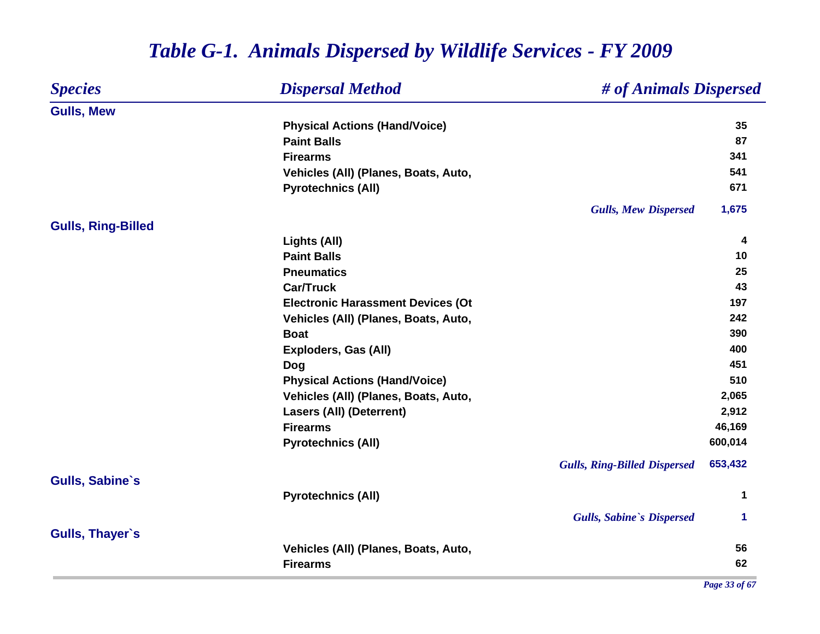#### *Species Dispersal Method # of Animals Dispersed* **Gulls, Mew Physical Actions (Hand/Voice) 35 Paint Balls 87 Firearms 341** Vehicles (All) (Planes, Boats, Auto, 541 **Pyrotechnics (All) <sup>671</sup>** *Gulls, Mew Dispersed* **1,675 Gulls, Ring-Billed Lights (All) <sup>4</sup> Paint Balls10 Pneumatics 25 Car/Truck 43 Electronic Harassment Devices (Ot 197 Vehicles (All) (Planes, Boats, Auto, 242 Boat 390 Exploders, Gas (All) 400 Dog <sup>451</sup> Physical Actions (Hand/Voice) 510 Vehicles (All) (Planes, Boats, Auto, 2,065 Lasers (All) (Deterrent) 2,912 Firearms 46,169 Pyrotechnics (All) 600,014** *Gulls, Ring-Billed Dispersed* **653,432 Gulls, Sabine`s Pyrotechnics (All) <sup>1</sup>** *Gulls, Sabine`s Dispersed* **1 Gulls, Thayer`s Vehicles (All) (Planes, Boats, Auto, 56 Firearms62**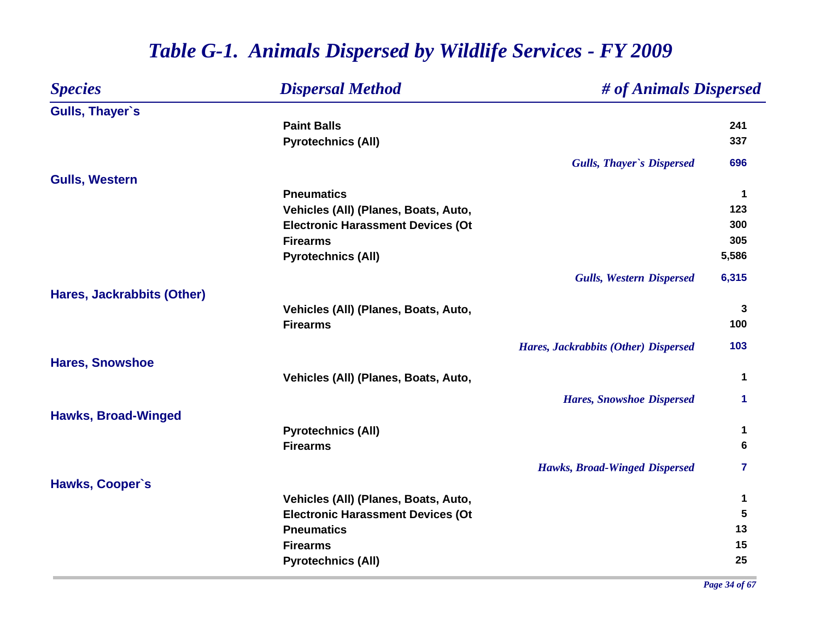| <b>Species</b>             | <b>Dispersal Method</b>                  | # of Animals Dispersed               |              |
|----------------------------|------------------------------------------|--------------------------------------|--------------|
| <b>Gulls, Thayer's</b>     |                                          |                                      |              |
|                            | <b>Paint Balls</b>                       |                                      | 241          |
|                            | <b>Pyrotechnics (All)</b>                |                                      | 337          |
|                            |                                          | <b>Gulls, Thayer's Dispersed</b>     | 696          |
| <b>Gulls, Western</b>      |                                          |                                      |              |
|                            | <b>Pneumatics</b>                        |                                      | $\mathbf{1}$ |
|                            | Vehicles (All) (Planes, Boats, Auto,     |                                      | 123          |
|                            | <b>Electronic Harassment Devices (Ot</b> |                                      | 300          |
|                            | <b>Firearms</b>                          |                                      | 305          |
|                            | <b>Pyrotechnics (All)</b>                |                                      | 5,586        |
|                            |                                          | <b>Gulls, Western Dispersed</b>      | 6,315        |
| Hares, Jackrabbits (Other) |                                          |                                      |              |
|                            | Vehicles (All) (Planes, Boats, Auto,     |                                      | 3            |
|                            | <b>Firearms</b>                          |                                      | 100          |
|                            |                                          | Hares, Jackrabbits (Other) Dispersed | 103          |
| <b>Hares, Snowshoe</b>     |                                          |                                      |              |
|                            | Vehicles (All) (Planes, Boats, Auto,     |                                      | $\mathbf 1$  |
|                            |                                          | <b>Hares, Snowshoe Dispersed</b>     | 1            |
| <b>Hawks, Broad-Winged</b> |                                          |                                      |              |
|                            | <b>Pyrotechnics (All)</b>                |                                      | 1            |
|                            | <b>Firearms</b>                          |                                      | 6            |
|                            |                                          | <b>Hawks, Broad-Winged Dispersed</b> | $\mathbf{7}$ |
| Hawks, Cooper's            |                                          |                                      |              |
|                            | Vehicles (All) (Planes, Boats, Auto,     |                                      | 1            |
|                            | <b>Electronic Harassment Devices (Ot</b> |                                      | 5            |
|                            | <b>Pneumatics</b>                        |                                      | 13           |
|                            | <b>Firearms</b>                          |                                      | 15           |
|                            | <b>Pyrotechnics (All)</b>                |                                      | 25           |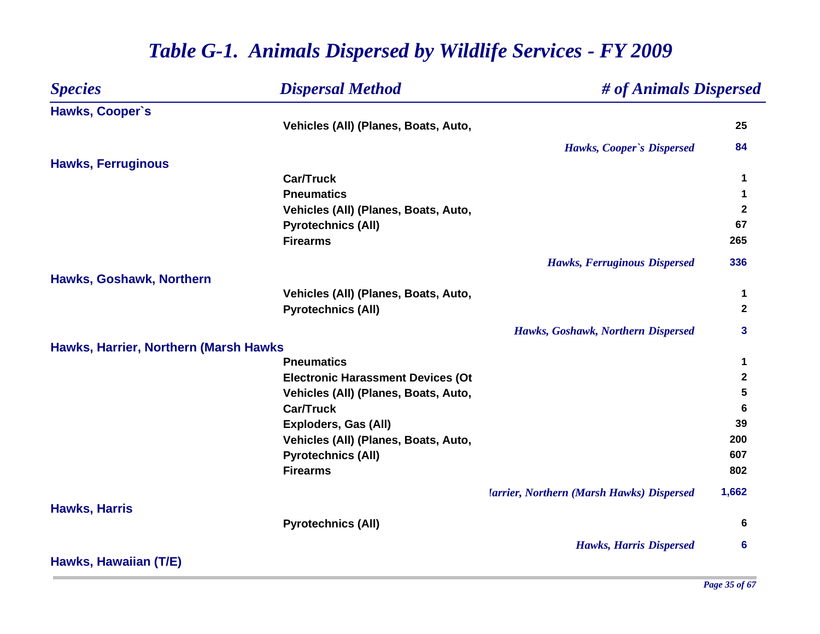| <b>Species</b>                        | <b>Dispersal Method</b>                  | # of Animals Dispersed                                         |              |
|---------------------------------------|------------------------------------------|----------------------------------------------------------------|--------------|
| Hawks, Cooper's                       |                                          |                                                                |              |
|                                       | Vehicles (All) (Planes, Boats, Auto,     |                                                                | 25           |
|                                       |                                          | Hawks, Cooper's Dispersed                                      | 84           |
| <b>Hawks, Ferruginous</b>             |                                          |                                                                |              |
|                                       | <b>Car/Truck</b>                         |                                                                | 1            |
|                                       | <b>Pneumatics</b>                        |                                                                | 1            |
|                                       | Vehicles (All) (Planes, Boats, Auto,     |                                                                | $\mathbf{2}$ |
|                                       | <b>Pyrotechnics (All)</b>                |                                                                | 67           |
|                                       | <b>Firearms</b>                          |                                                                | 265          |
|                                       |                                          | <b>Hawks, Ferruginous Dispersed</b>                            | 336          |
| Hawks, Goshawk, Northern              |                                          |                                                                |              |
|                                       | Vehicles (All) (Planes, Boats, Auto,     |                                                                | 1            |
|                                       | <b>Pyrotechnics (All)</b>                |                                                                | $\mathbf{2}$ |
|                                       |                                          | Hawks, Goshawk, Northern Dispersed                             | 3            |
| Hawks, Harrier, Northern (Marsh Hawks |                                          |                                                                |              |
|                                       | <b>Pneumatics</b>                        |                                                                | 1            |
|                                       | <b>Electronic Harassment Devices (Ot</b> |                                                                | $\mathbf{2}$ |
|                                       | Vehicles (All) (Planes, Boats, Auto,     |                                                                | 5            |
|                                       | <b>Car/Truck</b>                         |                                                                | 6            |
|                                       | <b>Exploders, Gas (All)</b>              |                                                                | 39           |
|                                       | Vehicles (All) (Planes, Boats, Auto,     |                                                                | 200          |
|                                       | <b>Pyrotechnics (All)</b>                |                                                                | 607          |
|                                       | <b>Firearms</b>                          |                                                                | 802          |
|                                       |                                          | <b><i><u>Iarrier, Northern (Marsh Hawks) Dispersed</u></i></b> | 1,662        |
| <b>Hawks, Harris</b>                  |                                          |                                                                |              |
|                                       | <b>Pyrotechnics (All)</b>                |                                                                | 6            |
|                                       |                                          | <b>Hawks, Harris Dispersed</b>                                 | 6            |
| Hawks, Hawaiian (T/E)                 |                                          |                                                                |              |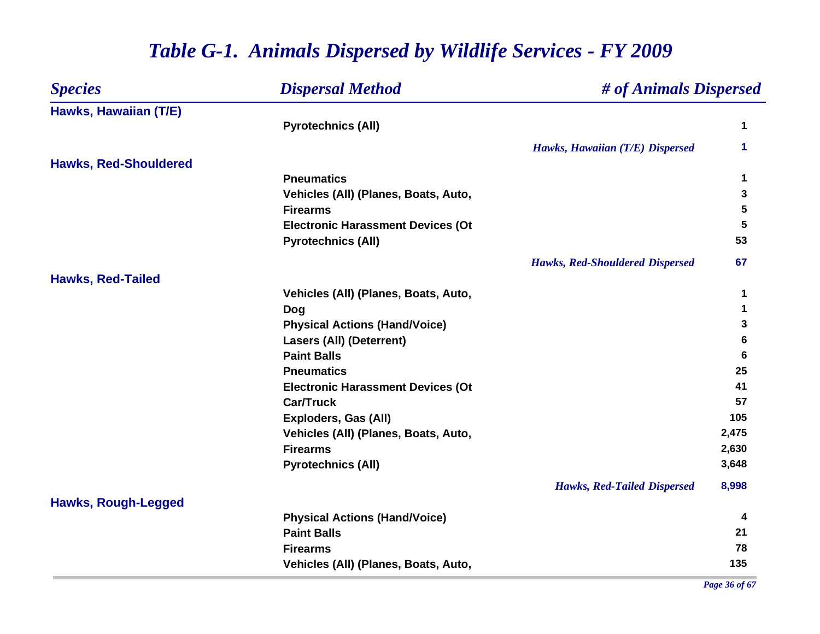| <b>Species</b>               | <b>Dispersal Method</b>                  | # of Animals Dispersed                 |       |
|------------------------------|------------------------------------------|----------------------------------------|-------|
| Hawks, Hawaiian (T/E)        |                                          |                                        |       |
|                              | <b>Pyrotechnics (All)</b>                |                                        | 1     |
|                              |                                          | Hawks, Hawaiian (T/E) Dispersed        | 1     |
| <b>Hawks, Red-Shouldered</b> |                                          |                                        |       |
|                              | <b>Pneumatics</b>                        |                                        | 1     |
|                              | Vehicles (All) (Planes, Boats, Auto,     |                                        | 3     |
|                              | <b>Firearms</b>                          |                                        | 5     |
|                              | <b>Electronic Harassment Devices (Ot</b> |                                        | 5     |
|                              | <b>Pyrotechnics (All)</b>                |                                        | 53    |
|                              |                                          | <b>Hawks, Red-Shouldered Dispersed</b> | 67    |
| <b>Hawks, Red-Tailed</b>     |                                          |                                        |       |
|                              | Vehicles (All) (Planes, Boats, Auto,     |                                        | 1     |
|                              | Dog                                      |                                        | 1     |
|                              | <b>Physical Actions (Hand/Voice)</b>     |                                        | 3     |
|                              | <b>Lasers (All) (Deterrent)</b>          |                                        | 6     |
|                              | <b>Paint Balls</b>                       |                                        | 6     |
|                              | <b>Pneumatics</b>                        |                                        | 25    |
|                              | <b>Electronic Harassment Devices (Ot</b> |                                        | 41    |
|                              | <b>Car/Truck</b>                         |                                        | 57    |
|                              | <b>Exploders, Gas (All)</b>              |                                        | 105   |
|                              | Vehicles (All) (Planes, Boats, Auto,     |                                        | 2,475 |
|                              | <b>Firearms</b>                          |                                        | 2,630 |
|                              | <b>Pyrotechnics (All)</b>                |                                        | 3,648 |
|                              |                                          | <b>Hawks, Red-Tailed Dispersed</b>     | 8,998 |
| <b>Hawks, Rough-Legged</b>   |                                          |                                        |       |
|                              | <b>Physical Actions (Hand/Voice)</b>     |                                        | 4     |
|                              | <b>Paint Balls</b>                       |                                        | 21    |
|                              | <b>Firearms</b>                          |                                        | 78    |
|                              | Vehicles (All) (Planes, Boats, Auto,     |                                        | 135   |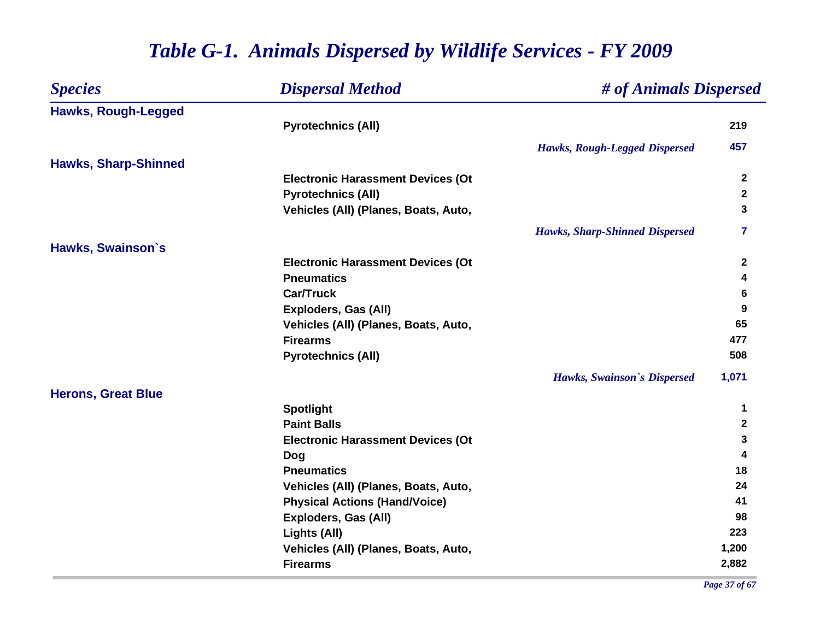| <b>Species</b>              | <b>Dispersal Method</b>                  |                                       | # of Animals Dispersed |  |
|-----------------------------|------------------------------------------|---------------------------------------|------------------------|--|
| <b>Hawks, Rough-Legged</b>  |                                          |                                       |                        |  |
|                             | <b>Pyrotechnics (All)</b>                |                                       | 219                    |  |
|                             |                                          | <b>Hawks, Rough-Legged Dispersed</b>  | 457                    |  |
| <b>Hawks, Sharp-Shinned</b> |                                          |                                       |                        |  |
|                             | <b>Electronic Harassment Devices (Ot</b> |                                       | $\mathbf{2}$           |  |
|                             | <b>Pyrotechnics (All)</b>                |                                       | $\mathbf{2}$           |  |
|                             | Vehicles (All) (Planes, Boats, Auto,     |                                       | 3                      |  |
|                             |                                          | <b>Hawks, Sharp-Shinned Dispersed</b> | 7                      |  |
| Hawks, Swainson's           |                                          |                                       |                        |  |
|                             | <b>Electronic Harassment Devices (Ot</b> |                                       | $\mathbf{2}$           |  |
|                             | <b>Pneumatics</b>                        |                                       | 4                      |  |
|                             | <b>Car/Truck</b>                         |                                       | 6                      |  |
|                             | <b>Exploders, Gas (All)</b>              |                                       | 9                      |  |
|                             | Vehicles (All) (Planes, Boats, Auto,     |                                       | 65                     |  |
|                             | <b>Firearms</b>                          |                                       | 477                    |  |
|                             | <b>Pyrotechnics (All)</b>                |                                       | 508                    |  |
|                             |                                          | Hawks, Swainson's Dispersed           | 1,071                  |  |
| <b>Herons, Great Blue</b>   |                                          |                                       |                        |  |
|                             | <b>Spotlight</b>                         |                                       | 1                      |  |
|                             | <b>Paint Balls</b>                       |                                       | $\mathbf 2$            |  |
|                             | <b>Electronic Harassment Devices (Ot</b> |                                       | 3                      |  |
|                             | <b>Dog</b>                               |                                       | 4                      |  |
|                             | <b>Pneumatics</b>                        |                                       | 18                     |  |
|                             | Vehicles (All) (Planes, Boats, Auto,     |                                       | 24                     |  |
|                             | <b>Physical Actions (Hand/Voice)</b>     |                                       | 41                     |  |
|                             | <b>Exploders, Gas (All)</b>              |                                       | 98                     |  |
|                             | Lights (All)                             |                                       | 223                    |  |
|                             | Vehicles (All) (Planes, Boats, Auto,     |                                       | 1,200                  |  |
|                             | <b>Firearms</b>                          |                                       | 2,882                  |  |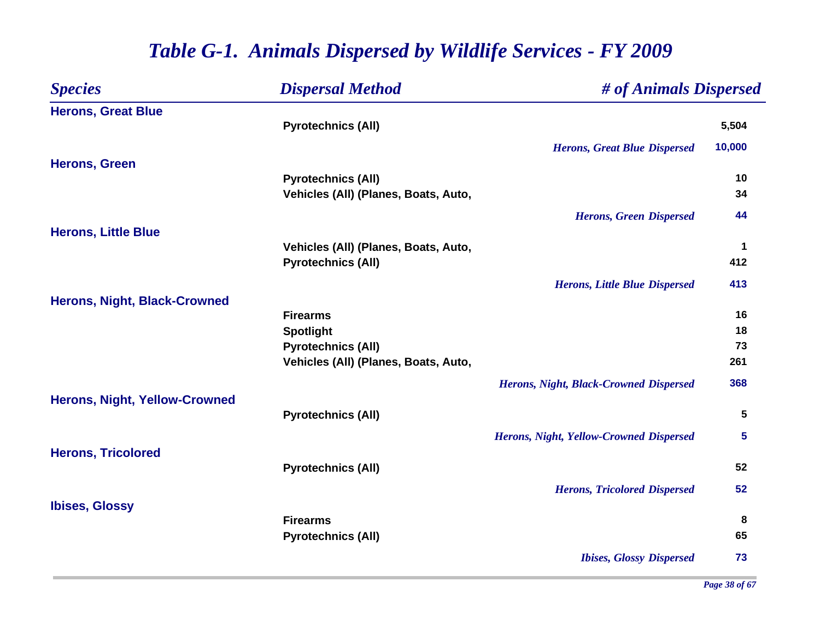| <b>Species</b>                       | <b>Dispersal Method</b>              | # of Animals Dispersed                        |             |
|--------------------------------------|--------------------------------------|-----------------------------------------------|-------------|
| <b>Herons, Great Blue</b>            |                                      |                                               |             |
|                                      | <b>Pyrotechnics (All)</b>            |                                               | 5,504       |
|                                      |                                      | <b>Herons, Great Blue Dispersed</b>           | 10,000      |
| <b>Herons, Green</b>                 |                                      |                                               |             |
|                                      | <b>Pyrotechnics (All)</b>            |                                               | 10          |
|                                      | Vehicles (All) (Planes, Boats, Auto, |                                               | 34          |
|                                      |                                      | <b>Herons, Green Dispersed</b>                | 44          |
| <b>Herons, Little Blue</b>           |                                      |                                               |             |
|                                      | Vehicles (All) (Planes, Boats, Auto, |                                               | $\mathbf 1$ |
|                                      | <b>Pyrotechnics (All)</b>            |                                               | 412         |
|                                      |                                      | <b>Herons, Little Blue Dispersed</b>          | 413         |
| <b>Herons, Night, Black-Crowned</b>  |                                      |                                               |             |
|                                      | <b>Firearms</b>                      |                                               | 16          |
|                                      | <b>Spotlight</b>                     |                                               | 18          |
|                                      | <b>Pyrotechnics (All)</b>            |                                               | 73          |
|                                      | Vehicles (All) (Planes, Boats, Auto, |                                               | 261         |
|                                      |                                      | <b>Herons, Night, Black-Crowned Dispersed</b> | 368         |
| <b>Herons, Night, Yellow-Crowned</b> |                                      |                                               |             |
|                                      | <b>Pyrotechnics (All)</b>            |                                               | 5           |
|                                      |                                      | Herons, Night, Yellow-Crowned Dispersed       | 5           |
| <b>Herons, Tricolored</b>            |                                      |                                               |             |
|                                      | <b>Pyrotechnics (All)</b>            |                                               | 52          |
|                                      |                                      | <b>Herons, Tricolored Dispersed</b>           | 52          |
| <b>Ibises, Glossy</b>                |                                      |                                               |             |
|                                      | <b>Firearms</b>                      |                                               | 8           |
|                                      | <b>Pyrotechnics (All)</b>            |                                               | 65          |
|                                      |                                      | <b>Ibises, Glossy Dispersed</b>               | 73          |
|                                      |                                      |                                               |             |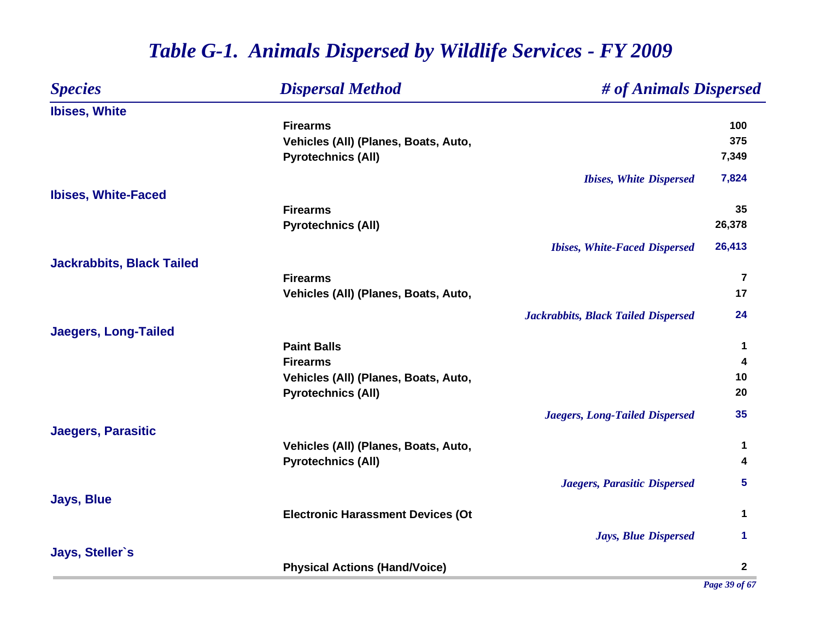| <b>Species</b>                   | <b>Dispersal Method</b>                  | # of Animals Dispersed                     |                 |
|----------------------------------|------------------------------------------|--------------------------------------------|-----------------|
| <b>Ibises, White</b>             |                                          |                                            |                 |
|                                  | <b>Firearms</b>                          |                                            | 100             |
|                                  | Vehicles (All) (Planes, Boats, Auto,     |                                            | 375             |
|                                  | <b>Pyrotechnics (All)</b>                |                                            | 7,349           |
|                                  |                                          | <b>Ibises, White Dispersed</b>             | 7,824           |
| <b>Ibises, White-Faced</b>       |                                          |                                            |                 |
|                                  | <b>Firearms</b>                          |                                            | 35              |
|                                  | <b>Pyrotechnics (All)</b>                |                                            | 26,378          |
|                                  |                                          | <b>Ibises, White-Faced Dispersed</b>       | 26,413          |
| <b>Jackrabbits, Black Tailed</b> |                                          |                                            |                 |
|                                  | <b>Firearms</b>                          |                                            | $\overline{7}$  |
|                                  | Vehicles (All) (Planes, Boats, Auto,     |                                            | 17              |
|                                  |                                          | <b>Jackrabbits, Black Tailed Dispersed</b> | 24              |
| <b>Jaegers, Long-Tailed</b>      |                                          |                                            |                 |
|                                  | <b>Paint Balls</b>                       |                                            | 1               |
|                                  | <b>Firearms</b>                          |                                            | 4               |
|                                  | Vehicles (All) (Planes, Boats, Auto,     |                                            | 10              |
|                                  | <b>Pyrotechnics (All)</b>                |                                            | 20              |
|                                  |                                          | <b>Jaegers, Long-Tailed Dispersed</b>      | 35              |
| <b>Jaegers, Parasitic</b>        |                                          |                                            |                 |
|                                  | Vehicles (All) (Planes, Boats, Auto,     |                                            | 1               |
|                                  | <b>Pyrotechnics (All)</b>                |                                            | 4               |
|                                  |                                          | Jaegers, Parasitic Dispersed               | $5\phantom{.0}$ |
| <b>Jays, Blue</b>                |                                          |                                            |                 |
|                                  | <b>Electronic Harassment Devices (Ot</b> |                                            | 1               |
|                                  |                                          | <b>Jays, Blue Dispersed</b>                | 1.              |
| Jays, Steller's                  |                                          |                                            |                 |
|                                  | <b>Physical Actions (Hand/Voice)</b>     |                                            | $\overline{2}$  |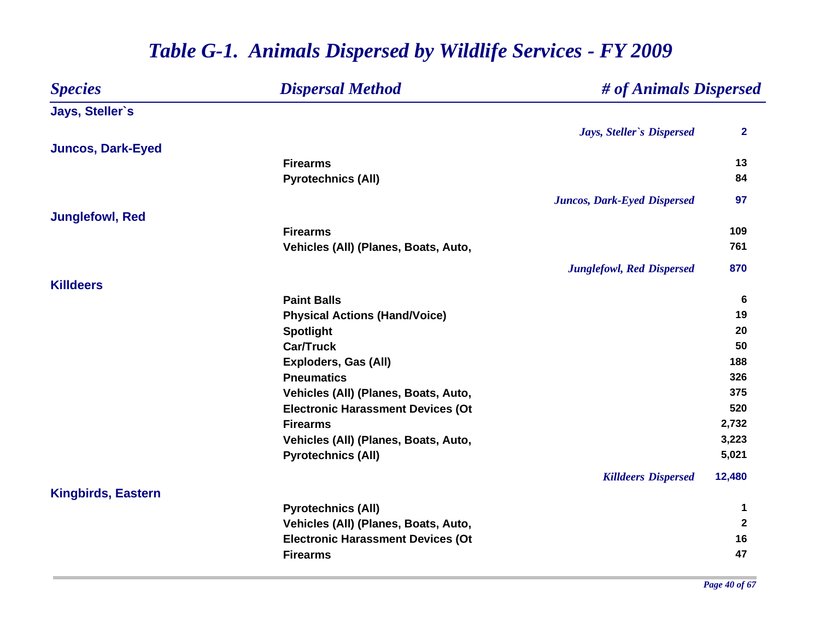#### *Species Dispersal Method # of Animals Dispersed* **Jays, Steller`s** *Jays, Steller`s Dispersed* **2 Juncos, Dark-Eyed Firearms13 13 13 Pyrotechnics (All) <sup>84</sup>** *Juncos, Dark-Eyed Dispersed* **97 Junglefowl, Red Firearms109 109** Vehicles (All) (Planes, Boats, Auto, 761 *Junglefowl, Red Dispersed* **870 KilldeersPaint Balls 6 Physical Actions (Hand/Voice) <sup>19</sup> Spotlight <sup>20</sup> Car/Truck 50 Exploders, Gas (All) 188 Pneumatics 326 Vehicles (All) (Planes, Boats, Auto, 375 Electronic Harassment Devices (Ot 520 Firearms 2,732 Vehicles (All) (Planes, Boats, Auto, 3,223 Pyrotechnics (All) 5,021** *Killdeers Dispersed* **12,480 Kingbirds, Eastern Pyrotechnics (All) <sup>1</sup> Vehicles (All) (Planes, Boats, Auto, 2 Electronic Harassment Devices (Ot 16 Firearms47**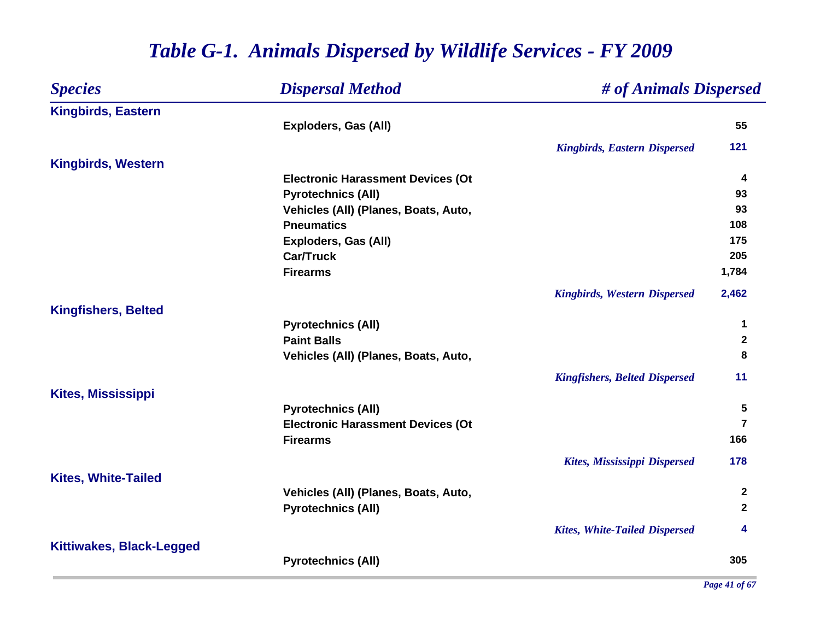| <b>Species</b>                  | # of Animals Dispersed<br><b>Dispersal Method</b> |                                      |                |  |
|---------------------------------|---------------------------------------------------|--------------------------------------|----------------|--|
| <b>Kingbirds, Eastern</b>       |                                                   |                                      |                |  |
|                                 | <b>Exploders, Gas (All)</b>                       |                                      | 55             |  |
|                                 |                                                   | <b>Kingbirds, Eastern Dispersed</b>  | 121            |  |
| <b>Kingbirds, Western</b>       |                                                   |                                      |                |  |
|                                 | <b>Electronic Harassment Devices (Ot</b>          |                                      | 4              |  |
|                                 | <b>Pyrotechnics (All)</b>                         |                                      | 93             |  |
|                                 | Vehicles (All) (Planes, Boats, Auto,              |                                      | 93             |  |
|                                 | <b>Pneumatics</b>                                 |                                      | 108            |  |
|                                 | <b>Exploders, Gas (All)</b>                       |                                      | 175            |  |
|                                 | <b>Car/Truck</b>                                  |                                      | 205            |  |
|                                 | <b>Firearms</b>                                   |                                      | 1,784          |  |
|                                 |                                                   | <b>Kingbirds, Western Dispersed</b>  | 2,462          |  |
| <b>Kingfishers, Belted</b>      |                                                   |                                      |                |  |
|                                 | <b>Pyrotechnics (All)</b>                         |                                      | 1              |  |
|                                 | <b>Paint Balls</b>                                |                                      | $\mathbf{2}$   |  |
|                                 | Vehicles (All) (Planes, Boats, Auto,              |                                      | 8              |  |
|                                 |                                                   | <b>Kingfishers, Belted Dispersed</b> | 11             |  |
| <b>Kites, Mississippi</b>       |                                                   |                                      |                |  |
|                                 | <b>Pyrotechnics (All)</b>                         |                                      | 5              |  |
|                                 | <b>Electronic Harassment Devices (Ot</b>          |                                      | $\overline{7}$ |  |
|                                 | <b>Firearms</b>                                   |                                      | 166            |  |
|                                 |                                                   | <b>Kites, Mississippi Dispersed</b>  | 178            |  |
| <b>Kites, White-Tailed</b>      |                                                   |                                      |                |  |
|                                 | Vehicles (All) (Planes, Boats, Auto,              |                                      | $\mathbf{2}$   |  |
|                                 | <b>Pyrotechnics (All)</b>                         |                                      | $\mathbf{2}$   |  |
|                                 |                                                   | <b>Kites, White-Tailed Dispersed</b> | 4              |  |
| <b>Kittiwakes, Black-Legged</b> |                                                   |                                      | 305            |  |
|                                 | <b>Pyrotechnics (All)</b>                         |                                      |                |  |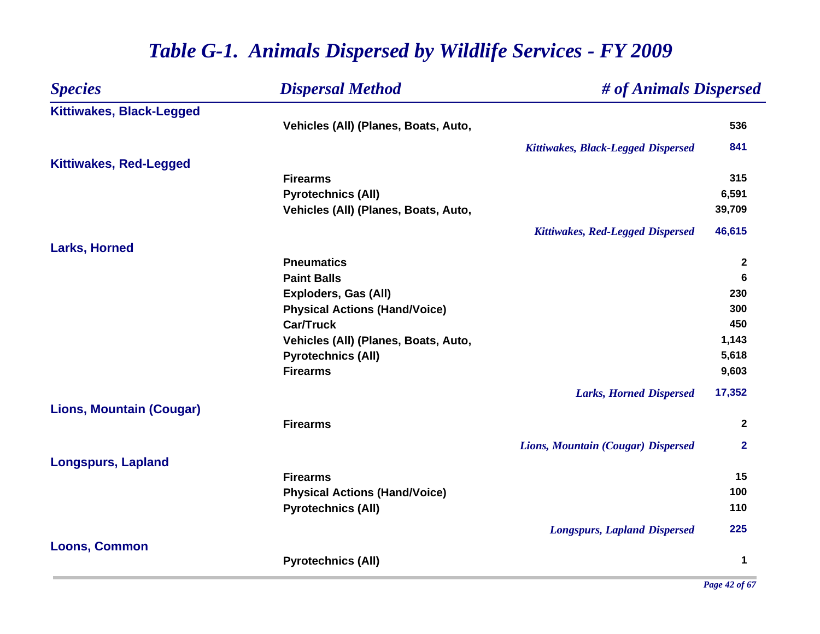| <b>Species</b>                  | <b>Dispersal Method</b>              | # of Animals Dispersed              |              |
|---------------------------------|--------------------------------------|-------------------------------------|--------------|
| Kittiwakes, Black-Legged        |                                      |                                     |              |
|                                 | Vehicles (All) (Planes, Boats, Auto, |                                     | 536          |
|                                 |                                      | Kittiwakes, Black-Legged Dispersed  | 841          |
| <b>Kittiwakes, Red-Legged</b>   |                                      |                                     |              |
|                                 | <b>Firearms</b>                      |                                     | 315          |
|                                 | <b>Pyrotechnics (All)</b>            |                                     | 6,591        |
|                                 | Vehicles (All) (Planes, Boats, Auto, |                                     | 39,709       |
|                                 |                                      | Kittiwakes, Red-Legged Dispersed    | 46,615       |
| <b>Larks, Horned</b>            |                                      |                                     |              |
|                                 | <b>Pneumatics</b>                    |                                     | $\mathbf{2}$ |
|                                 | <b>Paint Balls</b>                   |                                     | 6            |
|                                 | <b>Exploders, Gas (All)</b>          |                                     | 230          |
|                                 | <b>Physical Actions (Hand/Voice)</b> |                                     | 300          |
|                                 | <b>Car/Truck</b>                     |                                     | 450          |
|                                 | Vehicles (All) (Planes, Boats, Auto, |                                     | 1,143        |
|                                 | <b>Pyrotechnics (All)</b>            |                                     | 5,618        |
|                                 | <b>Firearms</b>                      |                                     | 9,603        |
|                                 |                                      | <b>Larks, Horned Dispersed</b>      | 17,352       |
| <b>Lions, Mountain (Cougar)</b> |                                      |                                     |              |
|                                 | <b>Firearms</b>                      |                                     | $\mathbf{2}$ |
|                                 |                                      | Lions, Mountain (Cougar) Dispersed  | $\mathbf{2}$ |
| <b>Longspurs, Lapland</b>       |                                      |                                     |              |
|                                 | <b>Firearms</b>                      |                                     | 15           |
|                                 | <b>Physical Actions (Hand/Voice)</b> |                                     | 100          |
|                                 | <b>Pyrotechnics (All)</b>            |                                     | 110          |
|                                 |                                      | <b>Longspurs, Lapland Dispersed</b> | 225          |
| <b>Loons, Common</b>            |                                      |                                     |              |
|                                 | <b>Pyrotechnics (All)</b>            |                                     | $\mathbf 1$  |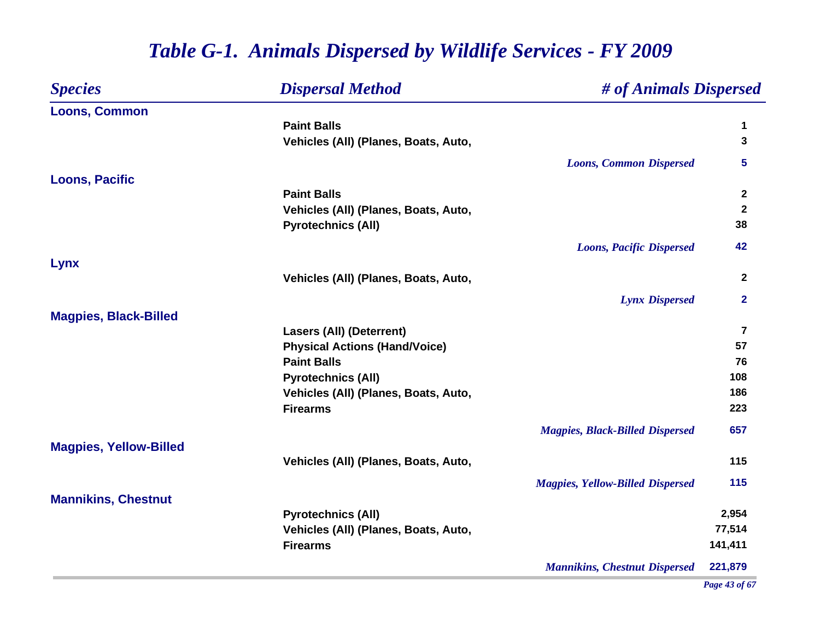| <b>Species</b>                | <b>Dispersal Method</b>              | # of Animals Dispersed                  |                         |
|-------------------------------|--------------------------------------|-----------------------------------------|-------------------------|
| <b>Loons, Common</b>          |                                      |                                         |                         |
|                               | <b>Paint Balls</b>                   |                                         | 1                       |
|                               | Vehicles (All) (Planes, Boats, Auto, |                                         | 3                       |
|                               |                                      | <b>Loons, Common Dispersed</b>          | 5                       |
| <b>Loons, Pacific</b>         |                                      |                                         |                         |
|                               | <b>Paint Balls</b>                   |                                         | $\mathbf{2}$            |
|                               | Vehicles (All) (Planes, Boats, Auto, |                                         | $\boldsymbol{2}$        |
|                               | <b>Pyrotechnics (All)</b>            |                                         | 38                      |
|                               |                                      | <b>Loons, Pacific Dispersed</b>         | 42                      |
| Lynx                          |                                      |                                         |                         |
|                               | Vehicles (All) (Planes, Boats, Auto, |                                         | $\mathbf{2}$            |
|                               |                                      | <b>Lynx Dispersed</b>                   | $\overline{\mathbf{2}}$ |
| <b>Magpies, Black-Billed</b>  |                                      |                                         |                         |
|                               | <b>Lasers (All) (Deterrent)</b>      |                                         | $\overline{\mathbf{z}}$ |
|                               | <b>Physical Actions (Hand/Voice)</b> |                                         | 57                      |
|                               | <b>Paint Balls</b>                   |                                         | 76                      |
|                               | <b>Pyrotechnics (All)</b>            |                                         | 108                     |
|                               | Vehicles (All) (Planes, Boats, Auto, |                                         | 186                     |
|                               | <b>Firearms</b>                      |                                         | 223                     |
|                               |                                      | <b>Magpies, Black-Billed Dispersed</b>  | 657                     |
| <b>Magpies, Yellow-Billed</b> |                                      |                                         |                         |
|                               | Vehicles (All) (Planes, Boats, Auto, |                                         | 115                     |
|                               |                                      | <b>Magpies, Yellow-Billed Dispersed</b> | 115                     |
| <b>Mannikins, Chestnut</b>    |                                      |                                         |                         |
|                               | <b>Pyrotechnics (All)</b>            |                                         | 2,954                   |
|                               | Vehicles (All) (Planes, Boats, Auto, |                                         | 77,514                  |
|                               | <b>Firearms</b>                      |                                         | 141,411                 |
|                               |                                      | <b>Mannikins, Chestnut Dispersed</b>    | 221,879                 |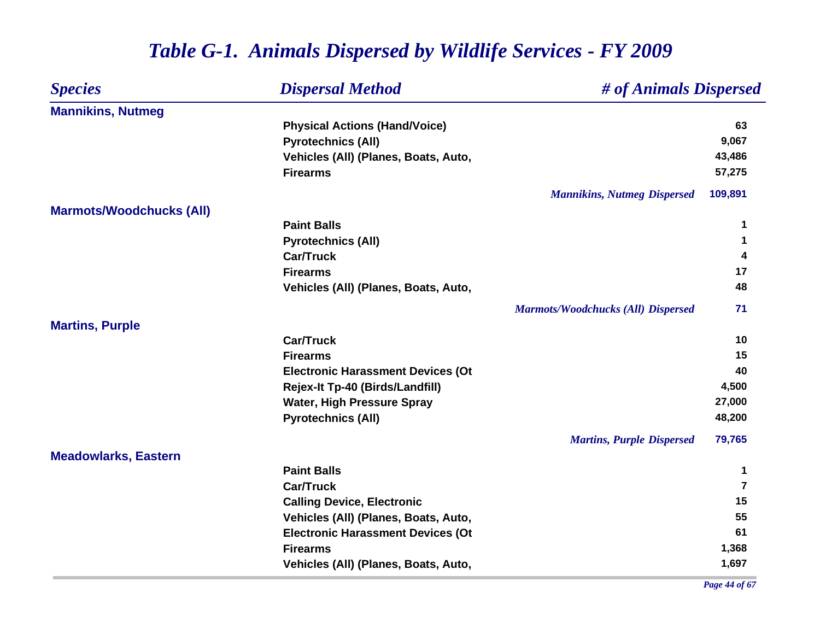| <b>Species</b>                  | <b>Dispersal Method</b>                  | # of Animals Dispersed                    |                |
|---------------------------------|------------------------------------------|-------------------------------------------|----------------|
| <b>Mannikins, Nutmeg</b>        |                                          |                                           |                |
|                                 | <b>Physical Actions (Hand/Voice)</b>     |                                           | 63             |
|                                 | <b>Pyrotechnics (All)</b>                |                                           | 9,067          |
|                                 | Vehicles (All) (Planes, Boats, Auto,     |                                           | 43,486         |
|                                 | <b>Firearms</b>                          |                                           | 57,275         |
|                                 |                                          | <b>Mannikins, Nutmeg Dispersed</b>        | 109,891        |
| <b>Marmots/Woodchucks (All)</b> |                                          |                                           |                |
|                                 | <b>Paint Balls</b>                       |                                           | 1              |
|                                 | <b>Pyrotechnics (All)</b>                |                                           | 1              |
|                                 | <b>Car/Truck</b>                         |                                           | 4              |
|                                 | <b>Firearms</b>                          |                                           | 17             |
|                                 | Vehicles (All) (Planes, Boats, Auto,     |                                           | 48             |
|                                 |                                          | <b>Marmots/Woodchucks (All) Dispersed</b> | 71             |
| <b>Martins, Purple</b>          |                                          |                                           |                |
|                                 | <b>Car/Truck</b>                         |                                           | 10             |
|                                 | <b>Firearms</b>                          |                                           | 15             |
|                                 | <b>Electronic Harassment Devices (Ot</b> |                                           | 40             |
|                                 | Rejex-It Tp-40 (Birds/Landfill)          |                                           | 4,500          |
|                                 | <b>Water, High Pressure Spray</b>        |                                           | 27,000         |
|                                 | <b>Pyrotechnics (All)</b>                |                                           | 48,200         |
|                                 |                                          | <b>Martins, Purple Dispersed</b>          | 79,765         |
| <b>Meadowlarks, Eastern</b>     |                                          |                                           |                |
|                                 | <b>Paint Balls</b>                       |                                           | $\mathbf 1$    |
|                                 | <b>Car/Truck</b>                         |                                           | $\overline{7}$ |
|                                 | <b>Calling Device, Electronic</b>        |                                           | 15             |
|                                 | Vehicles (All) (Planes, Boats, Auto,     |                                           | 55             |
|                                 | <b>Electronic Harassment Devices (Ot</b> |                                           | 61             |
|                                 | <b>Firearms</b>                          |                                           | 1,368          |
|                                 | Vehicles (All) (Planes, Boats, Auto,     |                                           | 1,697          |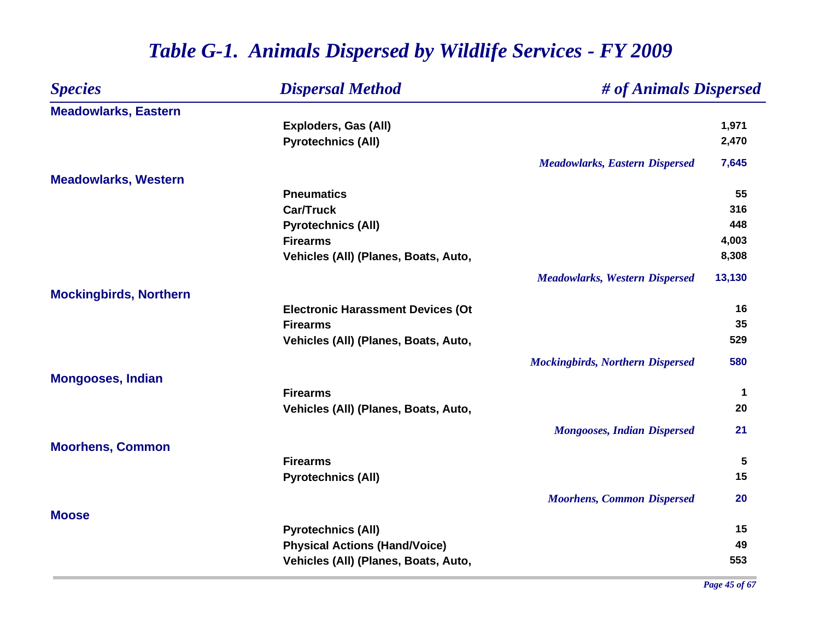| <b>Dispersal Method</b><br><b>Species</b> | # of Animals Dispersed                   |                                         |             |
|-------------------------------------------|------------------------------------------|-----------------------------------------|-------------|
| <b>Meadowlarks, Eastern</b>               |                                          |                                         |             |
|                                           | <b>Exploders, Gas (All)</b>              |                                         | 1,971       |
|                                           | <b>Pyrotechnics (All)</b>                |                                         | 2,470       |
|                                           |                                          | <b>Meadowlarks, Eastern Dispersed</b>   | 7,645       |
| <b>Meadowlarks, Western</b>               |                                          |                                         |             |
|                                           | <b>Pneumatics</b>                        |                                         | 55          |
|                                           | <b>Car/Truck</b>                         |                                         | 316         |
|                                           | <b>Pyrotechnics (All)</b>                |                                         | 448         |
|                                           | <b>Firearms</b>                          |                                         | 4,003       |
|                                           | Vehicles (All) (Planes, Boats, Auto,     |                                         | 8,308       |
|                                           |                                          | <b>Meadowlarks, Western Dispersed</b>   | 13,130      |
| <b>Mockingbirds, Northern</b>             |                                          |                                         |             |
|                                           | <b>Electronic Harassment Devices (Ot</b> |                                         | 16          |
|                                           | <b>Firearms</b>                          |                                         | 35          |
|                                           | Vehicles (All) (Planes, Boats, Auto,     |                                         | 529         |
|                                           |                                          | <b>Mockingbirds, Northern Dispersed</b> | 580         |
| <b>Mongooses, Indian</b>                  |                                          |                                         |             |
|                                           | <b>Firearms</b>                          |                                         | $\mathbf 1$ |
|                                           | Vehicles (All) (Planes, Boats, Auto,     |                                         | 20          |
|                                           |                                          | <b>Mongooses, Indian Dispersed</b>      | 21          |
| <b>Moorhens, Common</b>                   |                                          |                                         |             |
|                                           | <b>Firearms</b>                          |                                         | 5           |
|                                           | <b>Pyrotechnics (All)</b>                |                                         | 15          |
|                                           |                                          | <b>Moorhens, Common Dispersed</b>       | 20          |
| <b>Moose</b>                              |                                          |                                         |             |
|                                           | <b>Pyrotechnics (All)</b>                |                                         | 15          |
|                                           | <b>Physical Actions (Hand/Voice)</b>     |                                         | 49          |
|                                           | Vehicles (All) (Planes, Boats, Auto,     |                                         | 553         |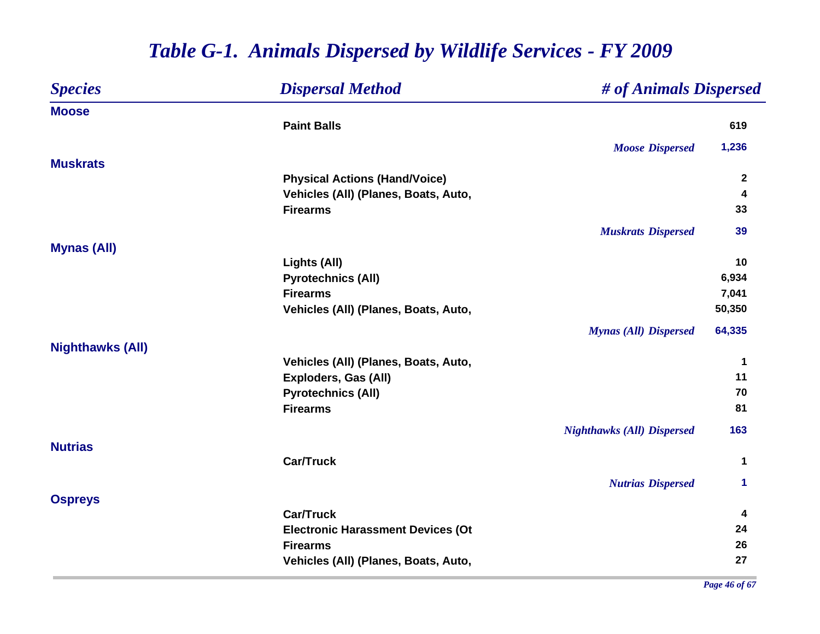| <b>Species</b>          | <b>Dispersal Method</b>                  | # of Animals Dispersed            |              |
|-------------------------|------------------------------------------|-----------------------------------|--------------|
| <b>Moose</b>            |                                          |                                   |              |
|                         | <b>Paint Balls</b>                       |                                   | 619          |
|                         |                                          | <b>Moose Dispersed</b>            | 1,236        |
| <b>Muskrats</b>         |                                          |                                   |              |
|                         | <b>Physical Actions (Hand/Voice)</b>     |                                   | $\mathbf{2}$ |
|                         | Vehicles (All) (Planes, Boats, Auto,     |                                   | 4            |
|                         | <b>Firearms</b>                          |                                   | 33           |
|                         |                                          | <b>Muskrats Dispersed</b>         | 39           |
| <b>Mynas (All)</b>      |                                          |                                   |              |
|                         | Lights (All)                             |                                   | 10           |
|                         | <b>Pyrotechnics (All)</b>                |                                   | 6,934        |
|                         | <b>Firearms</b>                          |                                   | 7,041        |
|                         | Vehicles (All) (Planes, Boats, Auto,     |                                   | 50,350       |
|                         |                                          | <b>Mynas (All) Dispersed</b>      | 64,335       |
| <b>Nighthawks (All)</b> |                                          |                                   |              |
|                         | Vehicles (All) (Planes, Boats, Auto,     |                                   | $\mathbf 1$  |
|                         | <b>Exploders, Gas (All)</b>              |                                   | 11           |
|                         | <b>Pyrotechnics (All)</b>                |                                   | 70           |
|                         | <b>Firearms</b>                          |                                   | 81           |
|                         |                                          | <b>Nighthawks (All) Dispersed</b> | 163          |
| <b>Nutrias</b>          |                                          |                                   |              |
|                         | <b>Car/Truck</b>                         |                                   | 1            |
|                         |                                          | <b>Nutrias Dispersed</b>          | 1            |
| <b>Ospreys</b>          |                                          |                                   |              |
|                         | <b>Car/Truck</b>                         |                                   | 4            |
|                         | <b>Electronic Harassment Devices (Ot</b> |                                   | 24           |
|                         | <b>Firearms</b>                          |                                   | 26           |
|                         | Vehicles (All) (Planes, Boats, Auto,     |                                   | 27           |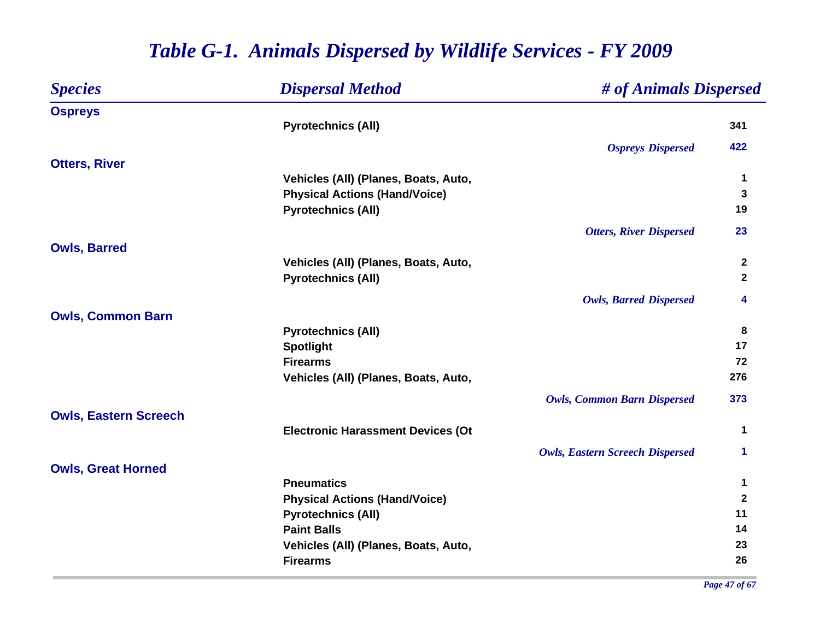| <b>Species</b>               | <b>Dispersal Method</b>                  | # of Animals Dispersed                 |              |
|------------------------------|------------------------------------------|----------------------------------------|--------------|
| <b>Ospreys</b>               |                                          |                                        |              |
|                              | <b>Pyrotechnics (All)</b>                |                                        | 341          |
|                              |                                          | <b>Ospreys Dispersed</b>               | 422          |
| <b>Otters, River</b>         |                                          |                                        |              |
|                              | Vehicles (All) (Planes, Boats, Auto,     |                                        | 1            |
|                              | <b>Physical Actions (Hand/Voice)</b>     |                                        | 3            |
|                              | <b>Pyrotechnics (All)</b>                |                                        | 19           |
|                              |                                          | <b>Otters, River Dispersed</b>         | 23           |
| <b>Owls, Barred</b>          |                                          |                                        |              |
|                              | Vehicles (All) (Planes, Boats, Auto,     |                                        | $\mathbf{2}$ |
|                              | <b>Pyrotechnics (All)</b>                |                                        | $\mathbf{2}$ |
|                              |                                          | <b>Owls, Barred Dispersed</b>          | 4            |
| <b>Owls, Common Barn</b>     |                                          |                                        |              |
|                              | <b>Pyrotechnics (All)</b>                |                                        | 8            |
|                              | <b>Spotlight</b>                         |                                        | 17           |
|                              | <b>Firearms</b>                          |                                        | 72           |
|                              | Vehicles (All) (Planes, Boats, Auto,     |                                        | 276          |
|                              |                                          | <b>Owls, Common Barn Dispersed</b>     | 373          |
| <b>Owls, Eastern Screech</b> |                                          |                                        |              |
|                              | <b>Electronic Harassment Devices (Ot</b> |                                        | 1            |
|                              |                                          | <b>Owls, Eastern Screech Dispersed</b> | 1            |
| <b>Owls, Great Horned</b>    |                                          |                                        |              |
|                              | <b>Pneumatics</b>                        |                                        | $\mathbf 1$  |
|                              | <b>Physical Actions (Hand/Voice)</b>     |                                        | $\mathbf{2}$ |
|                              | <b>Pyrotechnics (All)</b>                |                                        | 11           |
|                              | <b>Paint Balls</b>                       |                                        | 14           |
|                              | Vehicles (All) (Planes, Boats, Auto,     |                                        | 23           |
|                              | <b>Firearms</b>                          |                                        | 26           |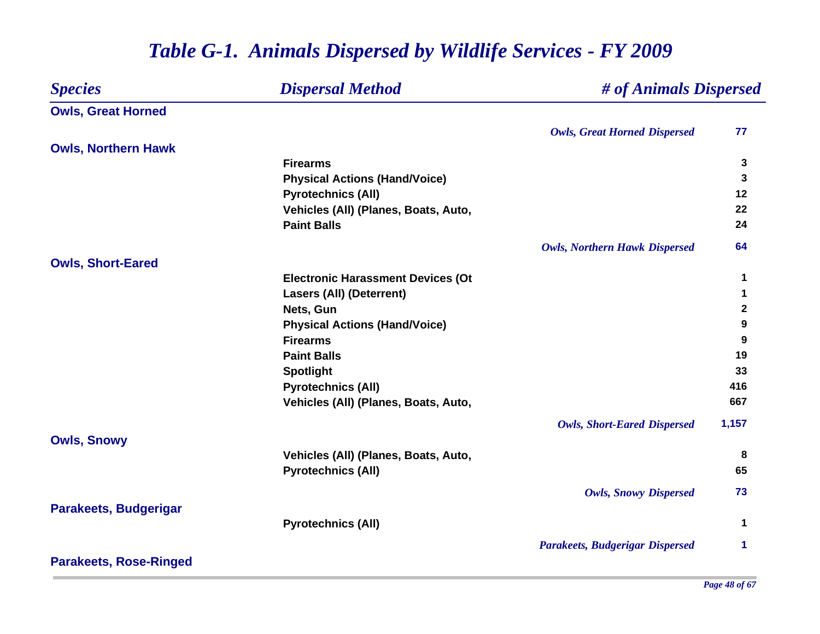| <b>Species</b>                | <b>Dispersal Method</b>                  | # of Animals Dispersed                 |              |
|-------------------------------|------------------------------------------|----------------------------------------|--------------|
| <b>Owls, Great Horned</b>     |                                          |                                        |              |
|                               |                                          | <b>Owls, Great Horned Dispersed</b>    | 77           |
| <b>Owls, Northern Hawk</b>    |                                          |                                        |              |
|                               | <b>Firearms</b>                          |                                        | $\mathbf{3}$ |
|                               | <b>Physical Actions (Hand/Voice)</b>     |                                        | 3            |
|                               | <b>Pyrotechnics (All)</b>                |                                        | 12           |
|                               | Vehicles (All) (Planes, Boats, Auto,     |                                        | 22           |
|                               | <b>Paint Balls</b>                       |                                        | 24           |
|                               |                                          | <b>Owls, Northern Hawk Dispersed</b>   | 64           |
| <b>Owls, Short-Eared</b>      |                                          |                                        |              |
|                               | <b>Electronic Harassment Devices (Ot</b> |                                        | 1            |
|                               | <b>Lasers (All) (Deterrent)</b>          |                                        | 1            |
|                               | Nets, Gun                                |                                        | $\mathbf{2}$ |
|                               | <b>Physical Actions (Hand/Voice)</b>     |                                        | 9            |
|                               | <b>Firearms</b>                          |                                        | 9            |
|                               | <b>Paint Balls</b>                       |                                        | 19           |
|                               | <b>Spotlight</b>                         |                                        | 33           |
|                               | <b>Pyrotechnics (All)</b>                |                                        | 416          |
|                               | Vehicles (All) (Planes, Boats, Auto,     |                                        | 667          |
|                               |                                          | <b>Owls, Short-Eared Dispersed</b>     | 1,157        |
| <b>Owls, Snowy</b>            |                                          |                                        |              |
|                               | Vehicles (All) (Planes, Boats, Auto,     |                                        | 8            |
|                               | <b>Pyrotechnics (All)</b>                |                                        | 65           |
|                               |                                          | <b>Owls, Snowy Dispersed</b>           | 73           |
| <b>Parakeets, Budgerigar</b>  |                                          |                                        |              |
|                               | <b>Pyrotechnics (All)</b>                |                                        | 1            |
|                               |                                          | <b>Parakeets, Budgerigar Dispersed</b> | 1.           |
| <b>Parakeets, Rose-Ringed</b> |                                          |                                        |              |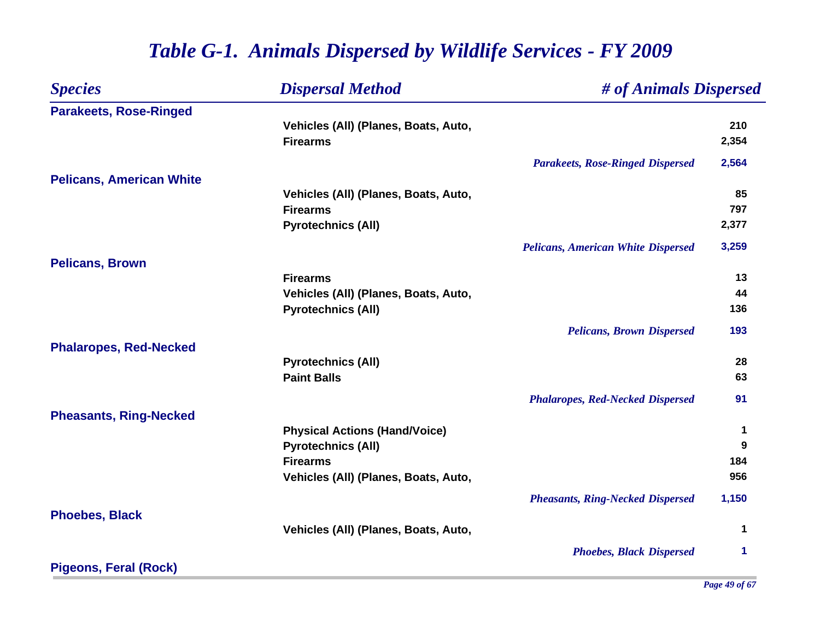| <b>Species</b>                  | <b>Dispersal Method</b>              | # of Animals Dispersed                    |             |
|---------------------------------|--------------------------------------|-------------------------------------------|-------------|
| <b>Parakeets, Rose-Ringed</b>   |                                      |                                           |             |
|                                 | Vehicles (All) (Planes, Boats, Auto, |                                           | 210         |
|                                 | <b>Firearms</b>                      |                                           | 2,354       |
|                                 |                                      | <b>Parakeets, Rose-Ringed Dispersed</b>   | 2,564       |
| <b>Pelicans, American White</b> |                                      |                                           |             |
|                                 | Vehicles (All) (Planes, Boats, Auto, |                                           | 85          |
|                                 | <b>Firearms</b>                      |                                           | 797         |
|                                 | <b>Pyrotechnics (All)</b>            |                                           | 2,377       |
|                                 |                                      | <b>Pelicans, American White Dispersed</b> | 3,259       |
| <b>Pelicans, Brown</b>          |                                      |                                           |             |
|                                 | <b>Firearms</b>                      |                                           | 13          |
|                                 | Vehicles (All) (Planes, Boats, Auto, |                                           | 44          |
|                                 | <b>Pyrotechnics (All)</b>            |                                           | 136         |
|                                 |                                      | <b>Pelicans, Brown Dispersed</b>          | 193         |
| <b>Phalaropes, Red-Necked</b>   |                                      |                                           |             |
|                                 | <b>Pyrotechnics (All)</b>            |                                           | 28          |
|                                 | <b>Paint Balls</b>                   |                                           | 63          |
|                                 |                                      | <b>Phalaropes, Red-Necked Dispersed</b>   | 91          |
| <b>Pheasants, Ring-Necked</b>   |                                      |                                           |             |
|                                 | <b>Physical Actions (Hand/Voice)</b> |                                           | $\mathbf 1$ |
|                                 | <b>Pyrotechnics (All)</b>            |                                           | 9           |
|                                 | <b>Firearms</b>                      |                                           | 184         |
|                                 | Vehicles (All) (Planes, Boats, Auto, |                                           | 956         |
|                                 |                                      | <b>Pheasants, Ring-Necked Dispersed</b>   | 1,150       |
| <b>Phoebes, Black</b>           |                                      |                                           |             |
|                                 | Vehicles (All) (Planes, Boats, Auto, |                                           | 1           |
|                                 |                                      | <b>Phoebes, Black Dispersed</b>           | 1           |
| <b>Pigeons, Feral (Rock)</b>    |                                      |                                           |             |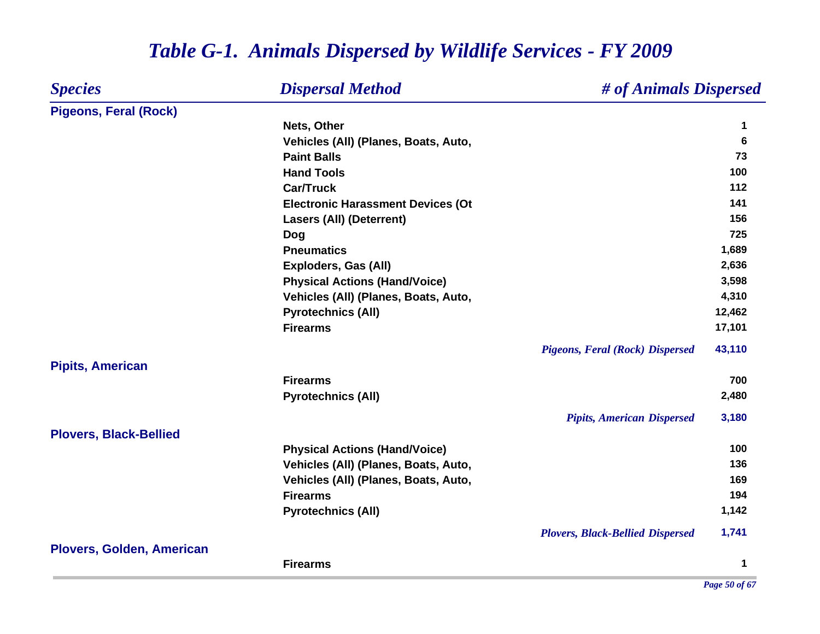| <b>Species</b>                   | <b>Dispersal Method</b>                  | # of Animals Dispersed |
|----------------------------------|------------------------------------------|------------------------|
| <b>Pigeons, Feral (Rock)</b>     |                                          |                        |
|                                  | Nets, Other                              | 1                      |
|                                  | Vehicles (All) (Planes, Boats, Auto,     | 6                      |
|                                  | <b>Paint Balls</b>                       | 73                     |
|                                  | <b>Hand Tools</b>                        | 100                    |
|                                  | <b>Car/Truck</b>                         | 112                    |
|                                  | <b>Electronic Harassment Devices (Ot</b> | 141                    |
|                                  | <b>Lasers (All) (Deterrent)</b>          | 156                    |
|                                  | <b>Dog</b>                               | 725                    |
|                                  | <b>Pneumatics</b>                        | 1,689                  |
|                                  | Exploders, Gas (All)                     | 2,636                  |
|                                  | <b>Physical Actions (Hand/Voice)</b>     | 3,598                  |
|                                  | Vehicles (All) (Planes, Boats, Auto,     | 4,310                  |
|                                  | <b>Pyrotechnics (All)</b>                | 12,462                 |
|                                  | <b>Firearms</b>                          | 17,101                 |
|                                  | <b>Pigeons, Feral (Rock) Dispersed</b>   | 43,110                 |
| <b>Pipits, American</b>          | <b>Firearms</b>                          | 700                    |
|                                  | <b>Pyrotechnics (All)</b>                | 2,480                  |
|                                  | <b>Pipits, American Dispersed</b>        | 3,180                  |
| <b>Plovers, Black-Bellied</b>    |                                          |                        |
|                                  | <b>Physical Actions (Hand/Voice)</b>     | 100                    |
|                                  | Vehicles (All) (Planes, Boats, Auto,     | 136                    |
|                                  | Vehicles (All) (Planes, Boats, Auto,     | 169                    |
|                                  | <b>Firearms</b>                          | 194                    |
|                                  | <b>Pyrotechnics (All)</b>                | 1,142                  |
|                                  | <b>Plovers, Black-Bellied Dispersed</b>  | 1,741                  |
| <b>Plovers, Golden, American</b> | <b>Firearms</b>                          | 1                      |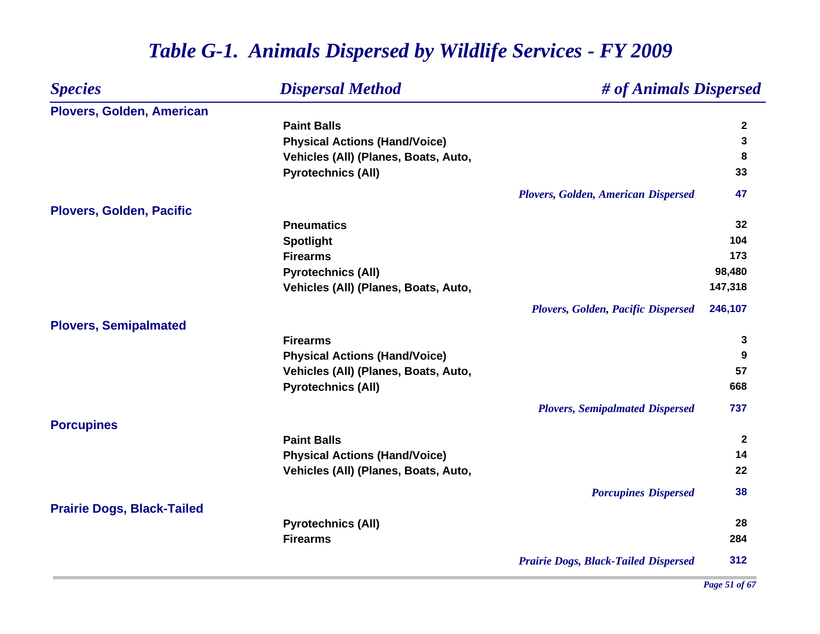| <b>Species</b>                    | <b>Dispersal Method</b>              | # of Animals Dispersed                      |              |
|-----------------------------------|--------------------------------------|---------------------------------------------|--------------|
| Plovers, Golden, American         |                                      |                                             |              |
|                                   | <b>Paint Balls</b>                   |                                             | $\mathbf{2}$ |
|                                   | <b>Physical Actions (Hand/Voice)</b> |                                             | 3            |
|                                   | Vehicles (All) (Planes, Boats, Auto, |                                             | 8            |
|                                   | <b>Pyrotechnics (All)</b>            |                                             | 33           |
|                                   |                                      | <b>Plovers, Golden, American Dispersed</b>  | 47           |
| <b>Plovers, Golden, Pacific</b>   |                                      |                                             |              |
|                                   | <b>Pneumatics</b>                    |                                             | 32           |
|                                   | <b>Spotlight</b>                     |                                             | 104          |
|                                   | <b>Firearms</b>                      |                                             | 173          |
|                                   | <b>Pyrotechnics (All)</b>            |                                             | 98,480       |
|                                   | Vehicles (All) (Planes, Boats, Auto, |                                             | 147,318      |
|                                   |                                      | Plovers, Golden, Pacific Dispersed          | 246,107      |
| <b>Plovers, Semipalmated</b>      |                                      |                                             |              |
|                                   | <b>Firearms</b>                      |                                             | 3            |
|                                   | <b>Physical Actions (Hand/Voice)</b> |                                             | 9            |
|                                   | Vehicles (All) (Planes, Boats, Auto, |                                             | 57           |
|                                   | <b>Pyrotechnics (All)</b>            |                                             | 668          |
|                                   |                                      | <b>Plovers, Semipalmated Dispersed</b>      | 737          |
| <b>Porcupines</b>                 |                                      |                                             |              |
|                                   | <b>Paint Balls</b>                   |                                             | $\mathbf{2}$ |
|                                   | <b>Physical Actions (Hand/Voice)</b> |                                             | 14           |
|                                   | Vehicles (All) (Planes, Boats, Auto, |                                             | 22           |
|                                   |                                      | <b>Porcupines Dispersed</b>                 | 38           |
| <b>Prairie Dogs, Black-Tailed</b> |                                      |                                             |              |
|                                   | <b>Pyrotechnics (All)</b>            |                                             | 28           |
|                                   | <b>Firearms</b>                      |                                             | 284          |
|                                   |                                      | <b>Prairie Dogs, Black-Tailed Dispersed</b> | 312          |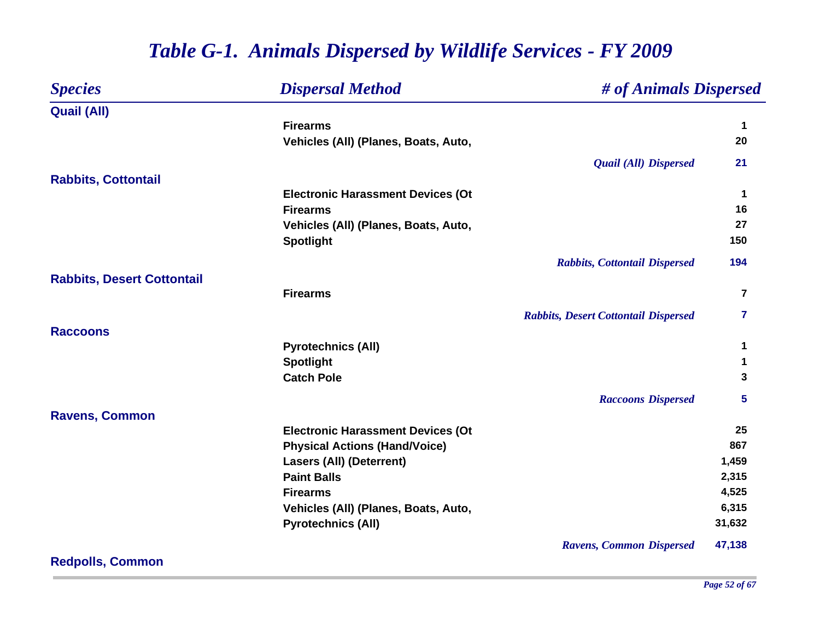| <b>Species</b>                    | <b>Dispersal Method</b>                  | # of Animals Dispersed                      |                         |
|-----------------------------------|------------------------------------------|---------------------------------------------|-------------------------|
| <b>Quail (All)</b>                |                                          |                                             |                         |
|                                   | <b>Firearms</b>                          |                                             | 1                       |
|                                   | Vehicles (All) (Planes, Boats, Auto,     |                                             | 20                      |
|                                   |                                          | <b>Quail (All) Dispersed</b>                | 21                      |
| <b>Rabbits, Cottontail</b>        |                                          |                                             |                         |
|                                   | <b>Electronic Harassment Devices (Ot</b> |                                             | 1                       |
|                                   | <b>Firearms</b>                          |                                             | 16                      |
|                                   | Vehicles (All) (Planes, Boats, Auto,     |                                             | 27                      |
|                                   | <b>Spotlight</b>                         |                                             | 150                     |
|                                   |                                          | <b>Rabbits, Cottontail Dispersed</b>        | 194                     |
| <b>Rabbits, Desert Cottontail</b> |                                          |                                             |                         |
|                                   | <b>Firearms</b>                          |                                             | $\overline{\mathbf{r}}$ |
|                                   |                                          | <b>Rabbits, Desert Cottontail Dispersed</b> | 7                       |
| <b>Raccoons</b>                   |                                          |                                             |                         |
|                                   | <b>Pyrotechnics (All)</b>                |                                             | 1                       |
|                                   | <b>Spotlight</b>                         |                                             | 1                       |
|                                   | <b>Catch Pole</b>                        |                                             | 3                       |
|                                   |                                          | <b>Raccoons Dispersed</b>                   | 5                       |
| <b>Ravens, Common</b>             |                                          |                                             |                         |
|                                   | <b>Electronic Harassment Devices (Ot</b> |                                             | 25                      |
|                                   | <b>Physical Actions (Hand/Voice)</b>     |                                             | 867                     |
|                                   | <b>Lasers (All) (Deterrent)</b>          |                                             | 1,459                   |
|                                   | <b>Paint Balls</b>                       |                                             | 2,315                   |
|                                   | <b>Firearms</b>                          |                                             | 4,525                   |
|                                   | Vehicles (All) (Planes, Boats, Auto,     |                                             | 6,315                   |
|                                   | <b>Pyrotechnics (All)</b>                |                                             | 31,632                  |
|                                   |                                          | <b>Ravens, Common Dispersed</b>             | 47,138                  |

**Redpolls, Common**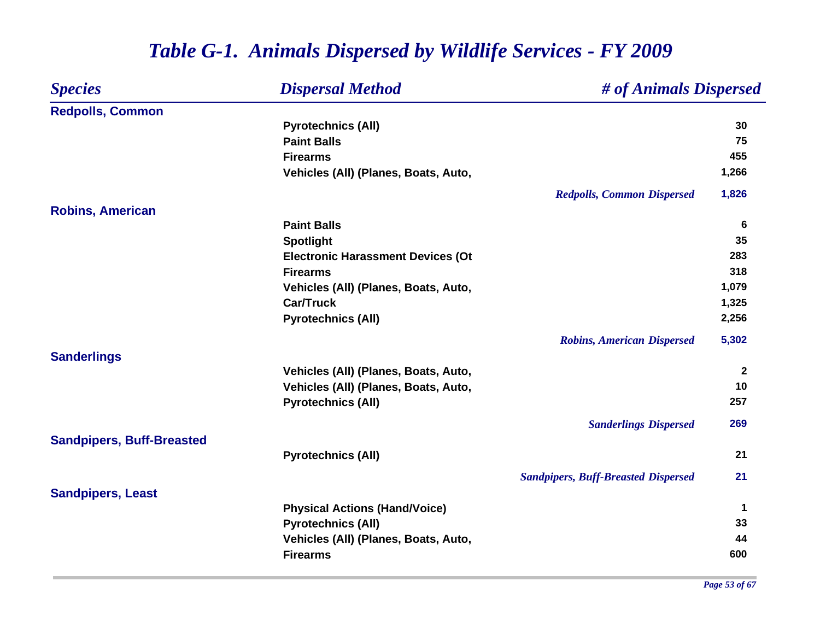| <b>Species</b>                   | <b>Dispersal Method</b><br># of Animals Dispersed |              |
|----------------------------------|---------------------------------------------------|--------------|
| <b>Redpolls, Common</b>          |                                                   |              |
|                                  | <b>Pyrotechnics (All)</b>                         | 30           |
|                                  | <b>Paint Balls</b>                                | 75           |
|                                  | <b>Firearms</b>                                   | 455          |
|                                  | Vehicles (All) (Planes, Boats, Auto,              | 1,266        |
|                                  | <b>Redpolls, Common Dispersed</b>                 | 1,826        |
| <b>Robins, American</b>          |                                                   |              |
|                                  | <b>Paint Balls</b>                                | 6            |
|                                  | <b>Spotlight</b>                                  | 35           |
|                                  | <b>Electronic Harassment Devices (Ot</b>          | 283          |
|                                  | <b>Firearms</b>                                   | 318          |
|                                  | Vehicles (All) (Planes, Boats, Auto,              | 1,079        |
|                                  | <b>Car/Truck</b>                                  | 1,325        |
|                                  | <b>Pyrotechnics (All)</b>                         | 2,256        |
|                                  | <b>Robins, American Dispersed</b>                 | 5,302        |
| <b>Sanderlings</b>               |                                                   |              |
|                                  | Vehicles (All) (Planes, Boats, Auto,              | $\mathbf{2}$ |
|                                  | Vehicles (All) (Planes, Boats, Auto,              | 10           |
|                                  | <b>Pyrotechnics (All)</b>                         | 257          |
|                                  | <b>Sanderlings Dispersed</b>                      | 269          |
| <b>Sandpipers, Buff-Breasted</b> |                                                   |              |
|                                  | <b>Pyrotechnics (All)</b>                         | 21           |
|                                  | <b>Sandpipers, Buff-Breasted Dispersed</b>        | 21           |
| <b>Sandpipers, Least</b>         |                                                   |              |
|                                  | <b>Physical Actions (Hand/Voice)</b>              | 1            |
|                                  | <b>Pyrotechnics (All)</b>                         | 33           |
|                                  | Vehicles (All) (Planes, Boats, Auto,              | 44           |
|                                  | <b>Firearms</b>                                   | 600          |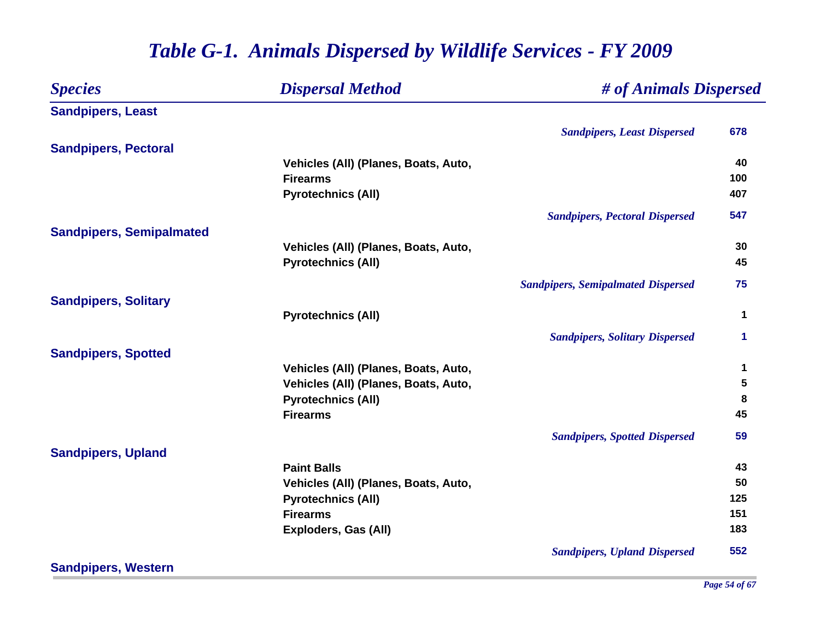#### *Species Dispersal Method # of Animals Dispersed* **Sandpipers, Least** *Sandpipers, Least Dispersed* **678 Sandpipers, Pectoral Vehicles (All) (Planes, Boats, Auto, 40 Firearms100 100 Pyrotechnics (All) <sup>407</sup>** *Sandpipers, Pectoral Dispersed* **547 Sandpipers, Semipalmated Vehicles (All) (Planes, Boats, Auto, 30 Pyrotechnics (All) 45** *Sandpipers, Semipalmated Dispersed* **75 Sandpipers, Solitary Pyrotechnics (All) <sup>1</sup>** *Sandpipers, Solitary Dispersed* **1 Sandpipers, Spotted Vehicles (All) (Planes, Boats, Auto, 1 Vehicles (All) (Planes, Boats, Auto, 5 Pyrotechnics (All) <sup>8</sup> Firearms 45** *Sandpipers, Spotted Dispersed* **59 Sandpipers, Upland Paint Balls 43 Vehicles (All) (Planes, Boats, Auto, 50 Pyrotechnics (All) 125 Firearms151 151 151 151 151 151 151 151 151 151 151 151 151 151 Exploders, Gas (All) 183** *Sandpipers, Upland Dispersed* **552**

#### *Table G-1. Animals Dispersed by Wildlife Services - FY 2009*

**Sandpipers, Western**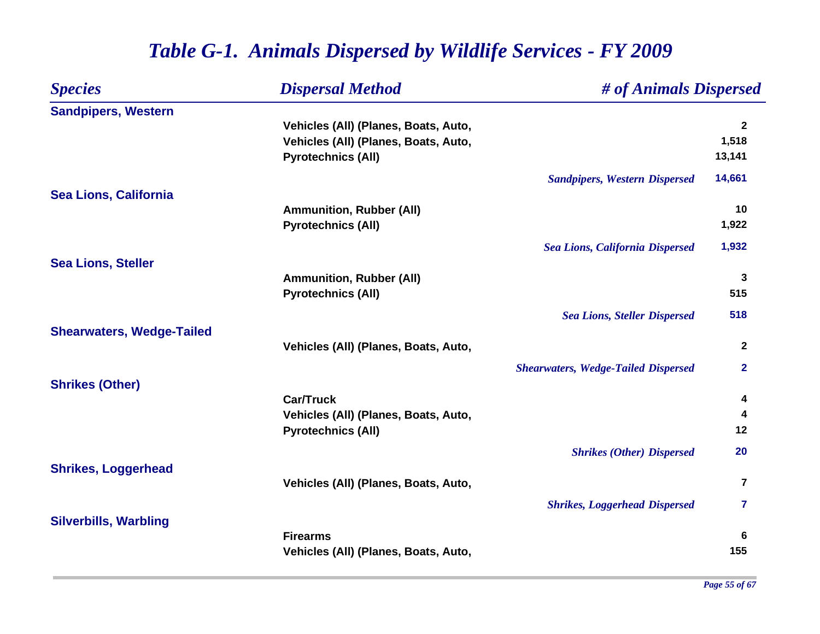| <b>Species</b>                   | <b>Dispersal Method</b>              | # of Animals Dispersed                     |                         |
|----------------------------------|--------------------------------------|--------------------------------------------|-------------------------|
| <b>Sandpipers, Western</b>       |                                      |                                            |                         |
|                                  | Vehicles (All) (Planes, Boats, Auto, |                                            | $\mathbf{2}$            |
|                                  | Vehicles (All) (Planes, Boats, Auto, |                                            | 1,518                   |
|                                  | <b>Pyrotechnics (All)</b>            |                                            | 13,141                  |
|                                  |                                      | <b>Sandpipers, Western Dispersed</b>       | 14,661                  |
| <b>Sea Lions, California</b>     |                                      |                                            |                         |
|                                  | <b>Ammunition, Rubber (All)</b>      |                                            | 10                      |
|                                  | <b>Pyrotechnics (All)</b>            |                                            | 1,922                   |
|                                  |                                      | <b>Sea Lions, California Dispersed</b>     | 1,932                   |
| <b>Sea Lions, Steller</b>        |                                      |                                            |                         |
|                                  | <b>Ammunition, Rubber (All)</b>      |                                            | 3                       |
|                                  | <b>Pyrotechnics (All)</b>            |                                            | 515                     |
|                                  |                                      | <b>Sea Lions, Steller Dispersed</b>        | 518                     |
| <b>Shearwaters, Wedge-Tailed</b> |                                      |                                            |                         |
|                                  | Vehicles (All) (Planes, Boats, Auto, |                                            | $\mathbf{2}$            |
|                                  |                                      | <b>Shearwaters, Wedge-Tailed Dispersed</b> | $\mathbf 2$             |
| <b>Shrikes (Other)</b>           |                                      |                                            |                         |
|                                  | <b>Car/Truck</b>                     |                                            | 4                       |
|                                  | Vehicles (All) (Planes, Boats, Auto, |                                            | 4                       |
|                                  | <b>Pyrotechnics (All)</b>            |                                            | 12                      |
|                                  |                                      | <b>Shrikes (Other) Dispersed</b>           | 20                      |
| <b>Shrikes, Loggerhead</b>       |                                      |                                            |                         |
|                                  | Vehicles (All) (Planes, Boats, Auto, |                                            | $\overline{\mathbf{r}}$ |
|                                  |                                      | <b>Shrikes, Loggerhead Dispersed</b>       | 7                       |
| <b>Silverbills, Warbling</b>     |                                      |                                            |                         |
|                                  | <b>Firearms</b>                      |                                            | 6                       |
|                                  | Vehicles (All) (Planes, Boats, Auto, |                                            | 155                     |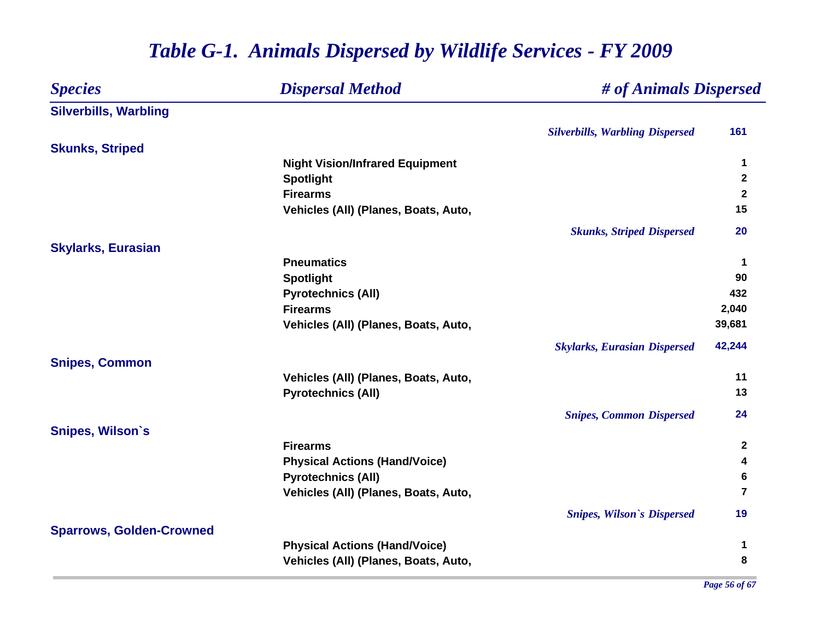#### *Species Dispersal Method # of Animals Dispersed* **Silverbills, Warbling** *Silverbills, Warbling Dispersed* **161 Skunks, Striped Night Vision/Infrared Equipment <sup>1</sup> Spotlight <sup>2</sup> Firearms 2** Vehicles (All) (Planes, Boats, Auto, 15 *Skunks, Striped Dispersed* **20 Skylarks, Eurasian Pneumatics 1 Spotlight <sup>90</sup> Pyrotechnics (All) <sup>432</sup> Firearms 2,040 Vehicles (All) (Planes, Boats, Auto, 39,681** *Skylarks, Eurasian Dispersed* **42,244 Snipes, Common Vehicles (All) (Planes, Boats, Auto, 11 Pyrotechnics (All) <sup>13</sup>** *Snipes, Common Dispersed* **24 Snipes, Wilson`s Firearms 2 Physical Actions (Hand/Voice) <sup>4</sup> Pyrotechnics (All) <sup>6</sup> Vehicles (All) (Planes, Boats, Auto, 7** *Snipes, Wilson`s Dispersed* **19 Sparrows, Golden-Crowned Physical Actions (Hand/Voice) <sup>1</sup> Vehicles (All) (Planes, Boats, Auto, 8**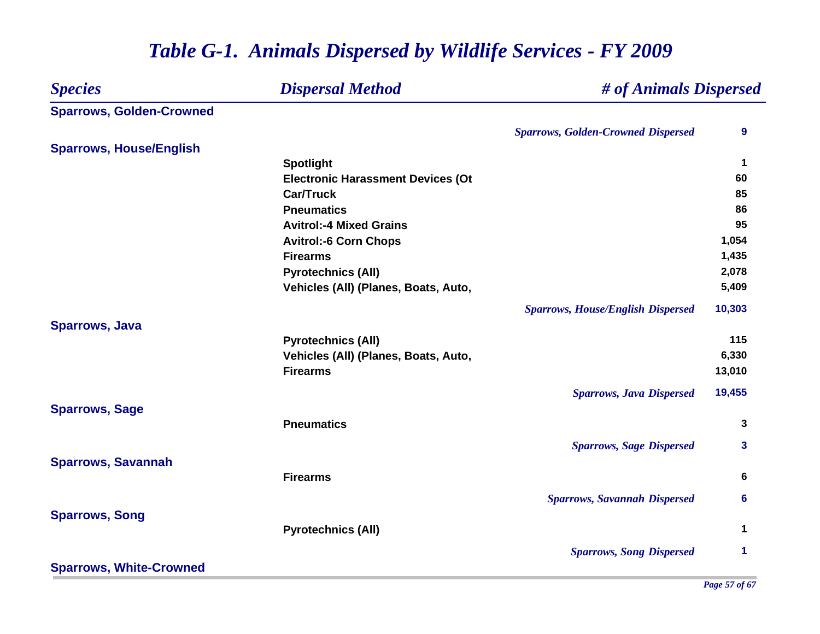| <b>Species</b>                  | <b>Dispersal Method</b>                  |                                           | # of Animals Dispersed<br>9 |  |
|---------------------------------|------------------------------------------|-------------------------------------------|-----------------------------|--|
| <b>Sparrows, Golden-Crowned</b> |                                          |                                           |                             |  |
|                                 |                                          | <b>Sparrows, Golden-Crowned Dispersed</b> |                             |  |
| <b>Sparrows, House/English</b>  |                                          |                                           |                             |  |
|                                 | <b>Spotlight</b>                         |                                           | 1                           |  |
|                                 | <b>Electronic Harassment Devices (Ot</b> |                                           | 60                          |  |
|                                 | <b>Car/Truck</b>                         |                                           | 85                          |  |
|                                 | <b>Pneumatics</b>                        |                                           | 86                          |  |
|                                 | <b>Avitrol:-4 Mixed Grains</b>           |                                           | 95                          |  |
|                                 | <b>Avitrol:-6 Corn Chops</b>             |                                           | 1,054                       |  |
|                                 | <b>Firearms</b>                          |                                           | 1,435                       |  |
|                                 | <b>Pyrotechnics (All)</b>                |                                           | 2,078                       |  |
|                                 | Vehicles (All) (Planes, Boats, Auto,     |                                           | 5,409                       |  |
|                                 |                                          | <b>Sparrows, House/English Dispersed</b>  | 10,303                      |  |
| <b>Sparrows, Java</b>           |                                          |                                           |                             |  |
|                                 | <b>Pyrotechnics (All)</b>                |                                           | 115                         |  |
|                                 | Vehicles (All) (Planes, Boats, Auto,     |                                           | 6,330                       |  |
|                                 | <b>Firearms</b>                          |                                           | 13,010                      |  |
|                                 |                                          | <b>Sparrows, Java Dispersed</b>           | 19,455                      |  |
| <b>Sparrows, Sage</b>           | <b>Pneumatics</b>                        |                                           | 3                           |  |
|                                 |                                          |                                           |                             |  |
|                                 |                                          | <b>Sparrows, Sage Dispersed</b>           | 3                           |  |
| <b>Sparrows, Savannah</b>       |                                          |                                           |                             |  |
|                                 | <b>Firearms</b>                          |                                           | 6                           |  |
|                                 |                                          | <b>Sparrows, Savannah Dispersed</b>       | 6                           |  |
| <b>Sparrows, Song</b>           |                                          |                                           |                             |  |
|                                 | <b>Pyrotechnics (All)</b>                |                                           | 1                           |  |
|                                 |                                          | <b>Sparrows, Song Dispersed</b>           | 1                           |  |
| <b>Sparrows, White-Crowned</b>  |                                          |                                           |                             |  |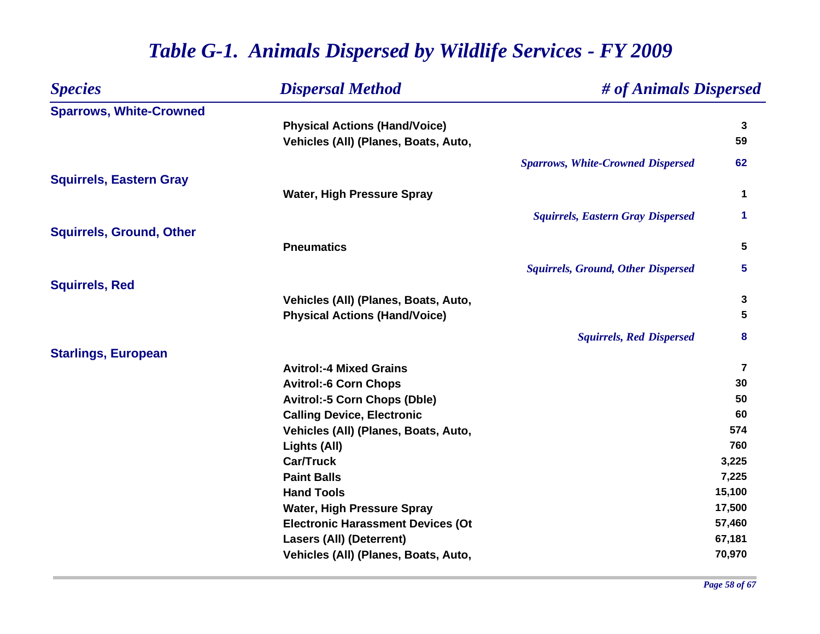| <b>Species</b>                  | <b>Dispersal Method</b>                                                      | # of Animals Dispersed                    |                         |
|---------------------------------|------------------------------------------------------------------------------|-------------------------------------------|-------------------------|
| <b>Sparrows, White-Crowned</b>  |                                                                              |                                           | $\mathbf{3}$            |
|                                 | <b>Physical Actions (Hand/Voice)</b><br>Vehicles (All) (Planes, Boats, Auto, |                                           | 59                      |
|                                 |                                                                              |                                           |                         |
|                                 |                                                                              | <b>Sparrows, White-Crowned Dispersed</b>  | 62                      |
| <b>Squirrels, Eastern Gray</b>  |                                                                              |                                           |                         |
|                                 | <b>Water, High Pressure Spray</b>                                            |                                           | 1                       |
|                                 |                                                                              | <b>Squirrels, Eastern Gray Dispersed</b>  | 1                       |
| <b>Squirrels, Ground, Other</b> |                                                                              |                                           |                         |
|                                 | <b>Pneumatics</b>                                                            |                                           | 5                       |
|                                 |                                                                              | <b>Squirrels, Ground, Other Dispersed</b> | 5                       |
| <b>Squirrels, Red</b>           |                                                                              |                                           |                         |
|                                 | Vehicles (All) (Planes, Boats, Auto,                                         |                                           | 3                       |
|                                 | <b>Physical Actions (Hand/Voice)</b>                                         |                                           | 5                       |
|                                 |                                                                              | <b>Squirrels, Red Dispersed</b>           | 8                       |
| <b>Starlings, European</b>      |                                                                              |                                           |                         |
|                                 | <b>Avitrol:-4 Mixed Grains</b>                                               |                                           | $\overline{\mathbf{7}}$ |
|                                 | <b>Avitrol:-6 Corn Chops</b>                                                 |                                           | 30                      |
|                                 | <b>Avitrol:-5 Corn Chops (Dble)</b>                                          |                                           | 50                      |
|                                 | <b>Calling Device, Electronic</b>                                            |                                           | 60                      |
|                                 | Vehicles (All) (Planes, Boats, Auto,                                         |                                           | 574                     |
|                                 | Lights (All)                                                                 |                                           | 760                     |
|                                 | <b>Car/Truck</b>                                                             |                                           | 3,225                   |
|                                 | <b>Paint Balls</b>                                                           |                                           | 7,225                   |
|                                 | <b>Hand Tools</b>                                                            |                                           | 15,100                  |
|                                 | <b>Water, High Pressure Spray</b>                                            |                                           | 17,500                  |
|                                 | <b>Electronic Harassment Devices (Ot</b>                                     |                                           | 57,460                  |
|                                 | <b>Lasers (All) (Deterrent)</b>                                              |                                           | 67,181                  |
|                                 | Vehicles (All) (Planes, Boats, Auto,                                         |                                           | 70,970                  |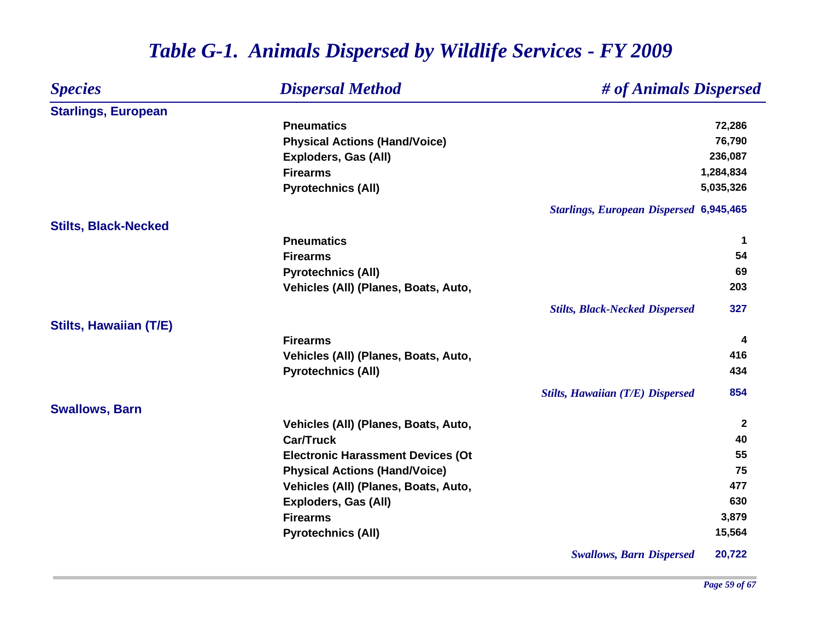| <b>Species</b>                | <b>Dispersal Method</b>                  | # of Animals Dispersed                         |              |
|-------------------------------|------------------------------------------|------------------------------------------------|--------------|
| <b>Starlings, European</b>    |                                          |                                                |              |
|                               | <b>Pneumatics</b>                        |                                                | 72,286       |
|                               | <b>Physical Actions (Hand/Voice)</b>     |                                                | 76,790       |
|                               | Exploders, Gas (All)                     |                                                | 236,087      |
|                               | <b>Firearms</b>                          |                                                | 1,284,834    |
|                               | <b>Pyrotechnics (All)</b>                |                                                | 5,035,326    |
|                               |                                          | <b>Starlings, European Dispersed 6,945,465</b> |              |
| <b>Stilts, Black-Necked</b>   |                                          |                                                |              |
|                               | <b>Pneumatics</b>                        |                                                | $\mathbf 1$  |
|                               | <b>Firearms</b>                          |                                                | 54           |
|                               | <b>Pyrotechnics (All)</b>                |                                                | 69           |
|                               | Vehicles (All) (Planes, Boats, Auto,     |                                                | 203          |
|                               |                                          | <b>Stilts, Black-Necked Dispersed</b>          | 327          |
| <b>Stilts, Hawaiian (T/E)</b> |                                          |                                                |              |
|                               | <b>Firearms</b>                          |                                                | 4            |
|                               | Vehicles (All) (Planes, Boats, Auto,     |                                                | 416          |
|                               | <b>Pyrotechnics (All)</b>                |                                                | 434          |
|                               |                                          | <b>Stilts, Hawaiian (T/E) Dispersed</b>        | 854          |
| <b>Swallows, Barn</b>         |                                          |                                                |              |
|                               | Vehicles (All) (Planes, Boats, Auto,     |                                                | $\mathbf{2}$ |
|                               | <b>Car/Truck</b>                         |                                                | 40           |
|                               | <b>Electronic Harassment Devices (Ot</b> |                                                | 55           |
|                               | <b>Physical Actions (Hand/Voice)</b>     |                                                | 75           |
|                               | Vehicles (All) (Planes, Boats, Auto,     |                                                | 477          |
|                               | <b>Exploders, Gas (All)</b>              |                                                | 630          |
|                               | <b>Firearms</b>                          |                                                | 3,879        |
|                               | <b>Pyrotechnics (All)</b>                |                                                | 15,564       |
|                               |                                          | <b>Swallows, Barn Dispersed</b>                | 20,722       |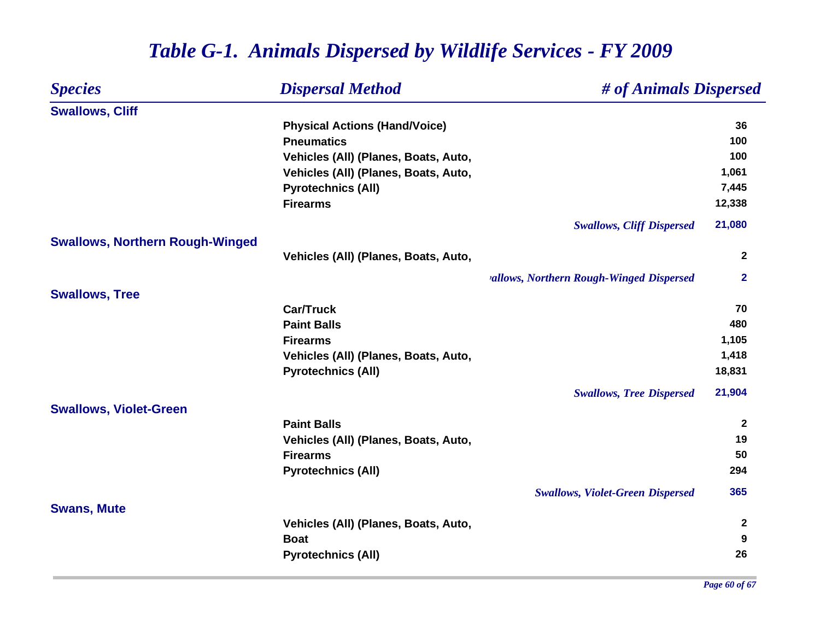| <b>Species</b>                         | <b>Dispersal Method</b>              | # of Animals Dispersed                   |              |
|----------------------------------------|--------------------------------------|------------------------------------------|--------------|
| <b>Swallows, Cliff</b>                 |                                      |                                          |              |
|                                        | <b>Physical Actions (Hand/Voice)</b> |                                          | 36           |
|                                        | <b>Pneumatics</b>                    |                                          | 100          |
|                                        | Vehicles (All) (Planes, Boats, Auto, |                                          | 100          |
|                                        | Vehicles (All) (Planes, Boats, Auto, |                                          | 1,061        |
|                                        | <b>Pyrotechnics (All)</b>            |                                          | 7,445        |
|                                        | <b>Firearms</b>                      |                                          | 12,338       |
|                                        |                                      | <b>Swallows, Cliff Dispersed</b>         | 21,080       |
| <b>Swallows, Northern Rough-Winged</b> |                                      |                                          |              |
|                                        | Vehicles (All) (Planes, Boats, Auto, |                                          | $\mathbf{2}$ |
|                                        |                                      | vallows, Northern Rough-Winged Dispersed | $\mathbf{2}$ |
| <b>Swallows, Tree</b>                  |                                      |                                          |              |
|                                        | <b>Car/Truck</b>                     |                                          | 70           |
|                                        | <b>Paint Balls</b>                   |                                          | 480          |
|                                        | <b>Firearms</b>                      |                                          | 1,105        |
|                                        | Vehicles (All) (Planes, Boats, Auto, |                                          | 1,418        |
|                                        | <b>Pyrotechnics (All)</b>            |                                          | 18,831       |
|                                        |                                      | <b>Swallows, Tree Dispersed</b>          | 21,904       |
| <b>Swallows, Violet-Green</b>          |                                      |                                          |              |
|                                        | <b>Paint Balls</b>                   |                                          | $\mathbf{2}$ |
|                                        | Vehicles (All) (Planes, Boats, Auto, |                                          | 19           |
|                                        | <b>Firearms</b>                      |                                          | 50           |
|                                        | <b>Pyrotechnics (All)</b>            |                                          | 294          |
|                                        |                                      | <b>Swallows, Violet-Green Dispersed</b>  | 365          |
| <b>Swans, Mute</b>                     |                                      |                                          |              |
|                                        | Vehicles (All) (Planes, Boats, Auto, |                                          | $\mathbf{2}$ |
|                                        | <b>Boat</b>                          |                                          | 9            |
|                                        | <b>Pyrotechnics (All)</b>            |                                          | 26           |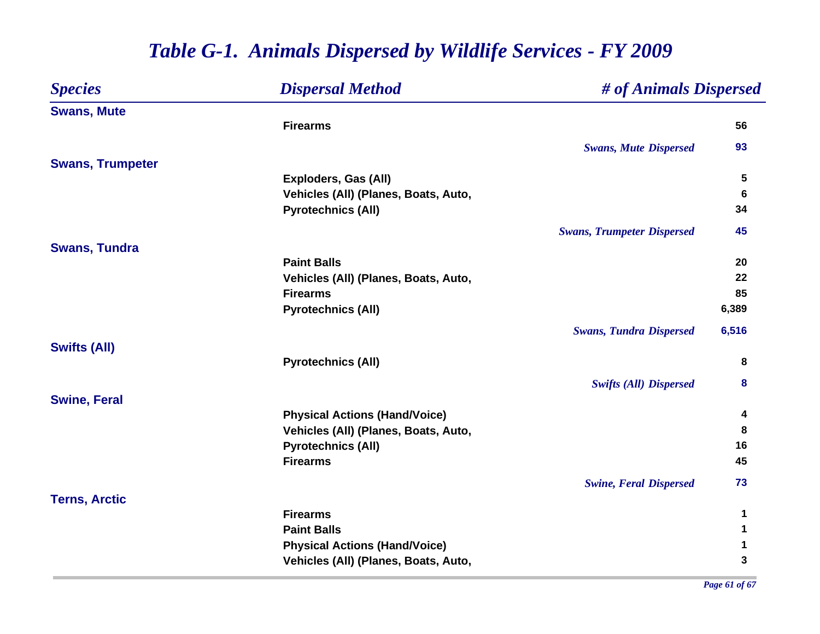| <b>Species</b>          | <b>Dispersal Method</b>              | # of Animals Dispersed            |       |
|-------------------------|--------------------------------------|-----------------------------------|-------|
| <b>Swans, Mute</b>      |                                      |                                   |       |
|                         | <b>Firearms</b>                      |                                   | 56    |
|                         |                                      | <b>Swans, Mute Dispersed</b>      | 93    |
| <b>Swans, Trumpeter</b> |                                      |                                   |       |
|                         | Exploders, Gas (All)                 |                                   | 5     |
|                         | Vehicles (All) (Planes, Boats, Auto, |                                   | 6     |
|                         | <b>Pyrotechnics (All)</b>            |                                   | 34    |
|                         |                                      | <b>Swans, Trumpeter Dispersed</b> | 45    |
| <b>Swans, Tundra</b>    |                                      |                                   |       |
|                         | <b>Paint Balls</b>                   |                                   | 20    |
|                         | Vehicles (All) (Planes, Boats, Auto, |                                   | 22    |
|                         | <b>Firearms</b>                      |                                   | 85    |
|                         | <b>Pyrotechnics (All)</b>            |                                   | 6,389 |
|                         |                                      | <b>Swans, Tundra Dispersed</b>    | 6,516 |
| <b>Swifts (All)</b>     |                                      |                                   |       |
|                         | <b>Pyrotechnics (All)</b>            |                                   | 8     |
|                         |                                      | <b>Swifts (All) Dispersed</b>     | 8     |
| <b>Swine, Feral</b>     |                                      |                                   |       |
|                         | <b>Physical Actions (Hand/Voice)</b> |                                   | 4     |
|                         | Vehicles (All) (Planes, Boats, Auto, |                                   | 8     |
|                         | <b>Pyrotechnics (All)</b>            |                                   | 16    |
|                         | <b>Firearms</b>                      |                                   | 45    |
|                         |                                      | <b>Swine, Feral Dispersed</b>     | 73    |
| <b>Terns, Arctic</b>    |                                      |                                   |       |
|                         | <b>Firearms</b>                      |                                   | 1     |
|                         | <b>Paint Balls</b>                   |                                   | 1     |
|                         | <b>Physical Actions (Hand/Voice)</b> |                                   | 1     |
|                         | Vehicles (All) (Planes, Boats, Auto, |                                   | 3     |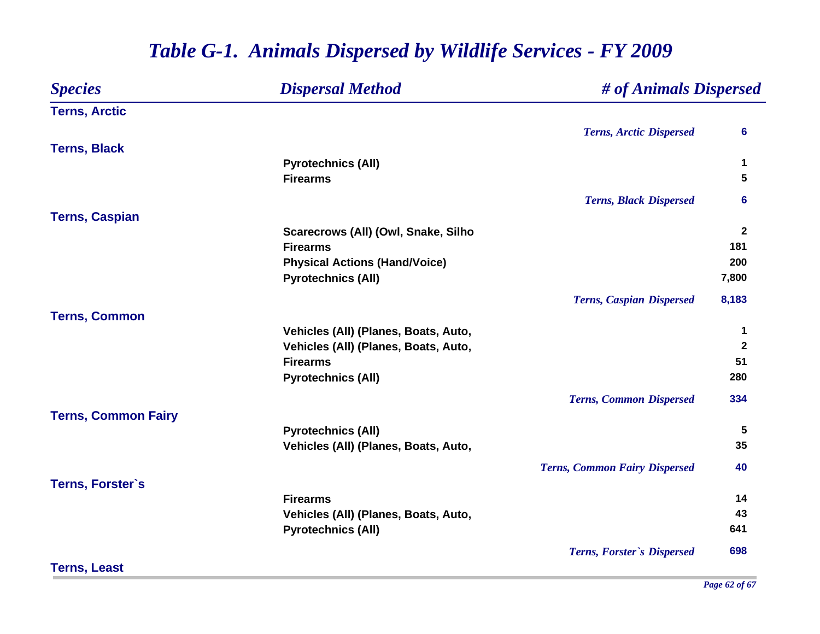#### *Species Dispersal Method # of Animals Dispersed* **Terns, Arctic** *Terns, Arctic Dispersed* **6 Terns, Black Pyrotechnics (All) <sup>1</sup> Firearms 5** *Terns, Black Dispersed* **6 Terns, Caspian Scarecrows (All) (Owl, Snake, Silho <sup>2</sup> Firearms181 181 181 181 181 181 181 181 181 181 181 181 181 181 Physical Actions (Hand/Voice) <sup>200</sup> Pyrotechnics (All) 7,800** *Terns, Caspian Dispersed* **8,183 Terns, Common Vehicles (All) (Planes, Boats, Auto, 1 Vehicles (All) (Planes, Boats, Auto, 2 Firearms51 51 51 Pyrotechnics (All) <sup>280</sup>** *Terns, Common Dispersed* **334 Terns, Common Fairy Pyrotechnics (All) 5 Vehicles (All) (Planes, Boats, Auto, 35** *Terns, Common Fairy Dispersed* **40 Terns, Forster`s Firearms14 Vehicles (All) (Planes, Boats, Auto, 43 Pyrotechnics (All) <sup>641</sup>** *Terns, Forster`s Dispersed* **698 Terns, Least**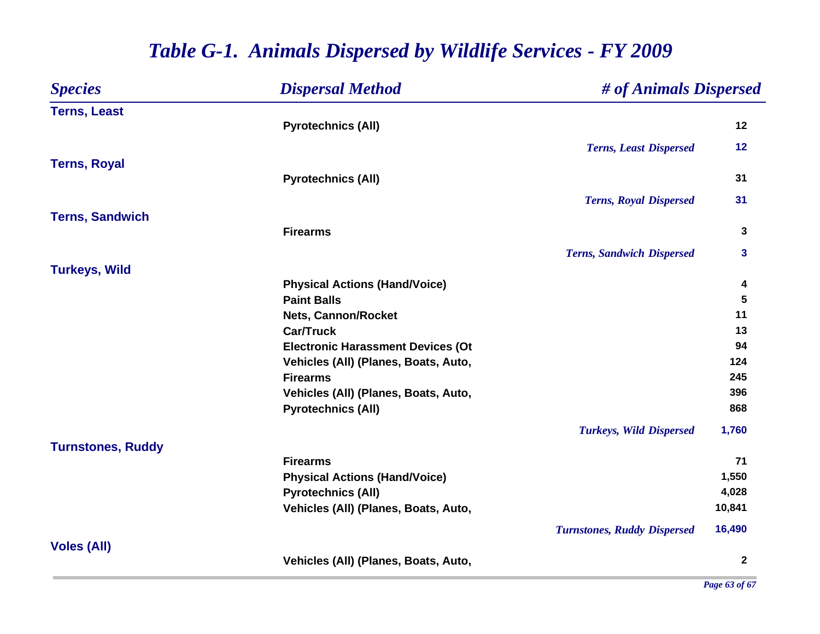| <b>Species</b>           | <b>Dispersal Method</b>                  | # of Animals Dispersed             |              |
|--------------------------|------------------------------------------|------------------------------------|--------------|
| <b>Terns, Least</b>      |                                          |                                    |              |
|                          | <b>Pyrotechnics (All)</b>                |                                    | 12           |
|                          |                                          | <b>Terns, Least Dispersed</b>      | 12           |
| <b>Terns, Royal</b>      |                                          |                                    |              |
|                          | <b>Pyrotechnics (All)</b>                |                                    | 31           |
|                          |                                          | <b>Terns, Royal Dispersed</b>      | 31           |
| <b>Terns, Sandwich</b>   |                                          |                                    |              |
|                          | <b>Firearms</b>                          |                                    | 3            |
|                          |                                          | <b>Terns, Sandwich Dispersed</b>   | 3            |
| <b>Turkeys, Wild</b>     |                                          |                                    |              |
|                          | <b>Physical Actions (Hand/Voice)</b>     |                                    | 4            |
|                          | <b>Paint Balls</b>                       |                                    | 5            |
|                          | Nets, Cannon/Rocket                      |                                    | 11           |
|                          | <b>Car/Truck</b>                         |                                    | 13           |
|                          | <b>Electronic Harassment Devices (Ot</b> |                                    | 94           |
|                          | Vehicles (All) (Planes, Boats, Auto,     |                                    | 124          |
|                          | <b>Firearms</b>                          |                                    | 245          |
|                          | Vehicles (All) (Planes, Boats, Auto,     |                                    | 396          |
|                          | <b>Pyrotechnics (All)</b>                |                                    | 868          |
|                          |                                          | <b>Turkeys, Wild Dispersed</b>     | 1,760        |
| <b>Turnstones, Ruddy</b> |                                          |                                    |              |
|                          | <b>Firearms</b>                          |                                    | 71           |
|                          | <b>Physical Actions (Hand/Voice)</b>     |                                    | 1,550        |
|                          | <b>Pyrotechnics (All)</b>                |                                    | 4,028        |
|                          | Vehicles (All) (Planes, Boats, Auto,     |                                    | 10,841       |
|                          |                                          | <b>Turnstones, Ruddy Dispersed</b> | 16,490       |
| <b>Voles (All)</b>       |                                          |                                    |              |
|                          | Vehicles (All) (Planes, Boats, Auto,     |                                    | $\mathbf{2}$ |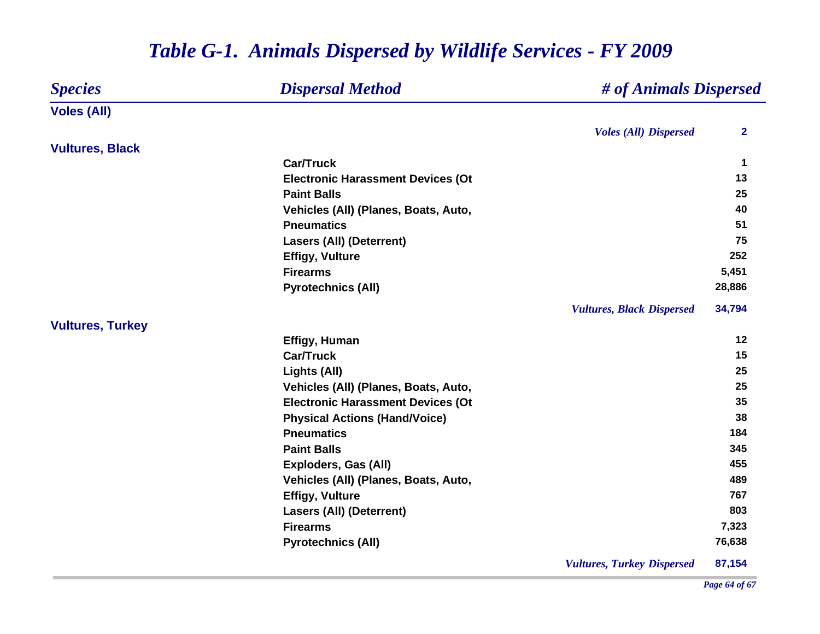| <b>Species</b>          | <b>Dispersal Method</b>                  | # of Animals Dispersed           |                         |
|-------------------------|------------------------------------------|----------------------------------|-------------------------|
| <b>Voles (All)</b>      |                                          |                                  |                         |
|                         |                                          | <b>Voles (All) Dispersed</b>     | $\overline{\mathbf{2}}$ |
| <b>Vultures, Black</b>  |                                          |                                  |                         |
|                         | <b>Car/Truck</b>                         |                                  | 1                       |
|                         | <b>Electronic Harassment Devices (Ot</b> |                                  | 13                      |
|                         | <b>Paint Balls</b>                       |                                  | 25                      |
|                         | Vehicles (All) (Planes, Boats, Auto,     |                                  | 40                      |
|                         | <b>Pneumatics</b>                        |                                  | 51                      |
|                         | <b>Lasers (All) (Deterrent)</b>          |                                  | 75                      |
|                         | <b>Effigy, Vulture</b>                   |                                  | 252                     |
|                         | <b>Firearms</b>                          |                                  | 5,451                   |
|                         | <b>Pyrotechnics (All)</b>                |                                  | 28,886                  |
|                         |                                          | <b>Vultures, Black Dispersed</b> | 34,794                  |
| <b>Vultures, Turkey</b> |                                          |                                  |                         |
|                         | Effigy, Human                            |                                  | 12                      |
|                         | <b>Car/Truck</b>                         |                                  | 15                      |
|                         | Lights (All)                             |                                  | 25                      |
|                         | Vehicles (All) (Planes, Boats, Auto,     |                                  | 25                      |
|                         | <b>Electronic Harassment Devices (Ot</b> |                                  | 35                      |
|                         | <b>Physical Actions (Hand/Voice)</b>     |                                  | 38                      |
|                         | <b>Pneumatics</b>                        |                                  | 184                     |
|                         | <b>Paint Balls</b>                       |                                  | 345                     |
|                         | Exploders, Gas (All)                     |                                  | 455                     |
|                         | Vehicles (All) (Planes, Boats, Auto,     |                                  | 489                     |
|                         | <b>Effigy, Vulture</b>                   |                                  | 767                     |
|                         | <b>Lasers (All) (Deterrent)</b>          |                                  | 803                     |
|                         | <b>Firearms</b>                          |                                  | 7,323                   |
|                         | <b>Pyrotechnics (All)</b>                |                                  | 76,638                  |
|                         |                                          |                                  |                         |

*Vultures, Turkey Dispersed* **87,154**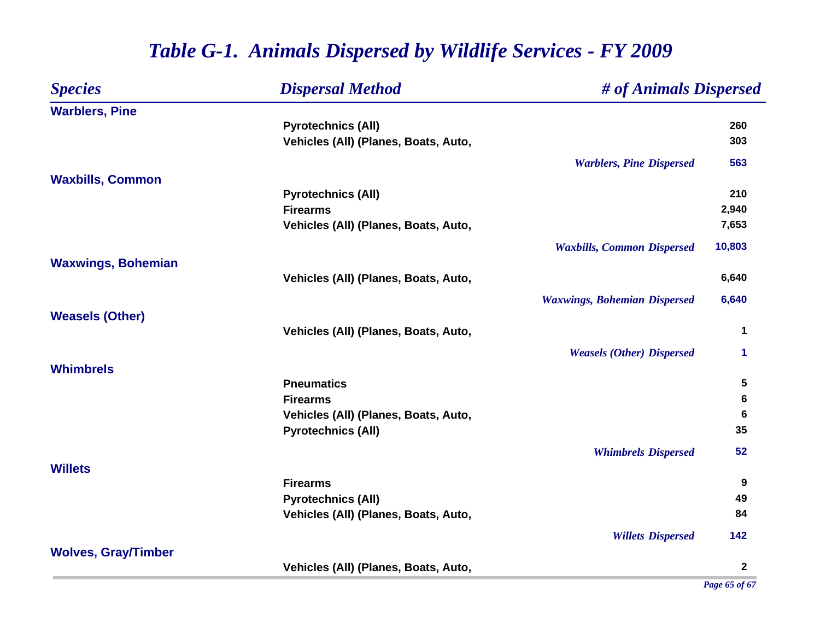| <b>Species</b>             | <b>Dispersal Method</b>              | # of Animals Dispersed              |              |
|----------------------------|--------------------------------------|-------------------------------------|--------------|
| <b>Warblers, Pine</b>      |                                      |                                     |              |
|                            | <b>Pyrotechnics (All)</b>            |                                     | 260          |
|                            | Vehicles (All) (Planes, Boats, Auto, |                                     | 303          |
|                            |                                      | <b>Warblers, Pine Dispersed</b>     | 563          |
| <b>Waxbills, Common</b>    |                                      |                                     |              |
|                            | <b>Pyrotechnics (All)</b>            |                                     | 210          |
|                            | <b>Firearms</b>                      |                                     | 2,940        |
|                            | Vehicles (All) (Planes, Boats, Auto, |                                     | 7,653        |
|                            |                                      | <b>Waxbills, Common Dispersed</b>   | 10,803       |
| <b>Waxwings, Bohemian</b>  |                                      |                                     |              |
|                            | Vehicles (All) (Planes, Boats, Auto, |                                     | 6,640        |
|                            |                                      | <b>Waxwings, Bohemian Dispersed</b> | 6,640        |
| <b>Weasels (Other)</b>     |                                      |                                     |              |
|                            | Vehicles (All) (Planes, Boats, Auto, |                                     | 1            |
|                            |                                      | <b>Weasels (Other) Dispersed</b>    | 1            |
| <b>Whimbrels</b>           |                                      |                                     |              |
|                            | <b>Pneumatics</b>                    |                                     | 5            |
|                            | <b>Firearms</b>                      |                                     | 6            |
|                            | Vehicles (All) (Planes, Boats, Auto, |                                     | 6            |
|                            | <b>Pyrotechnics (All)</b>            |                                     | 35           |
|                            |                                      | <b>Whimbrels Dispersed</b>          | 52           |
| <b>Willets</b>             |                                      |                                     |              |
|                            | <b>Firearms</b>                      |                                     | 9            |
|                            | <b>Pyrotechnics (All)</b>            |                                     | 49           |
|                            | Vehicles (All) (Planes, Boats, Auto, |                                     | 84           |
|                            |                                      | <b>Willets Dispersed</b>            | 142          |
| <b>Wolves, Gray/Timber</b> |                                      |                                     |              |
|                            | Vehicles (All) (Planes, Boats, Auto, |                                     | $\mathbf{2}$ |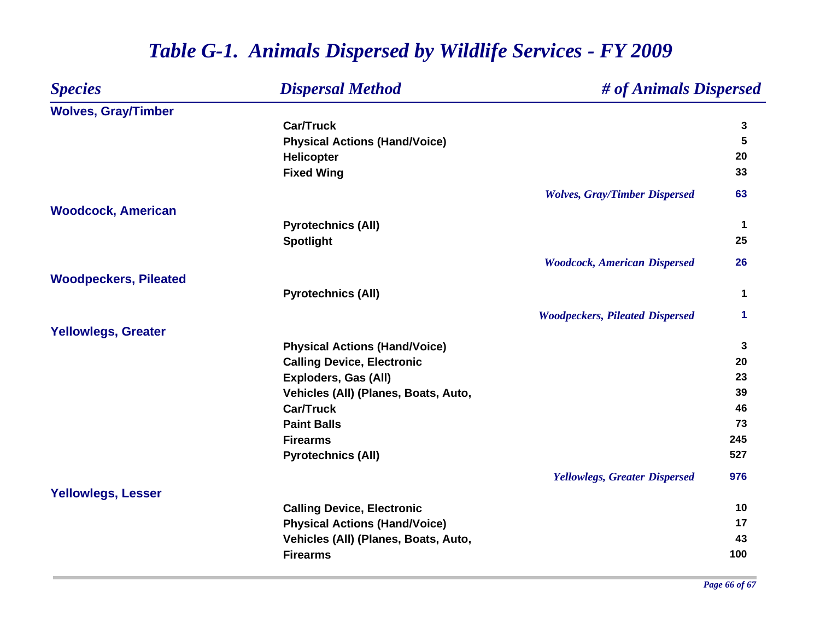| <b>Species</b>               | <b>Dispersal Method</b>              | # of Animals Dispersed                 |     |
|------------------------------|--------------------------------------|----------------------------------------|-----|
| <b>Wolves, Gray/Timber</b>   |                                      |                                        |     |
|                              | <b>Car/Truck</b>                     |                                        | 3   |
|                              | <b>Physical Actions (Hand/Voice)</b> |                                        | 5   |
|                              | <b>Helicopter</b>                    |                                        | 20  |
|                              | <b>Fixed Wing</b>                    |                                        | 33  |
|                              |                                      | <b>Wolves, Gray/Timber Dispersed</b>   | 63  |
| <b>Woodcock, American</b>    |                                      |                                        |     |
|                              | <b>Pyrotechnics (All)</b>            |                                        | 1   |
|                              | <b>Spotlight</b>                     |                                        | 25  |
|                              |                                      | <b>Woodcock, American Dispersed</b>    | 26  |
| <b>Woodpeckers, Pileated</b> |                                      |                                        |     |
|                              | <b>Pyrotechnics (All)</b>            |                                        | 1   |
|                              |                                      | <b>Woodpeckers, Pileated Dispersed</b> | 1   |
| <b>Yellowlegs, Greater</b>   |                                      |                                        |     |
|                              | <b>Physical Actions (Hand/Voice)</b> |                                        | 3   |
|                              | <b>Calling Device, Electronic</b>    |                                        | 20  |
|                              | <b>Exploders, Gas (All)</b>          |                                        | 23  |
|                              | Vehicles (All) (Planes, Boats, Auto, |                                        | 39  |
|                              | <b>Car/Truck</b>                     |                                        | 46  |
|                              | <b>Paint Balls</b>                   |                                        | 73  |
|                              | <b>Firearms</b>                      |                                        | 245 |
|                              | <b>Pyrotechnics (All)</b>            |                                        | 527 |
|                              |                                      | <b>Yellowlegs, Greater Dispersed</b>   | 976 |
| <b>Yellowlegs, Lesser</b>    |                                      |                                        |     |
|                              | <b>Calling Device, Electronic</b>    |                                        | 10  |
|                              | <b>Physical Actions (Hand/Voice)</b> |                                        | 17  |
|                              | Vehicles (All) (Planes, Boats, Auto, |                                        | 43  |
|                              | <b>Firearms</b>                      |                                        | 100 |